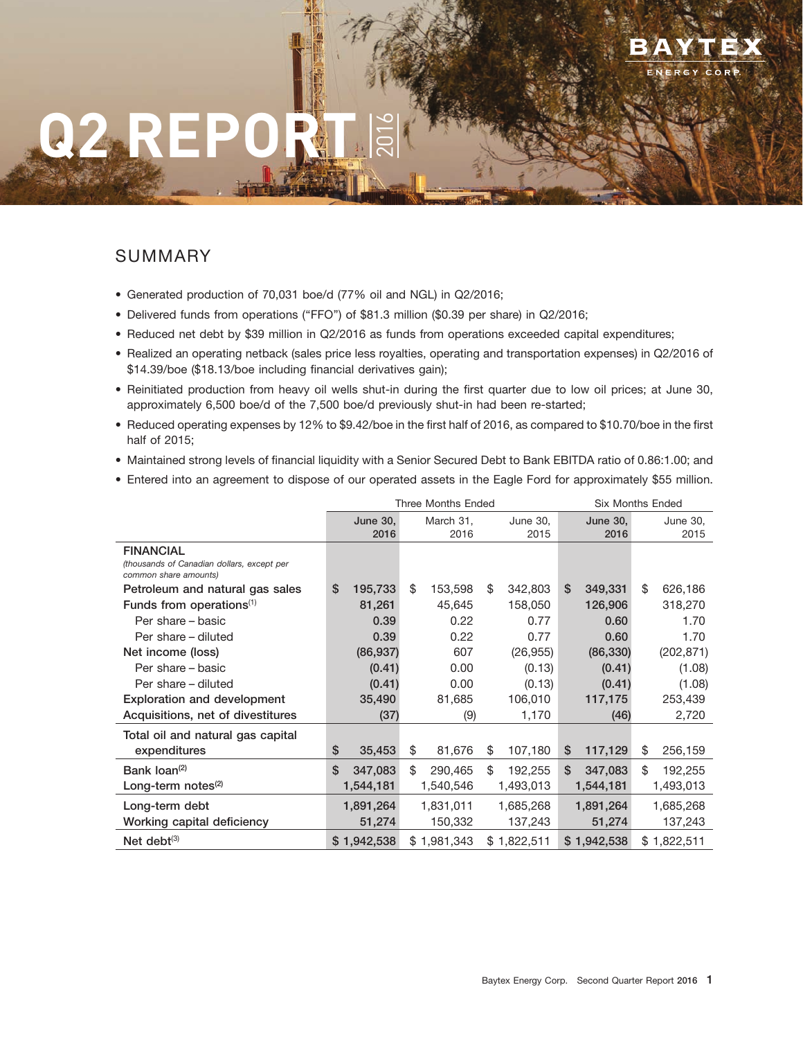# **Q2 REPORT**

# SUMMARY

- Generated production of 70,031 boe/d (77% oil and NGL) in Q2/2016;
- Delivered funds from operations ("FFO") of \$81.3 million (\$0.39 per share) in Q2/2016;
- Reduced net debt by \$39 million in Q2/2016 as funds from operations exceeded capital expenditures;

2016

- Realized an operating netback (sales price less royalties, operating and transportation expenses) in Q2/2016 of \$14.39/boe (\$18.13/boe including financial derivatives gain);
- Reinitiated production from heavy oil wells shut-in during the first quarter due to low oil prices; at June 30, approximately 6,500 boe/d of the 7,500 boe/d previously shut-in had been re-started;
- Reduced operating expenses by 12% to \$9.42/boe in the first half of 2016, as compared to \$10.70/boe in the first half of 2015;
- Maintained strong levels of financial liquidity with a Senior Secured Debt to Bank EBITDA ratio of 0.86:1.00; and
- Entered into an agreement to dispose of our operated assets in the Eagle Ford for approximately \$55 million.

|                                                                                         |                 | <b>Three Months Ended</b> |               | <b>Six Months Ended</b> |                 |    |             |
|-----------------------------------------------------------------------------------------|-----------------|---------------------------|---------------|-------------------------|-----------------|----|-------------|
|                                                                                         | <b>June 30,</b> | March 31,                 | June 30,      |                         | <b>June 30,</b> |    | June 30,    |
|                                                                                         | 2016            | 2016                      | 2015          |                         | 2016            |    | 2015        |
| <b>FINANCIAL</b><br>(thousands of Canadian dollars, except per<br>common share amounts) |                 |                           |               |                         |                 |    |             |
| Petroleum and natural gas sales                                                         | \$<br>195,733   | \$<br>153,598             | \$<br>342,803 | \$                      | 349,331         | \$ | 626,186     |
| Funds from operations $(1)$                                                             | 81,261          | 45,645                    | 158,050       |                         | 126,906         |    | 318,270     |
| Per share - basic                                                                       | 0.39            | 0.22                      | 0.77          |                         | 0.60            |    | 1.70        |
| Per share - diluted                                                                     | 0.39            | 0.22                      | 0.77          |                         | 0.60            |    | 1.70        |
| Net income (loss)                                                                       | (86, 937)       | 607                       | (26, 955)     |                         | (86, 330)       |    | (202, 871)  |
| Per share – basic                                                                       | (0.41)          | 0.00                      | (0.13)        |                         | (0.41)          |    | (1.08)      |
| Per share - diluted                                                                     | (0.41)          | 0.00                      | (0.13)        |                         | (0.41)          |    | (1.08)      |
| <b>Exploration and development</b>                                                      | 35,490          | 81,685                    | 106,010       |                         | 117,175         |    | 253,439     |
| Acquisitions, net of divestitures                                                       | (37)            | (9)                       | 1,170         |                         | (46)            |    | 2,720       |
| Total oil and natural gas capital                                                       |                 |                           |               |                         |                 |    |             |
| expenditures                                                                            | \$<br>35,453    | \$<br>81,676              | \$<br>107,180 | \$                      | 117,129         | \$ | 256,159     |
| Bank loan <sup>(2)</sup>                                                                | \$<br>347,083   | \$<br>290,465             | \$<br>192,255 | $\mathbb{S}$            | 347,083         | \$ | 192,255     |
| Long-term notes $(2)$                                                                   | 1,544,181       | 1,540,546                 | 1,493,013     |                         | 1,544,181       |    | 1,493,013   |
| Long-term debt                                                                          | 1,891,264       | 1,831,011                 | 1,685,268     |                         | 1,891,264       |    | 1,685,268   |
| Working capital deficiency                                                              | 51,274          | 150,332                   | 137,243       |                         | 51,274          |    | 137,243     |
| Net debt $(3)$                                                                          | \$1,942,538     | \$1,981,343               | \$1,822,511   |                         | \$1,942,538     |    | \$1,822,511 |

28JUL20162159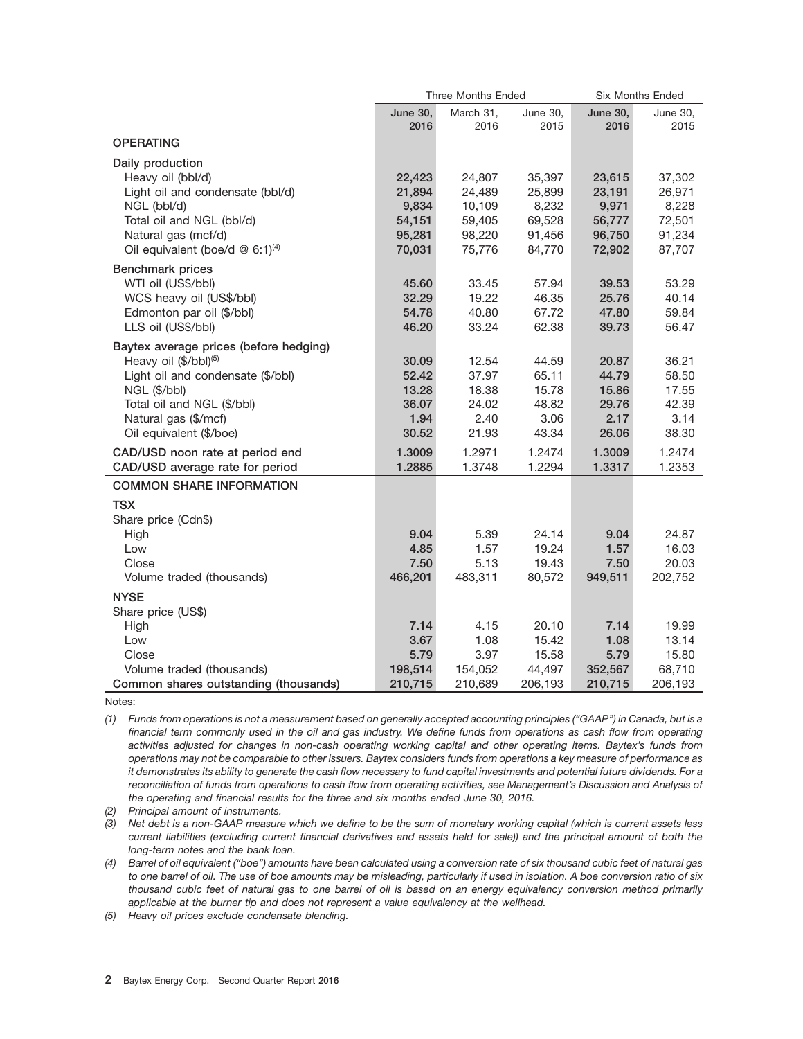|                                               |                 | <b>Three Months Ended</b> |                 |                 | <b>Six Months Ended</b> |
|-----------------------------------------------|-----------------|---------------------------|-----------------|-----------------|-------------------------|
|                                               | <b>June 30,</b> | March 31,                 | <b>June 30,</b> | <b>June 30,</b> | June 30,                |
|                                               | 2016            | 2016                      | 2015            | 2016            | 2015                    |
| <b>OPERATING</b>                              |                 |                           |                 |                 |                         |
| Daily production                              |                 |                           |                 |                 |                         |
| Heavy oil (bbl/d)                             | 22,423          | 24,807                    | 35,397          | 23,615          | 37,302                  |
| Light oil and condensate (bbl/d)              | 21,894          | 24,489                    | 25,899          | 23,191          | 26,971                  |
| NGL (bbl/d)                                   | 9,834           | 10,109                    | 8,232           | 9,971           | 8,228                   |
| Total oil and NGL (bbl/d)                     | 54,151          | 59,405                    | 69,528          | 56,777          | 72,501                  |
| Natural gas (mcf/d)                           | 95,281          | 98,220                    | 91,456          | 96,750          | 91,234                  |
| Oil equivalent (boe/d $@$ 6:1) <sup>(4)</sup> | 70,031          | 75,776                    | 84,770          | 72,902          | 87,707                  |
| <b>Benchmark prices</b>                       |                 |                           |                 |                 |                         |
| WTI oil (US\$/bbl)                            | 45.60           | 33.45                     | 57.94           | 39.53           | 53.29                   |
| WCS heavy oil (US\$/bbl)                      | 32.29           | 19.22                     | 46.35           | 25.76           | 40.14                   |
| Edmonton par oil (\$/bbl)                     | 54.78           | 40.80                     | 67.72           | 47.80           | 59.84                   |
| LLS oil (US\$/bbl)                            | 46.20           | 33.24                     | 62.38           | 39.73           | 56.47                   |
| Baytex average prices (before hedging)        |                 |                           |                 |                 |                         |
| Heavy oil (\$/bbl) <sup>(5)</sup>             | 30.09           | 12.54                     | 44.59           | 20.87           | 36.21                   |
| Light oil and condensate (\$/bbl)             | 52.42           | 37.97                     | 65.11           | 44.79           | 58.50                   |
| NGL (\$/bbl)                                  | 13.28           | 18.38                     | 15.78           | 15.86           | 17.55                   |
| Total oil and NGL (\$/bbl)                    | 36.07           | 24.02                     | 48.82           | 29.76           | 42.39                   |
| Natural gas (\$/mcf)                          | 1.94            | 2.40                      | 3.06            | 2.17            | 3.14                    |
| Oil equivalent (\$/boe)                       | 30.52           | 21.93                     | 43.34           | 26.06           | 38.30                   |
| CAD/USD noon rate at period end               | 1.3009          | 1.2971                    | 1.2474          | 1.3009          | 1.2474                  |
| CAD/USD average rate for period               | 1.2885          | 1.3748                    | 1.2294          | 1.3317          | 1.2353                  |
| <b>COMMON SHARE INFORMATION</b>               |                 |                           |                 |                 |                         |
| <b>TSX</b>                                    |                 |                           |                 |                 |                         |
| Share price (Cdn\$)                           |                 |                           |                 |                 |                         |
| High                                          | 9.04            | 5.39                      | 24.14           | 9.04            | 24.87                   |
| Low                                           | 4.85            | 1.57                      | 19.24           | 1.57            | 16.03                   |
| Close                                         | 7.50            | 5.13                      | 19.43           | 7.50            | 20.03                   |
| Volume traded (thousands)                     | 466,201         | 483,311                   | 80,572          | 949,511         | 202,752                 |
| <b>NYSE</b>                                   |                 |                           |                 |                 |                         |
| Share price (US\$)                            |                 |                           |                 |                 |                         |
| High                                          | 7.14            | 4.15                      | 20.10           | 7.14            | 19.99                   |
| Low                                           | 3.67            | 1.08                      | 15.42           | 1.08            | 13.14                   |
| Close                                         | 5.79            | 3.97                      | 15.58           | 5.79            | 15.80                   |
| Volume traded (thousands)                     | 198,514         | 154,052                   | 44,497          | 352,567         | 68,710                  |
| Common shares outstanding (thousands)         | 210,715         | 210,689                   | 206,193         | 210.715         | 206.193                 |

Notes:

*(1) Funds from operations is not a measurement based on generally accepted accounting principles (''GAAP'') in Canada, but is a financial term commonly used in the oil and gas industry. We define funds from operations as cash flow from operating activities adjusted for changes in non-cash operating working capital and other operating items. Baytex's funds from operations may not be comparable to other issuers. Baytex considers funds from operations a key measure of performance as it demonstrates its ability to generate the cash flow necessary to fund capital investments and potential future dividends. For a reconciliation of funds from operations to cash flow from operating activities, see Management's Discussion and Analysis of the operating and financial results for the three and six months ended June 30, 2016.*

*(2) Principal amount of instruments.*

*(3) Net debt is a non-GAAP measure which we define to be the sum of monetary working capital (which is current assets less current liabilities (excluding current financial derivatives and assets held for sale)) and the principal amount of both the long-term notes and the bank loan.*

*(4) Barrel of oil equivalent (''boe'') amounts have been calculated using a conversion rate of six thousand cubic feet of natural gas to one barrel of oil. The use of boe amounts may be misleading, particularly if used in isolation. A boe conversion ratio of six thousand cubic feet of natural gas to one barrel of oil is based on an energy equivalency conversion method primarily applicable at the burner tip and does not represent a value equivalency at the wellhead.*

*(5) Heavy oil prices exclude condensate blending.*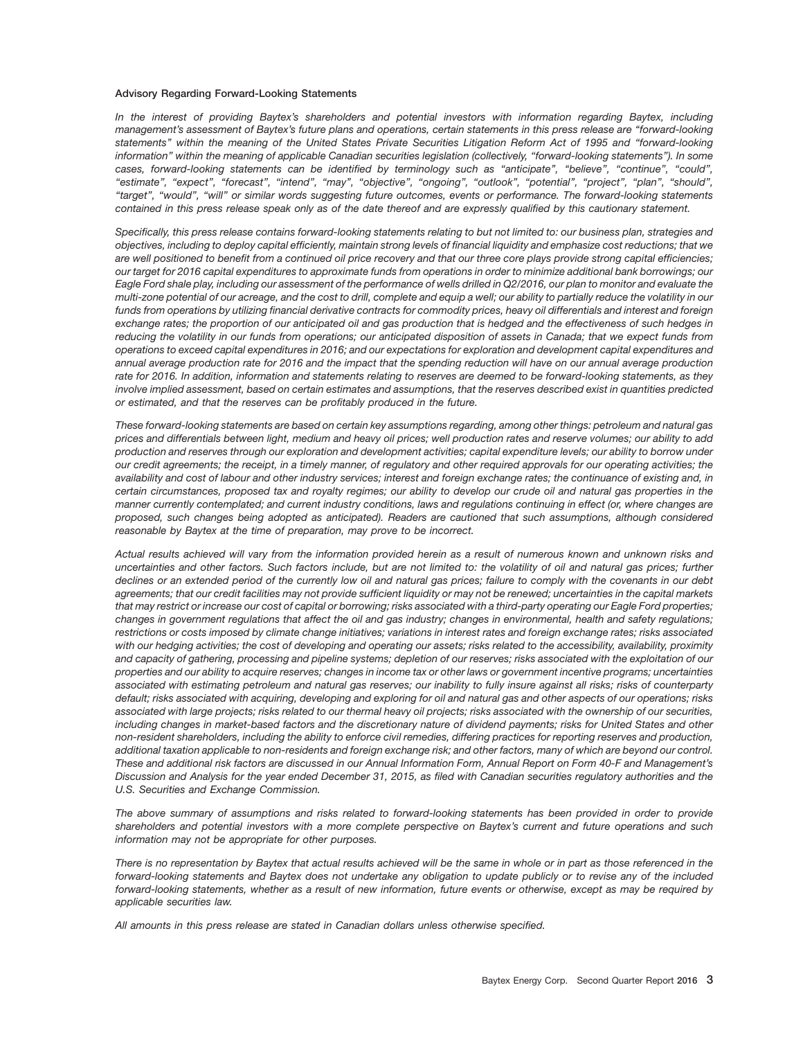#### **Advisory Regarding Forward-Looking Statements**

*In the interest of providing Baytex's shareholders and potential investors with information regarding Baytex, including management's assessment of Baytex's future plans and operations, certain statements in this press release are ''forward-looking statements'' within the meaning of the United States Private Securities Litigation Reform Act of 1995 and ''forward-looking information'' within the meaning of applicable Canadian securities legislation (collectively, ''forward-looking statements''). In some cases, forward-looking statements can be identified by terminology such as ''anticipate'', ''believe'', ''continue'', ''could'', ''estimate'', ''expect'', ''forecast'', ''intend'', ''may'', ''objective'', ''ongoing'', ''outlook'', ''potential'', ''project'', ''plan'', ''should'', ''target'', ''would'', ''will'' or similar words suggesting future outcomes, events or performance. The forward-looking statements contained in this press release speak only as of the date thereof and are expressly qualified by this cautionary statement.*

*Specifically, this press release contains forward-looking statements relating to but not limited to: our business plan, strategies and objectives, including to deploy capital efficiently, maintain strong levels of financial liquidity and emphasize cost reductions; that we are well positioned to benefit from a continued oil price recovery and that our three core plays provide strong capital efficiencies; our target for 2016 capital expenditures to approximate funds from operations in order to minimize additional bank borrowings; our Eagle Ford shale play, including our assessment of the performance of wells drilled in Q2/2016, our plan to monitor and evaluate the multi-zone potential of our acreage, and the cost to drill, complete and equip a well; our ability to partially reduce the volatility in our funds from operations by utilizing financial derivative contracts for commodity prices, heavy oil differentials and interest and foreign exchange rates; the proportion of our anticipated oil and gas production that is hedged and the effectiveness of such hedges in reducing the volatility in our funds from operations; our anticipated disposition of assets in Canada; that we expect funds from operations to exceed capital expenditures in 2016; and our expectations for exploration and development capital expenditures and annual average production rate for 2016 and the impact that the spending reduction will have on our annual average production rate for 2016. In addition, information and statements relating to reserves are deemed to be forward-looking statements, as they involve implied assessment, based on certain estimates and assumptions, that the reserves described exist in quantities predicted or estimated, and that the reserves can be profitably produced in the future.*

*These forward-looking statements are based on certain key assumptions regarding, among other things: petroleum and natural gas prices and differentials between light, medium and heavy oil prices; well production rates and reserve volumes; our ability to add production and reserves through our exploration and development activities; capital expenditure levels; our ability to borrow under our credit agreements; the receipt, in a timely manner, of regulatory and other required approvals for our operating activities; the availability and cost of labour and other industry services; interest and foreign exchange rates; the continuance of existing and, in certain circumstances, proposed tax and royalty regimes; our ability to develop our crude oil and natural gas properties in the manner currently contemplated; and current industry conditions, laws and regulations continuing in effect (or, where changes are proposed, such changes being adopted as anticipated). Readers are cautioned that such assumptions, although considered reasonable by Baytex at the time of preparation, may prove to be incorrect.*

*Actual results achieved will vary from the information provided herein as a result of numerous known and unknown risks and uncertainties and other factors. Such factors include, but are not limited to: the volatility of oil and natural gas prices; further declines or an extended period of the currently low oil and natural gas prices; failure to comply with the covenants in our debt agreements; that our credit facilities may not provide sufficient liquidity or may not be renewed; uncertainties in the capital markets that may restrict or increase our cost of capital or borrowing; risks associated with a third-party operating our Eagle Ford properties; changes in government regulations that affect the oil and gas industry; changes in environmental, health and safety regulations; restrictions or costs imposed by climate change initiatives; variations in interest rates and foreign exchange rates; risks associated with our hedging activities; the cost of developing and operating our assets; risks related to the accessibility, availability, proximity and capacity of gathering, processing and pipeline systems; depletion of our reserves; risks associated with the exploitation of our properties and our ability to acquire reserves; changes in income tax or other laws or government incentive programs; uncertainties associated with estimating petroleum and natural gas reserves; our inability to fully insure against all risks; risks of counterparty default; risks associated with acquiring, developing and exploring for oil and natural gas and other aspects of our operations; risks associated with large projects; risks related to our thermal heavy oil projects; risks associated with the ownership of our securities, including changes in market-based factors and the discretionary nature of dividend payments; risks for United States and other non-resident shareholders, including the ability to enforce civil remedies, differing practices for reporting reserves and production, additional taxation applicable to non-residents and foreign exchange risk; and other factors, many of which are beyond our control. These and additional risk factors are discussed in our Annual Information Form, Annual Report on Form 40-F and Management's Discussion and Analysis for the year ended December 31, 2015, as filed with Canadian securities regulatory authorities and the U.S. Securities and Exchange Commission.*

*The above summary of assumptions and risks related to forward-looking statements has been provided in order to provide shareholders and potential investors with a more complete perspective on Baytex's current and future operations and such information may not be appropriate for other purposes.*

*There is no representation by Baytex that actual results achieved will be the same in whole or in part as those referenced in the forward-looking statements and Baytex does not undertake any obligation to update publicly or to revise any of the included forward-looking statements, whether as a result of new information, future events or otherwise, except as may be required by applicable securities law.*

*All amounts in this press release are stated in Canadian dollars unless otherwise specified.*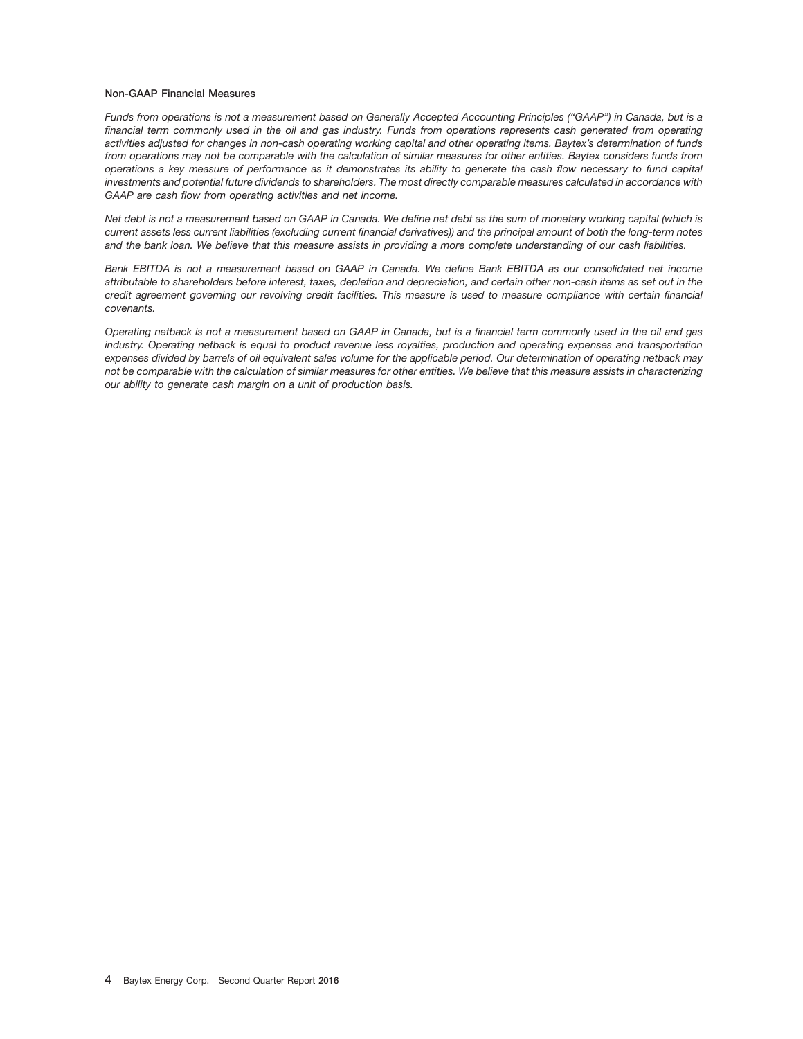#### **Non-GAAP Financial Measures**

*Funds from operations is not a measurement based on Generally Accepted Accounting Principles (''GAAP'') in Canada, but is a financial term commonly used in the oil and gas industry. Funds from operations represents cash generated from operating activities adjusted for changes in non-cash operating working capital and other operating items. Baytex's determination of funds from operations may not be comparable with the calculation of similar measures for other entities. Baytex considers funds from operations a key measure of performance as it demonstrates its ability to generate the cash flow necessary to fund capital investments and potential future dividends to shareholders. The most directly comparable measures calculated in accordance with GAAP are cash flow from operating activities and net income.*

*Net debt is not a measurement based on GAAP in Canada. We define net debt as the sum of monetary working capital (which is current assets less current liabilities (excluding current financial derivatives)) and the principal amount of both the long-term notes and the bank loan. We believe that this measure assists in providing a more complete understanding of our cash liabilities.*

*Bank EBITDA is not a measurement based on GAAP in Canada. We define Bank EBITDA as our consolidated net income attributable to shareholders before interest, taxes, depletion and depreciation, and certain other non-cash items as set out in the credit agreement governing our revolving credit facilities. This measure is used to measure compliance with certain financial covenants.*

*Operating netback is not a measurement based on GAAP in Canada, but is a financial term commonly used in the oil and gas industry. Operating netback is equal to product revenue less royalties, production and operating expenses and transportation expenses divided by barrels of oil equivalent sales volume for the applicable period. Our determination of operating netback may not be comparable with the calculation of similar measures for other entities. We believe that this measure assists in characterizing our ability to generate cash margin on a unit of production basis.*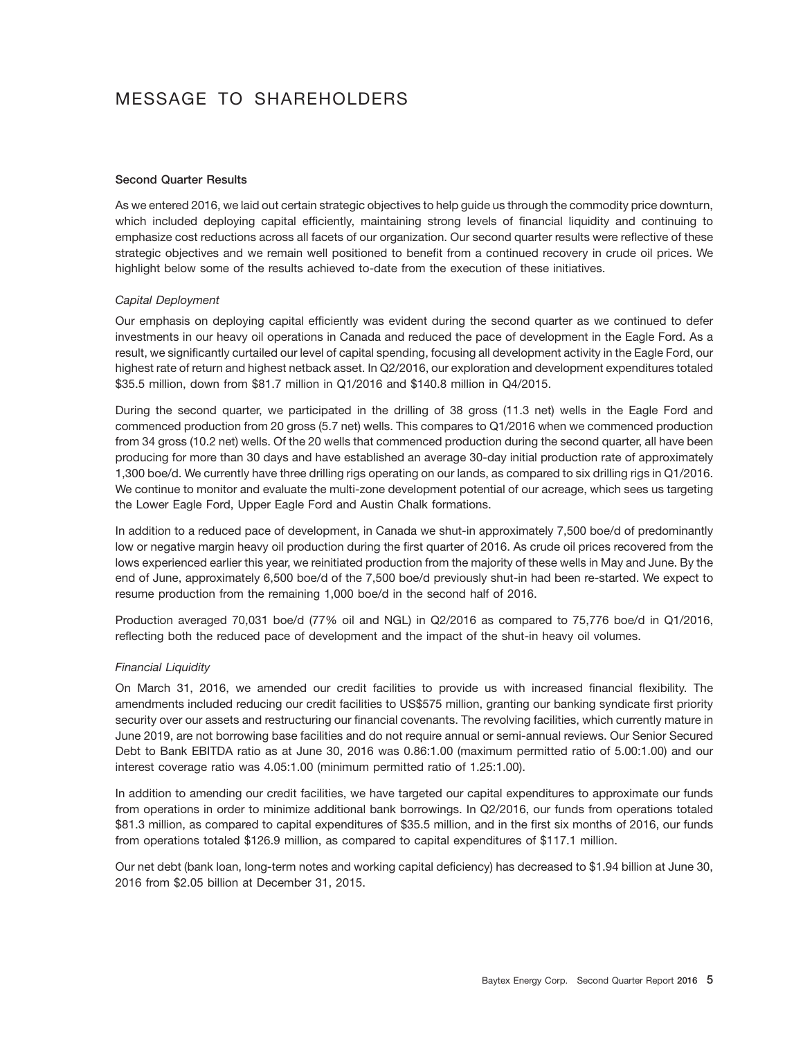# MESSAGE TO SHAREHOLDERS

#### **Second Quarter Results**

As we entered 2016, we laid out certain strategic objectives to help guide us through the commodity price downturn, which included deploying capital efficiently, maintaining strong levels of financial liquidity and continuing to emphasize cost reductions across all facets of our organization. Our second quarter results were reflective of these strategic objectives and we remain well positioned to benefit from a continued recovery in crude oil prices. We highlight below some of the results achieved to-date from the execution of these initiatives.

#### *Capital Deployment*

Our emphasis on deploying capital efficiently was evident during the second quarter as we continued to defer investments in our heavy oil operations in Canada and reduced the pace of development in the Eagle Ford. As a result, we significantly curtailed our level of capital spending, focusing all development activity in the Eagle Ford, our highest rate of return and highest netback asset. In Q2/2016, our exploration and development expenditures totaled \$35.5 million, down from \$81.7 million in Q1/2016 and \$140.8 million in Q4/2015.

During the second quarter, we participated in the drilling of 38 gross (11.3 net) wells in the Eagle Ford and commenced production from 20 gross (5.7 net) wells. This compares to Q1/2016 when we commenced production from 34 gross (10.2 net) wells. Of the 20 wells that commenced production during the second quarter, all have been producing for more than 30 days and have established an average 30-day initial production rate of approximately 1,300 boe/d. We currently have three drilling rigs operating on our lands, as compared to six drilling rigs in Q1/2016. We continue to monitor and evaluate the multi-zone development potential of our acreage, which sees us targeting the Lower Eagle Ford, Upper Eagle Ford and Austin Chalk formations.

In addition to a reduced pace of development, in Canada we shut-in approximately 7,500 boe/d of predominantly low or negative margin heavy oil production during the first quarter of 2016. As crude oil prices recovered from the lows experienced earlier this year, we reinitiated production from the majority of these wells in May and June. By the end of June, approximately 6,500 boe/d of the 7,500 boe/d previously shut-in had been re-started. We expect to resume production from the remaining 1,000 boe/d in the second half of 2016.

Production averaged 70,031 boe/d (77% oil and NGL) in Q2/2016 as compared to 75,776 boe/d in Q1/2016, reflecting both the reduced pace of development and the impact of the shut-in heavy oil volumes.

#### *Financial Liquidity*

On March 31, 2016, we amended our credit facilities to provide us with increased financial flexibility. The amendments included reducing our credit facilities to US\$575 million, granting our banking syndicate first priority security over our assets and restructuring our financial covenants. The revolving facilities, which currently mature in June 2019, are not borrowing base facilities and do not require annual or semi-annual reviews. Our Senior Secured Debt to Bank EBITDA ratio as at June 30, 2016 was 0.86:1.00 (maximum permitted ratio of 5.00:1.00) and our interest coverage ratio was 4.05:1.00 (minimum permitted ratio of 1.25:1.00).

In addition to amending our credit facilities, we have targeted our capital expenditures to approximate our funds from operations in order to minimize additional bank borrowings. In Q2/2016, our funds from operations totaled \$81.3 million, as compared to capital expenditures of \$35.5 million, and in the first six months of 2016, our funds from operations totaled \$126.9 million, as compared to capital expenditures of \$117.1 million.

Our net debt (bank loan, long-term notes and working capital deficiency) has decreased to \$1.94 billion at June 30, 2016 from \$2.05 billion at December 31, 2015.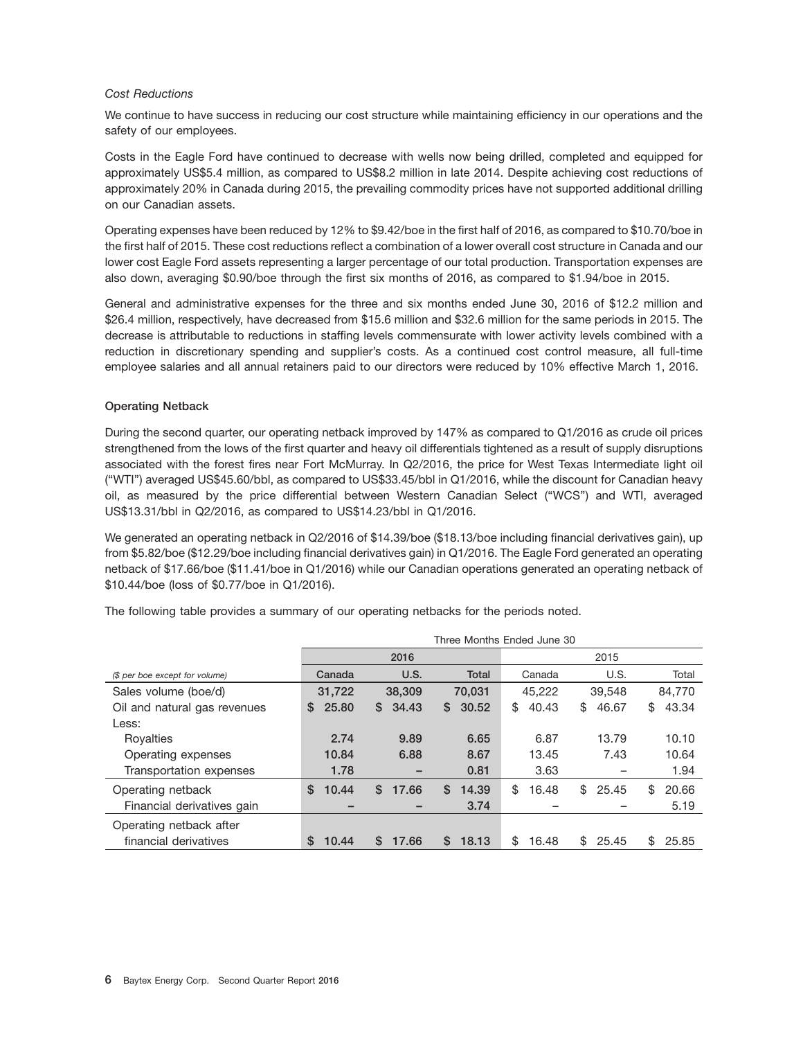#### *Cost Reductions*

We continue to have success in reducing our cost structure while maintaining efficiency in our operations and the safety of our employees.

Costs in the Eagle Ford have continued to decrease with wells now being drilled, completed and equipped for approximately US\$5.4 million, as compared to US\$8.2 million in late 2014. Despite achieving cost reductions of approximately 20% in Canada during 2015, the prevailing commodity prices have not supported additional drilling on our Canadian assets.

Operating expenses have been reduced by 12% to \$9.42/boe in the first half of 2016, as compared to \$10.70/boe in the first half of 2015. These cost reductions reflect a combination of a lower overall cost structure in Canada and our lower cost Eagle Ford assets representing a larger percentage of our total production. Transportation expenses are also down, averaging \$0.90/boe through the first six months of 2016, as compared to \$1.94/boe in 2015.

General and administrative expenses for the three and six months ended June 30, 2016 of \$12.2 million and \$26.4 million, respectively, have decreased from \$15.6 million and \$32.6 million for the same periods in 2015. The decrease is attributable to reductions in staffing levels commensurate with lower activity levels combined with a reduction in discretionary spending and supplier's costs. As a continued cost control measure, all full-time employee salaries and all annual retainers paid to our directors were reduced by 10% effective March 1, 2016.

#### **Operating Netback**

During the second quarter, our operating netback improved by 147% as compared to Q1/2016 as crude oil prices strengthened from the lows of the first quarter and heavy oil differentials tightened as a result of supply disruptions associated with the forest fires near Fort McMurray. In Q2/2016, the price for West Texas Intermediate light oil (''WTI'') averaged US\$45.60/bbl, as compared to US\$33.45/bbl in Q1/2016, while the discount for Canadian heavy oil, as measured by the price differential between Western Canadian Select (''WCS'') and WTI, averaged US\$13.31/bbl in Q2/2016, as compared to US\$14.23/bbl in Q1/2016.

We generated an operating netback in Q2/2016 of \$14.39/boe (\$18.13/boe including financial derivatives gain), up from \$5.82/boe (\$12.29/boe including financial derivatives gain) in Q1/2016. The Eagle Ford generated an operating netback of \$17.66/boe (\$11.41/boe in Q1/2016) while our Canadian operations generated an operating netback of \$10.44/boe (loss of \$0.77/boe in Q1/2016).

|                                | Three Months Ended June 30 |             |              |             |             |              |  |  |  |  |
|--------------------------------|----------------------------|-------------|--------------|-------------|-------------|--------------|--|--|--|--|
|                                |                            | 2016        |              | 2015        |             |              |  |  |  |  |
| (\$ per boe except for volume) | Canada                     | U.S.        | <b>Total</b> | Canada      | U.S.        | Total        |  |  |  |  |
| Sales volume (boe/d)           | 31.722                     | 38,309      | 70.031       | 45.222      | 39,548      | 84,770       |  |  |  |  |
| Oil and natural gas revenues   | 25.80<br>S.                | 34.43<br>S. | 30.52<br>S.  | 40.43<br>\$ | 46.67<br>\$ | 43.34<br>\$  |  |  |  |  |
| Less:                          |                            |             |              |             |             |              |  |  |  |  |
| Royalties                      | 2.74                       | 9.89        | 6.65         | 6.87        | 13.79       | 10.10        |  |  |  |  |
| Operating expenses             | 10.84                      | 6.88        | 8.67         | 13.45       | 7.43        | 10.64        |  |  |  |  |
| Transportation expenses        | 1.78                       | -           | 0.81         | 3.63        |             | 1.94         |  |  |  |  |
| Operating netback              | \$<br>10.44                | S.<br>17.66 | S.<br>14.39  | \$<br>16.48 | \$<br>25.45 | \$<br>20.66  |  |  |  |  |
| Financial derivatives gain     |                            |             | 3.74         |             |             | 5.19         |  |  |  |  |
| Operating netback after        |                            |             |              |             |             |              |  |  |  |  |
| financial derivatives          | 10.44<br>S                 | S.<br>17.66 | 18.13<br>S.  | \$<br>16.48 | \$<br>25.45 | \$.<br>25.85 |  |  |  |  |

The following table provides a summary of our operating netbacks for the periods noted.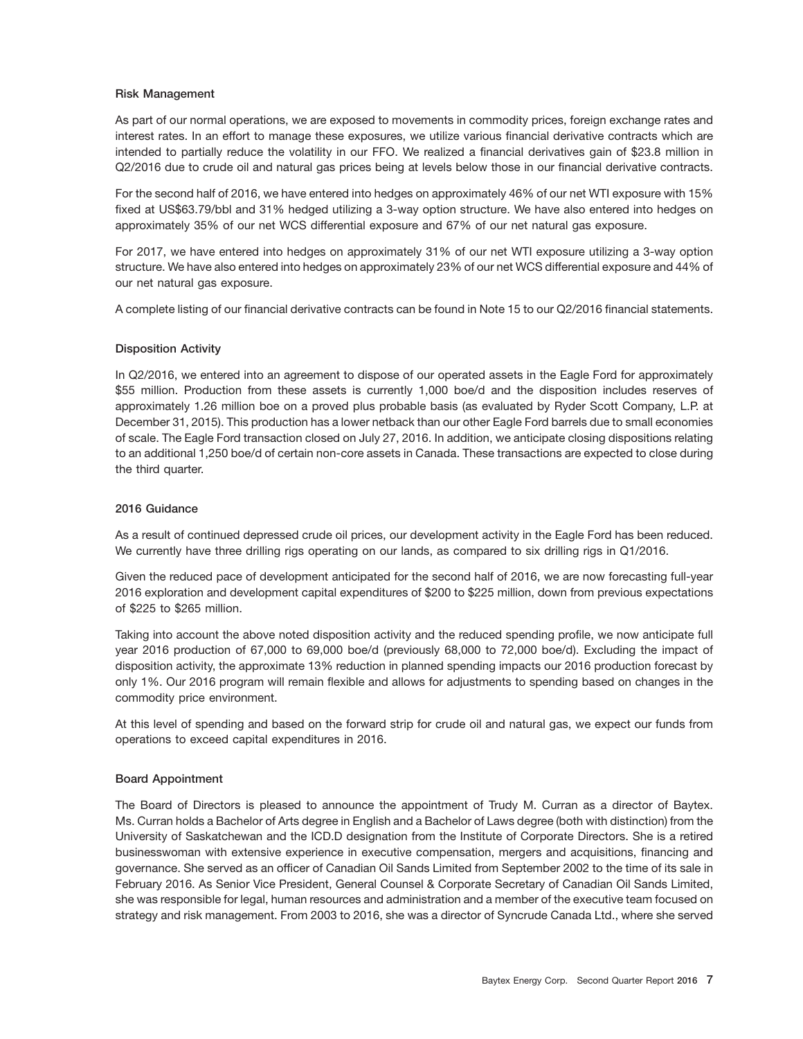#### **Risk Management**

As part of our normal operations, we are exposed to movements in commodity prices, foreign exchange rates and interest rates. In an effort to manage these exposures, we utilize various financial derivative contracts which are intended to partially reduce the volatility in our FFO. We realized a financial derivatives gain of \$23.8 million in Q2/2016 due to crude oil and natural gas prices being at levels below those in our financial derivative contracts.

For the second half of 2016, we have entered into hedges on approximately 46% of our net WTI exposure with 15% fixed at US\$63.79/bbl and 31% hedged utilizing a 3-way option structure. We have also entered into hedges on approximately 35% of our net WCS differential exposure and 67% of our net natural gas exposure.

For 2017, we have entered into hedges on approximately 31% of our net WTI exposure utilizing a 3-way option structure. We have also entered into hedges on approximately 23% of our net WCS differential exposure and 44% of our net natural gas exposure.

A complete listing of our financial derivative contracts can be found in Note 15 to our Q2/2016 financial statements.

#### **Disposition Activity**

In Q2/2016, we entered into an agreement to dispose of our operated assets in the Eagle Ford for approximately \$55 million. Production from these assets is currently 1,000 boe/d and the disposition includes reserves of approximately 1.26 million boe on a proved plus probable basis (as evaluated by Ryder Scott Company, L.P. at December 31, 2015). This production has a lower netback than our other Eagle Ford barrels due to small economies of scale. The Eagle Ford transaction closed on July 27, 2016. In addition, we anticipate closing dispositions relating to an additional 1,250 boe/d of certain non-core assets in Canada. These transactions are expected to close during the third quarter.

#### **2016 Guidance**

As a result of continued depressed crude oil prices, our development activity in the Eagle Ford has been reduced. We currently have three drilling rigs operating on our lands, as compared to six drilling rigs in Q1/2016.

Given the reduced pace of development anticipated for the second half of 2016, we are now forecasting full-year 2016 exploration and development capital expenditures of \$200 to \$225 million, down from previous expectations of \$225 to \$265 million.

Taking into account the above noted disposition activity and the reduced spending profile, we now anticipate full year 2016 production of 67,000 to 69,000 boe/d (previously 68,000 to 72,000 boe/d). Excluding the impact of disposition activity, the approximate 13% reduction in planned spending impacts our 2016 production forecast by only 1%. Our 2016 program will remain flexible and allows for adjustments to spending based on changes in the commodity price environment.

At this level of spending and based on the forward strip for crude oil and natural gas, we expect our funds from operations to exceed capital expenditures in 2016.

#### **Board Appointment**

The Board of Directors is pleased to announce the appointment of Trudy M. Curran as a director of Baytex. Ms. Curran holds a Bachelor of Arts degree in English and a Bachelor of Laws degree (both with distinction) from the University of Saskatchewan and the ICD.D designation from the Institute of Corporate Directors. She is a retired businesswoman with extensive experience in executive compensation, mergers and acquisitions, financing and governance. She served as an officer of Canadian Oil Sands Limited from September 2002 to the time of its sale in February 2016. As Senior Vice President, General Counsel & Corporate Secretary of Canadian Oil Sands Limited, she was responsible for legal, human resources and administration and a member of the executive team focused on strategy and risk management. From 2003 to 2016, she was a director of Syncrude Canada Ltd., where she served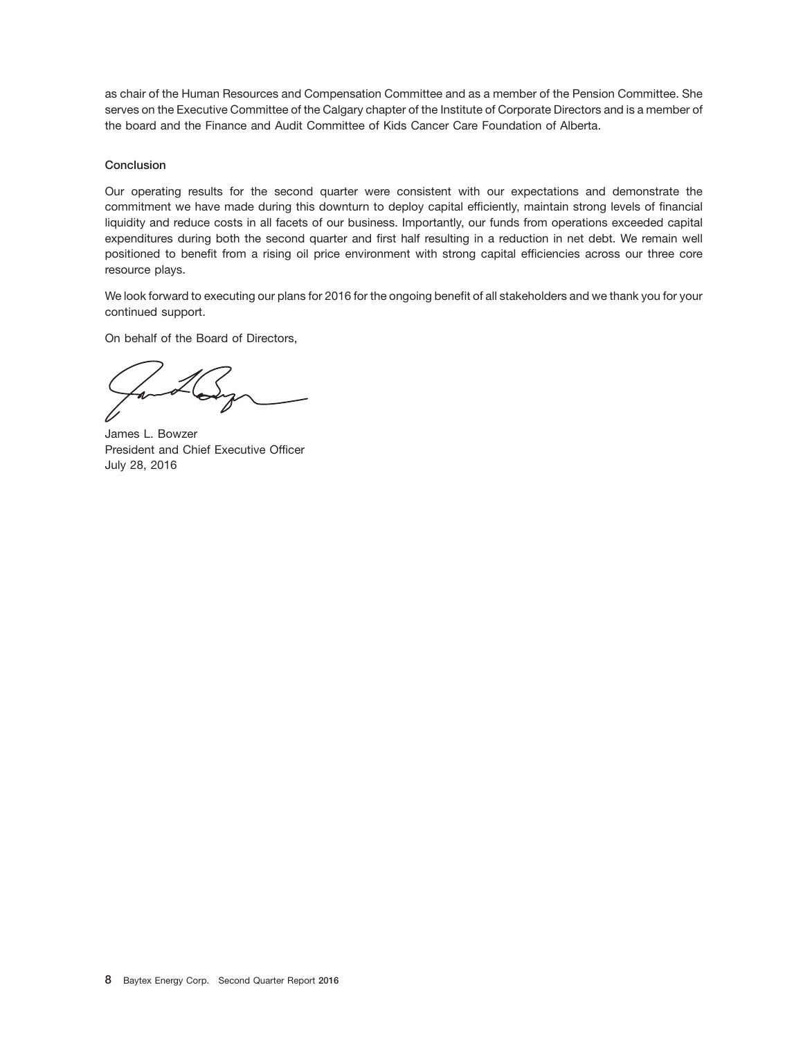as chair of the Human Resources and Compensation Committee and as a member of the Pension Committee. She serves on the Executive Committee of the Calgary chapter of the Institute of Corporate Directors and is a member of the board and the Finance and Audit Committee of Kids Cancer Care Foundation of Alberta.

#### **Conclusion**

Our operating results for the second quarter were consistent with our expectations and demonstrate the commitment we have made during this downturn to deploy capital efficiently, maintain strong levels of financial liquidity and reduce costs in all facets of our business. Importantly, our funds from operations exceeded capital expenditures during both the second quarter and first half resulting in a reduction in net debt. We remain well positioned to benefit from a rising oil price environment with strong capital efficiencies across our three core resource plays.

We look forward to executing our plans for 2016 for the ongoing benefit of all stakeholders and we thank you for your continued support.

On behalf of the Board of Directors,

James L. Bowzer President and Chief Executive Officer July 28, 2016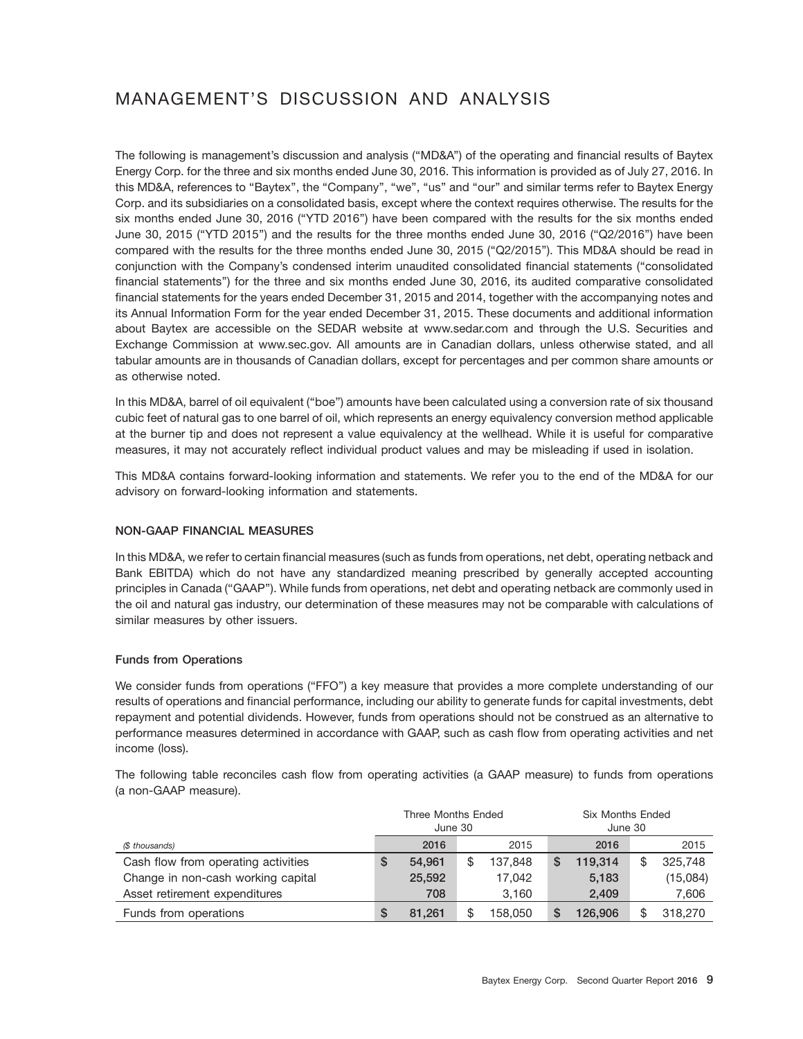# MANAGEMENT'S DISCUSSION AND ANALYSIS

The following is management's discussion and analysis (''MD&A'') of the operating and financial results of Baytex Energy Corp. for the three and six months ended June 30, 2016. This information is provided as of July 27, 2016. In this MD&A, references to "Baytex", the "Company", "we", "us" and "our" and similar terms refer to Baytex Energy Corp. and its subsidiaries on a consolidated basis, except where the context requires otherwise. The results for the six months ended June 30, 2016 (''YTD 2016'') have been compared with the results for the six months ended June 30, 2015 (''YTD 2015'') and the results for the three months ended June 30, 2016 (''Q2/2016'') have been compared with the results for the three months ended June 30, 2015 (''Q2/2015''). This MD&A should be read in conjunction with the Company's condensed interim unaudited consolidated financial statements (''consolidated financial statements'') for the three and six months ended June 30, 2016, its audited comparative consolidated financial statements for the years ended December 31, 2015 and 2014, together with the accompanying notes and its Annual Information Form for the year ended December 31, 2015. These documents and additional information about Baytex are accessible on the SEDAR website at www.sedar.com and through the U.S. Securities and Exchange Commission at www.sec.gov. All amounts are in Canadian dollars, unless otherwise stated, and all tabular amounts are in thousands of Canadian dollars, except for percentages and per common share amounts or as otherwise noted.

In this MD&A, barrel of oil equivalent (''boe'') amounts have been calculated using a conversion rate of six thousand cubic feet of natural gas to one barrel of oil, which represents an energy equivalency conversion method applicable at the burner tip and does not represent a value equivalency at the wellhead. While it is useful for comparative measures, it may not accurately reflect individual product values and may be misleading if used in isolation.

This MD&A contains forward-looking information and statements. We refer you to the end of the MD&A for our advisory on forward-looking information and statements.

## **NON-GAAP FINANCIAL MEASURES**

In this MD&A, we refer to certain financial measures (such as funds from operations, net debt, operating netback and Bank EBITDA) which do not have any standardized meaning prescribed by generally accepted accounting principles in Canada (''GAAP''). While funds from operations, net debt and operating netback are commonly used in the oil and natural gas industry, our determination of these measures may not be comparable with calculations of similar measures by other issuers.

#### **Funds from Operations**

We consider funds from operations ("FFO") a key measure that provides a more complete understanding of our results of operations and financial performance, including our ability to generate funds for capital investments, debt repayment and potential dividends. However, funds from operations should not be construed as an alternative to performance measures determined in accordance with GAAP, such as cash flow from operating activities and net income (loss).

The following table reconciles cash flow from operating activities (a GAAP measure) to funds from operations (a non-GAAP measure).

|                                     | Three Months Ended |         |    |         | Six Months Ended |         |    |          |
|-------------------------------------|--------------------|---------|----|---------|------------------|---------|----|----------|
|                                     |                    | June 30 |    |         | June 30          |         |    |          |
| (\$ thousands)                      |                    | 2016    |    | 2015    |                  | 2016    |    | 2015     |
| Cash flow from operating activities | S                  | 54.961  | \$ | 137.848 | S                | 119.314 | \$ | 325.748  |
| Change in non-cash working capital  |                    | 25,592  |    | 17.042  |                  | 5.183   |    | (15,084) |
| Asset retirement expenditures       |                    | 708     |    | 3,160   |                  | 2,409   |    | 7,606    |
| Funds from operations               |                    | 81.261  | \$ | 158.050 |                  | 126.906 |    | 318,270  |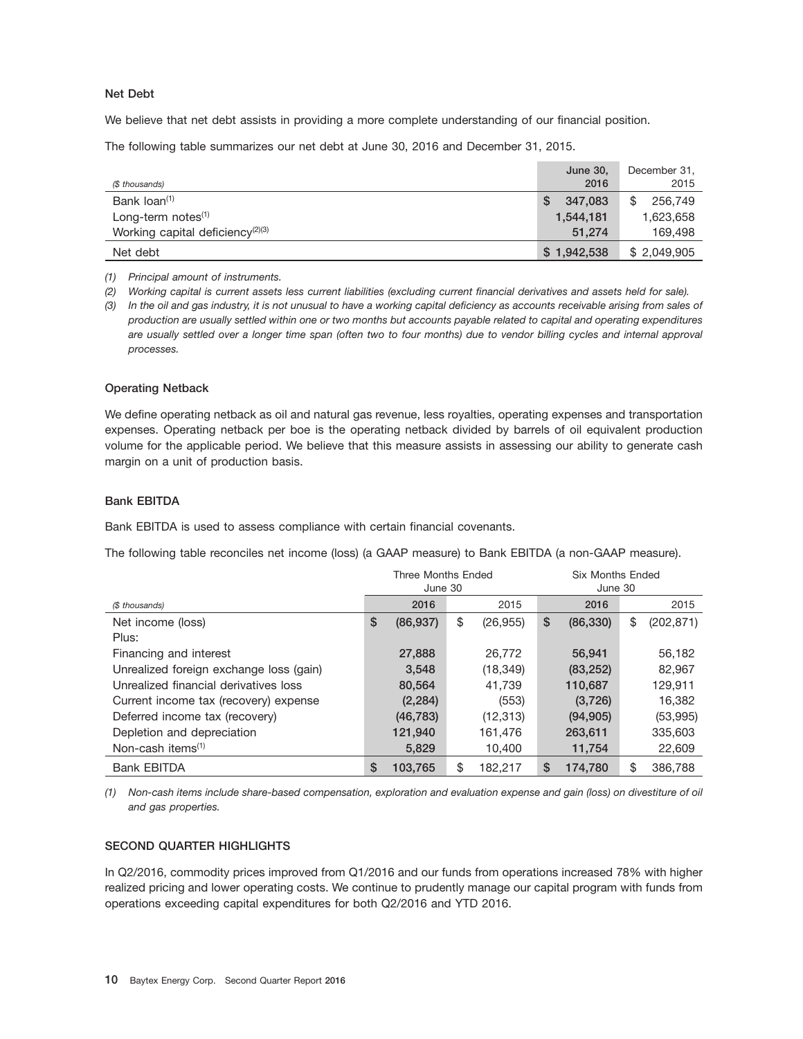#### **Net Debt**

We believe that net debt assists in providing a more complete understanding of our financial position.

The following table summarizes our net debt at June 30, 2016 and December 31, 2015.

| (\$ thousands)                               | June 30,<br>2016 | December 31,<br>2015 |
|----------------------------------------------|------------------|----------------------|
| Bank loan <sup>(1)</sup>                     | 347.083          | \$                   |
|                                              | S                | 256,749              |
| Long-term notes $(1)$                        | 1.544.181        | 1,623,658            |
| Working capital deficiency <sup>(2)(3)</sup> | 51.274           | 169,498              |
| Net debt                                     | \$1,942,538      | \$2,049,905          |

*(1) Principal amount of instruments.*

*(2) Working capital is current assets less current liabilities (excluding current financial derivatives and assets held for sale).*

*(3) In the oil and gas industry, it is not unusual to have a working capital deficiency as accounts receivable arising from sales of production are usually settled within one or two months but accounts payable related to capital and operating expenditures are usually settled over a longer time span (often two to four months) due to vendor billing cycles and internal approval processes.*

#### **Operating Netback**

We define operating netback as oil and natural gas revenue, less royalties, operating expenses and transportation expenses. Operating netback per boe is the operating netback divided by barrels of oil equivalent production volume for the applicable period. We believe that this measure assists in assessing our ability to generate cash margin on a unit of production basis.

#### **Bank EBITDA**

Bank EBITDA is used to assess compliance with certain financial covenants.

The following table reconciles net income (loss) (a GAAP measure) to Bank EBITDA (a non-GAAP measure).

|                                         | Three Months Ended<br>June 30 |                 | <b>Six Months Ended</b><br>June 30 |           |    |            |
|-----------------------------------------|-------------------------------|-----------------|------------------------------------|-----------|----|------------|
| (\$ thousands)                          | 2016                          | 2015            |                                    | 2016      |    | 2015       |
| Net income (loss)                       | \$<br>(86, 937)               | \$<br>(26, 955) | \$                                 | (86, 330) | \$ | (202, 871) |
| Plus:                                   |                               |                 |                                    |           |    |            |
| Financing and interest                  | 27,888                        | 26,772          |                                    | 56,941    |    | 56,182     |
| Unrealized foreign exchange loss (gain) | 3,548                         | (18, 349)       |                                    | (83, 252) |    | 82,967     |
| Unrealized financial derivatives loss   | 80,564                        | 41.739          |                                    | 110,687   |    | 129.911    |
| Current income tax (recovery) expense   | (2, 284)                      | (553)           |                                    | (3,726)   |    | 16,382     |
| Deferred income tax (recovery)          | (46, 783)                     | (12, 313)       |                                    | (94, 905) |    | (53,995)   |
| Depletion and depreciation              | 121,940                       | 161,476         |                                    | 263,611   |    | 335,603    |
| Non-cash items $(1)$                    | 5.829                         | 10.400          |                                    | 11,754    |    | 22,609     |
| <b>Bank EBITDA</b>                      | \$<br>103.765                 | \$<br>182.217   | \$                                 | 174,780   | \$ | 386,788    |

*(1) Non-cash items include share-based compensation, exploration and evaluation expense and gain (loss) on divestiture of oil and gas properties.*

#### **SECOND QUARTER HIGHLIGHTS**

In Q2/2016, commodity prices improved from Q1/2016 and our funds from operations increased 78% with higher realized pricing and lower operating costs. We continue to prudently manage our capital program with funds from operations exceeding capital expenditures for both Q2/2016 and YTD 2016.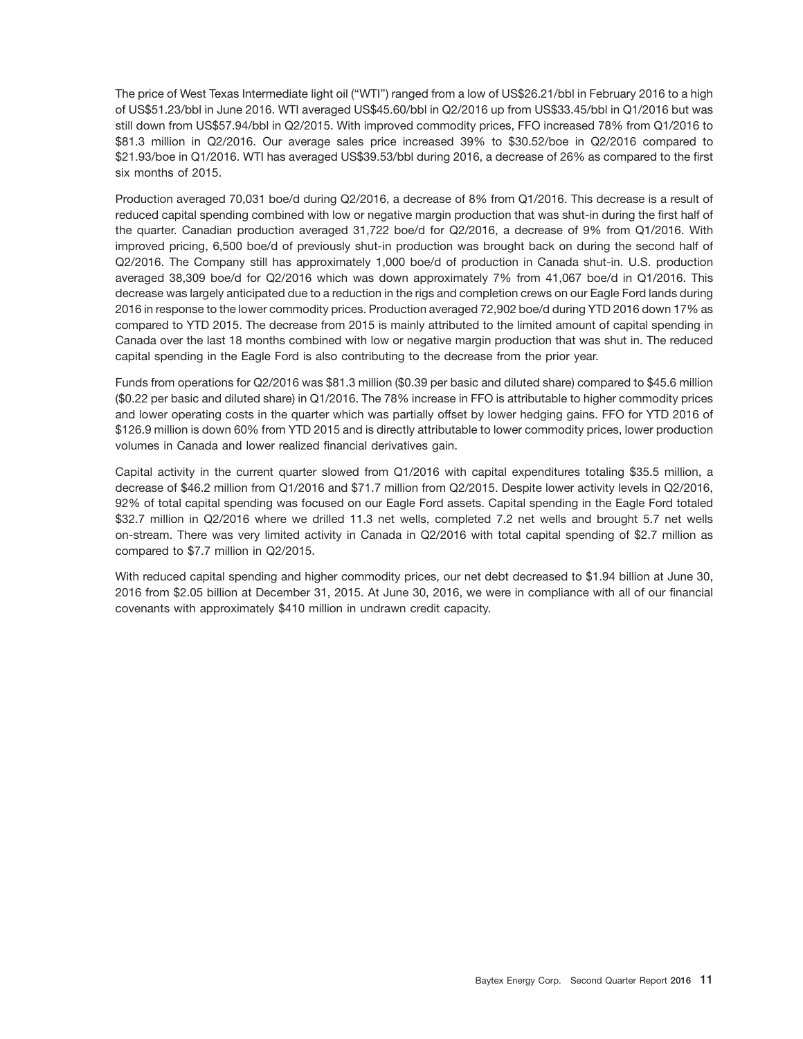The price of West Texas Intermediate light oil ("WTI") ranged from a low of US\$26.21/bbl in February 2016 to a high of US\$51.23/bbl in June 2016. WTI averaged US\$45.60/bbl in Q2/2016 up from US\$33.45/bbl in Q1/2016 but was still down from US\$57.94/bbl in Q2/2015. With improved commodity prices, FFO increased 78% from Q1/2016 to \$81.3 million in Q2/2016. Our average sales price increased 39% to \$30.52/boe in Q2/2016 compared to \$21.93/boe in Q1/2016. WTI has averaged US\$39.53/bbl during 2016, a decrease of 26% as compared to the first six months of 2015.

Production averaged 70,031 boe/d during Q2/2016, a decrease of 8% from Q1/2016. This decrease is a result of reduced capital spending combined with low or negative margin production that was shut-in during the first half of the quarter. Canadian production averaged 31,722 boe/d for Q2/2016, a decrease of 9% from Q1/2016. With improved pricing, 6,500 boe/d of previously shut-in production was brought back on during the second half of Q2/2016. The Company still has approximately 1,000 boe/d of production in Canada shut-in. U.S. production averaged 38,309 boe/d for Q2/2016 which was down approximately 7% from 41,067 boe/d in Q1/2016. This decrease was largely anticipated due to a reduction in the rigs and completion crews on our Eagle Ford lands during 2016 in response to the lower commodity prices. Production averaged 72,902 boe/d during YTD 2016 down 17% as compared to YTD 2015. The decrease from 2015 is mainly attributed to the limited amount of capital spending in Canada over the last 18 months combined with low or negative margin production that was shut in. The reduced capital spending in the Eagle Ford is also contributing to the decrease from the prior year.

Funds from operations for Q2/2016 was \$81.3 million (\$0.39 per basic and diluted share) compared to \$45.6 million (\$0.22 per basic and diluted share) in Q1/2016. The 78% increase in FFO is attributable to higher commodity prices and lower operating costs in the quarter which was partially offset by lower hedging gains. FFO for YTD 2016 of \$126.9 million is down 60% from YTD 2015 and is directly attributable to lower commodity prices, lower production volumes in Canada and lower realized financial derivatives gain.

Capital activity in the current quarter slowed from Q1/2016 with capital expenditures totaling \$35.5 million, a decrease of \$46.2 million from Q1/2016 and \$71.7 million from Q2/2015. Despite lower activity levels in Q2/2016, 92% of total capital spending was focused on our Eagle Ford assets. Capital spending in the Eagle Ford totaled \$32.7 million in Q2/2016 where we drilled 11.3 net wells, completed 7.2 net wells and brought 5.7 net wells on-stream. There was very limited activity in Canada in Q2/2016 with total capital spending of \$2.7 million as compared to \$7.7 million in Q2/2015.

With reduced capital spending and higher commodity prices, our net debt decreased to \$1.94 billion at June 30, 2016 from \$2.05 billion at December 31, 2015. At June 30, 2016, we were in compliance with all of our financial covenants with approximately \$410 million in undrawn credit capacity.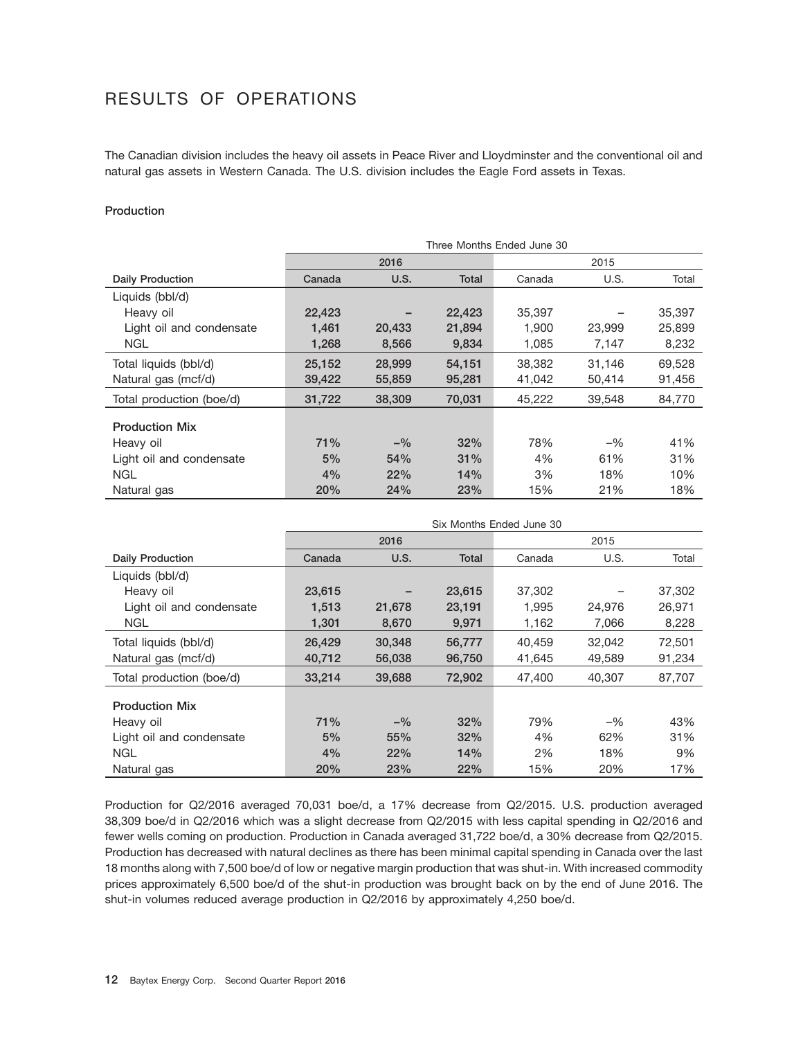# RESULTS OF OPERATIONS

The Canadian division includes the heavy oil assets in Peace River and Lloydminster and the conventional oil and natural gas assets in Western Canada. The U.S. division includes the Eagle Ford assets in Texas.

#### **Production**

|                          | Three Months Ended June 30 |            |        |        |        |        |  |  |  |  |  |
|--------------------------|----------------------------|------------|--------|--------|--------|--------|--|--|--|--|--|
|                          |                            | 2016       |        |        | 2015   |        |  |  |  |  |  |
| <b>Daily Production</b>  | Canada                     | U.S.       | Total  | Canada | U.S.   | Total  |  |  |  |  |  |
| Liquids (bbl/d)          |                            |            |        |        |        |        |  |  |  |  |  |
| Heavy oil                | 22,423                     |            | 22,423 | 35,397 |        | 35,397 |  |  |  |  |  |
| Light oil and condensate | 1,461                      | 20,433     | 21,894 | 1.900  | 23,999 | 25,899 |  |  |  |  |  |
| <b>NGL</b>               | 1,268                      | 8,566      | 9,834  | 1,085  | 7,147  | 8,232  |  |  |  |  |  |
| Total liquids (bbl/d)    | 25,152                     | 28,999     | 54,151 | 38,382 | 31,146 | 69,528 |  |  |  |  |  |
| Natural gas (mcf/d)      | 39,422                     | 55,859     | 95,281 | 41,042 | 50,414 | 91,456 |  |  |  |  |  |
| Total production (boe/d) | 31,722                     | 38,309     | 70,031 | 45,222 | 39,548 | 84,770 |  |  |  |  |  |
| <b>Production Mix</b>    |                            |            |        |        |        |        |  |  |  |  |  |
| Heavy oil                | 71%                        | $-$ %      | 32%    | 78%    | $-$ %  | 41%    |  |  |  |  |  |
| Light oil and condensate | 5%                         | 54%        | 31%    | 4%     | 61%    | 31%    |  |  |  |  |  |
| <b>NGL</b>               | 4%                         | <b>22%</b> | 14%    | 3%     | 18%    | 10%    |  |  |  |  |  |
| Natural gas              | 20%                        | 24%        | 23%    | 15%    | 21%    | 18%    |  |  |  |  |  |

|                          | Six Months Ended June 30 |        |        |        |        |        |  |  |  |  |  |
|--------------------------|--------------------------|--------|--------|--------|--------|--------|--|--|--|--|--|
|                          |                          | 2016   |        |        | 2015   |        |  |  |  |  |  |
| <b>Daily Production</b>  | Canada                   | U.S.   | Total  | Canada | U.S.   | Total  |  |  |  |  |  |
| Liquids (bbl/d)          |                          |        |        |        |        |        |  |  |  |  |  |
| Heavy oil                | 23,615                   |        | 23,615 | 37,302 |        | 37,302 |  |  |  |  |  |
| Light oil and condensate | 1,513                    | 21,678 | 23,191 | 1,995  | 24,976 | 26,971 |  |  |  |  |  |
| <b>NGL</b>               | 1,301                    | 8,670  | 9,971  | 1,162  | 7,066  | 8,228  |  |  |  |  |  |
| Total liquids (bbl/d)    | 26,429                   | 30,348 | 56,777 | 40,459 | 32,042 | 72,501 |  |  |  |  |  |
| Natural gas (mcf/d)      | 40,712                   | 56,038 | 96,750 | 41,645 | 49,589 | 91,234 |  |  |  |  |  |
| Total production (boe/d) | 33,214                   | 39,688 | 72.902 | 47.400 | 40.307 | 87,707 |  |  |  |  |  |
|                          |                          |        |        |        |        |        |  |  |  |  |  |
| <b>Production Mix</b>    |                          |        |        |        |        |        |  |  |  |  |  |
| Heavy oil                | 71%                      | $-$ %  | 32%    | 79%    | $-$ %  | 43%    |  |  |  |  |  |
| Light oil and condensate | 5%                       | 55%    | 32%    | 4%     | 62%    | 31%    |  |  |  |  |  |
| <b>NGL</b>               | 4%                       | 22%    | 14%    | 2%     | 18%    | 9%     |  |  |  |  |  |
| Natural gas              | 20%                      | 23%    | 22%    | 15%    | 20%    | 17%    |  |  |  |  |  |

Production for Q2/2016 averaged 70,031 boe/d, a 17% decrease from Q2/2015. U.S. production averaged 38,309 boe/d in Q2/2016 which was a slight decrease from Q2/2015 with less capital spending in Q2/2016 and fewer wells coming on production. Production in Canada averaged 31,722 boe/d, a 30% decrease from Q2/2015. Production has decreased with natural declines as there has been minimal capital spending in Canada over the last 18 months along with 7,500 boe/d of low or negative margin production that was shut-in. With increased commodity prices approximately 6,500 boe/d of the shut-in production was brought back on by the end of June 2016. The shut-in volumes reduced average production in Q2/2016 by approximately 4,250 boe/d.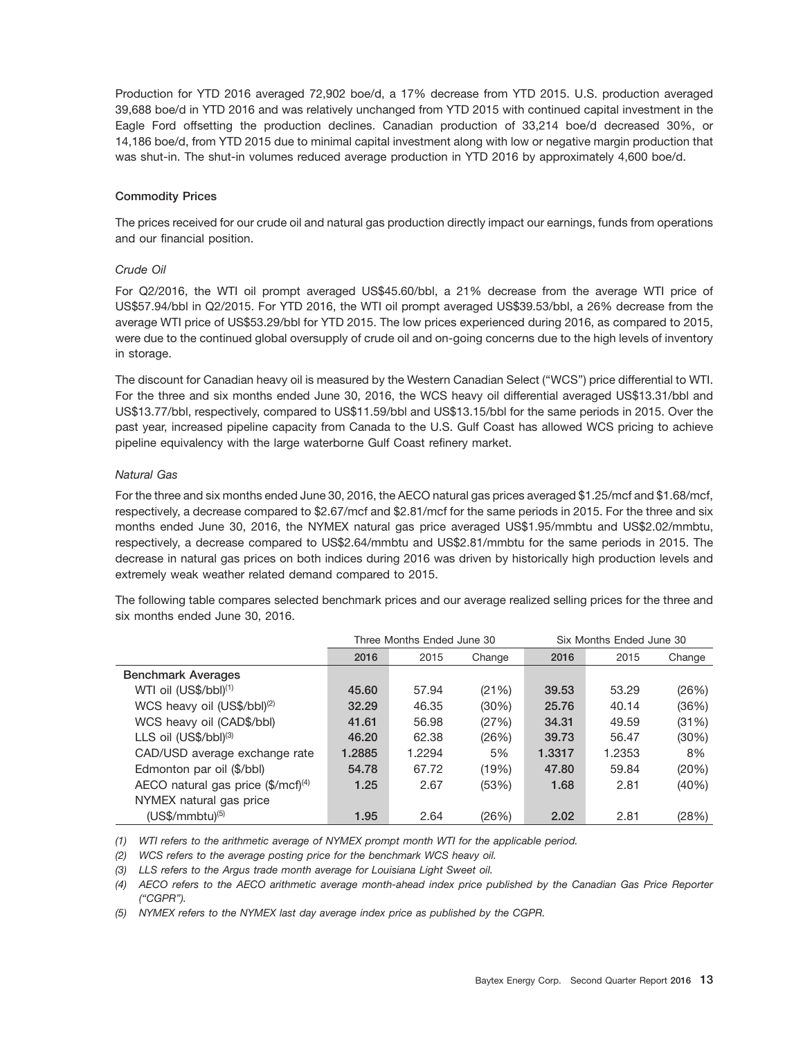Production for YTD 2016 averaged 72,902 boe/d, a 17% decrease from YTD 2015. U.S. production averaged 39,688 boe/d in YTD 2016 and was relatively unchanged from YTD 2015 with continued capital investment in the Eagle Ford offsetting the production declines. Canadian production of 33,214 boe/d decreased 30%, or 14,186 boe/d, from YTD 2015 due to minimal capital investment along with low or negative margin production that was shut-in. The shut-in volumes reduced average production in YTD 2016 by approximately 4,600 boe/d.

#### **Commodity Prices**

The prices received for our crude oil and natural gas production directly impact our earnings, funds from operations and our financial position.

#### *Crude Oil*

For Q2/2016, the WTI oil prompt averaged US\$45.60/bbl, a 21% decrease from the average WTI price of US\$57.94/bbl in Q2/2015. For YTD 2016, the WTI oil prompt averaged US\$39.53/bbl, a 26% decrease from the average WTI price of US\$53.29/bbl for YTD 2015. The low prices experienced during 2016, as compared to 2015, were due to the continued global oversupply of crude oil and on-going concerns due to the high levels of inventory in storage.

The discount for Canadian heavy oil is measured by the Western Canadian Select (''WCS'') price differential to WTI. For the three and six months ended June 30, 2016, the WCS heavy oil differential averaged US\$13.31/bbl and US\$13.77/bbl, respectively, compared to US\$11.59/bbl and US\$13.15/bbl for the same periods in 2015. Over the past year, increased pipeline capacity from Canada to the U.S. Gulf Coast has allowed WCS pricing to achieve pipeline equivalency with the large waterborne Gulf Coast refinery market.

#### *Natural Gas*

For the three and six months ended June 30, 2016, the AECO natural gas prices averaged \$1.25/mcf and \$1.68/mcf, respectively, a decrease compared to \$2.67/mcf and \$2.81/mcf for the same periods in 2015. For the three and six months ended June 30, 2016, the NYMEX natural gas price averaged US\$1.95/mmbtu and US\$2.02/mmbtu, respectively, a decrease compared to US\$2.64/mmbtu and US\$2.81/mmbtu for the same periods in 2015. The decrease in natural gas prices on both indices during 2016 was driven by historically high production levels and extremely weak weather related demand compared to 2015.

The following table compares selected benchmark prices and our average realized selling prices for the three and six months ended June 30, 2016.

|                                                |        | Three Months Ended June 30 |        | Six Months Ended June 30 |        |        |  |
|------------------------------------------------|--------|----------------------------|--------|--------------------------|--------|--------|--|
|                                                | 2016   | 2015                       | Change | 2016                     | 2015   | Change |  |
| <b>Benchmark Averages</b>                      |        |                            |        |                          |        |        |  |
| $WTI$ oil $(US$/bbI)^{(1)}$                    | 45.60  | 57.94                      | (21%)  | 39.53                    | 53.29  | (26%)  |  |
| WCS heavy oil (US\$/bbl) <sup>(2)</sup>        | 32.29  | 46.35                      | (30%)  | 25.76                    | 40.14  | (36%)  |  |
| WCS heavy oil (CAD\$/bbl)                      | 41.61  | 56.98                      | (27%)  | 34.31                    | 49.59  | (31%)  |  |
| LLS oil $(US$/bbI)^{(3)}$                      | 46.20  | 62.38                      | (26%)  | 39.73                    | 56.47  | (30%)  |  |
| CAD/USD average exchange rate                  | 1.2885 | 1.2294                     | 5%     | 1.3317                   | 1.2353 | 8%     |  |
| Edmonton par oil (\$/bbl)                      | 54.78  | 67.72                      | (19%)  | 47.80                    | 59.84  | (20%)  |  |
| AECO natural gas price $(\frac{5}{mcf})^{(4)}$ | 1.25   | 2.67                       | (53%)  | 1.68                     | 2.81   | (40%)  |  |
| NYMEX natural gas price                        |        |                            |        |                          |        |        |  |
| $(USS/mm$ btu $)^{(5)}$                        | 1.95   | 2.64                       | (26%)  | 2.02                     | 2.81   | (28%)  |  |

*(1) WTI refers to the arithmetic average of NYMEX prompt month WTI for the applicable period.*

*(2) WCS refers to the average posting price for the benchmark WCS heavy oil.*

*(3) LLS refers to the Argus trade month average for Louisiana Light Sweet oil.*

*(4) AECO refers to the AECO arithmetic average month-ahead index price published by the Canadian Gas Price Reporter (''CGPR'').*

*(5) NYMEX refers to the NYMEX last day average index price as published by the CGPR.*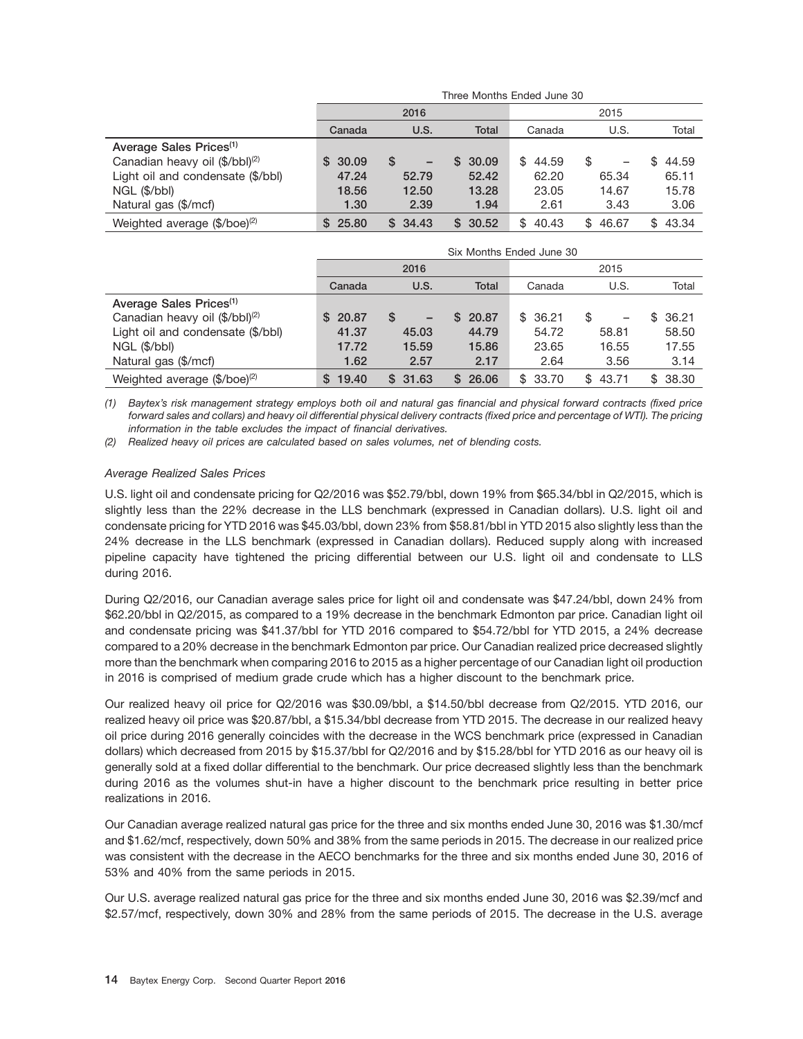|                                            |             | Three Months Ended June 30 |              |              |              |              |  |  |  |  |  |
|--------------------------------------------|-------------|----------------------------|--------------|--------------|--------------|--------------|--|--|--|--|--|
|                                            |             | 2016                       |              | 2015         |              |              |  |  |  |  |  |
|                                            | Canada      | U.S.                       | <b>Total</b> | Canada       | U.S.         | Total        |  |  |  |  |  |
| Average Sales Prices <sup>(1)</sup>        |             |                            |              |              |              |              |  |  |  |  |  |
| Canadian heavy oil (\$/bbl) <sup>(2)</sup> | 30.09<br>S. | S<br>-                     | \$30.09      | 44.59<br>\$. | \$<br>-      | 44.59<br>\$. |  |  |  |  |  |
| Light oil and condensate (\$/bbl)          | 47.24       | 52.79                      | 52.42        | 62.20        | 65.34        | 65.11        |  |  |  |  |  |
| NGL (\$/bbl)                               | 18.56       | 12.50                      | 13.28        | 23.05        | 14.67        | 15.78        |  |  |  |  |  |
| Natural gas (\$/mcf)                       | 1.30        | 2.39                       | 1.94         | 2.61         | 3.43         | 3.06         |  |  |  |  |  |
| Weighted average $(\frac{6}{\log^2})$      | 25.80<br>S. | \$34.43                    | \$30.52      | 40.43<br>\$. | 46.67<br>\$. | 43.34<br>\$. |  |  |  |  |  |

|                                            |             | Six Months Ended June 30 |              |         |             |              |  |  |  |  |  |
|--------------------------------------------|-------------|--------------------------|--------------|---------|-------------|--------------|--|--|--|--|--|
|                                            |             | 2016                     |              | 2015    |             |              |  |  |  |  |  |
|                                            | Canada      | U.S.                     | <b>Total</b> | Canada  | U.S.        | Total        |  |  |  |  |  |
| Average Sales Prices <sup>(1)</sup>        |             |                          |              |         |             |              |  |  |  |  |  |
| Canadian heavy oil (\$/bbl) <sup>(2)</sup> | 20.87<br>S. | \$.<br>-                 | 20.87<br>SS. | \$36.21 | \$          | 36.21<br>£.  |  |  |  |  |  |
| Light oil and condensate (\$/bbl)          | 41.37       | 45.03                    | 44.79        | 54.72   | 58.81       | 58.50        |  |  |  |  |  |
| NGL (\$/bbl)                               | 17.72       | 15.59                    | 15.86        | 23.65   | 16.55       | 17.55        |  |  |  |  |  |
| Natural gas (\$/mcf)                       | 1.62        | 2.57                     | 2.17         | 2.64    | 3.56        | 3.14         |  |  |  |  |  |
| Weighted average (\$/boe) <sup>(2)</sup>   | 19.40<br>S  | \$31.63                  | 26.06<br>SS. | \$33.70 | 43.71<br>\$ | 38.30<br>\$. |  |  |  |  |  |

*(1) Baytex's risk management strategy employs both oil and natural gas financial and physical forward contracts (fixed price forward sales and collars) and heavy oil differential physical delivery contracts (fixed price and percentage of WTI). The pricing information in the table excludes the impact of financial derivatives.*

*(2) Realized heavy oil prices are calculated based on sales volumes, net of blending costs.*

#### *Average Realized Sales Prices*

U.S. light oil and condensate pricing for Q2/2016 was \$52.79/bbl, down 19% from \$65.34/bbl in Q2/2015, which is slightly less than the 22% decrease in the LLS benchmark (expressed in Canadian dollars). U.S. light oil and condensate pricing for YTD 2016 was \$45.03/bbl, down 23% from \$58.81/bbl in YTD 2015 also slightly less than the 24% decrease in the LLS benchmark (expressed in Canadian dollars). Reduced supply along with increased pipeline capacity have tightened the pricing differential between our U.S. light oil and condensate to LLS during 2016.

During Q2/2016, our Canadian average sales price for light oil and condensate was \$47.24/bbl, down 24% from \$62.20/bbl in Q2/2015, as compared to a 19% decrease in the benchmark Edmonton par price. Canadian light oil and condensate pricing was \$41.37/bbl for YTD 2016 compared to \$54.72/bbl for YTD 2015, a 24% decrease compared to a 20% decrease in the benchmark Edmonton par price. Our Canadian realized price decreased slightly more than the benchmark when comparing 2016 to 2015 as a higher percentage of our Canadian light oil production in 2016 is comprised of medium grade crude which has a higher discount to the benchmark price.

Our realized heavy oil price for Q2/2016 was \$30.09/bbl, a \$14.50/bbl decrease from Q2/2015. YTD 2016, our realized heavy oil price was \$20.87/bbl, a \$15.34/bbl decrease from YTD 2015. The decrease in our realized heavy oil price during 2016 generally coincides with the decrease in the WCS benchmark price (expressed in Canadian dollars) which decreased from 2015 by \$15.37/bbl for Q2/2016 and by \$15.28/bbl for YTD 2016 as our heavy oil is generally sold at a fixed dollar differential to the benchmark. Our price decreased slightly less than the benchmark during 2016 as the volumes shut-in have a higher discount to the benchmark price resulting in better price realizations in 2016.

Our Canadian average realized natural gas price for the three and six months ended June 30, 2016 was \$1.30/mcf and \$1.62/mcf, respectively, down 50% and 38% from the same periods in 2015. The decrease in our realized price was consistent with the decrease in the AECO benchmarks for the three and six months ended June 30, 2016 of 53% and 40% from the same periods in 2015.

Our U.S. average realized natural gas price for the three and six months ended June 30, 2016 was \$2.39/mcf and \$2.57/mcf, respectively, down 30% and 28% from the same periods of 2015. The decrease in the U.S. average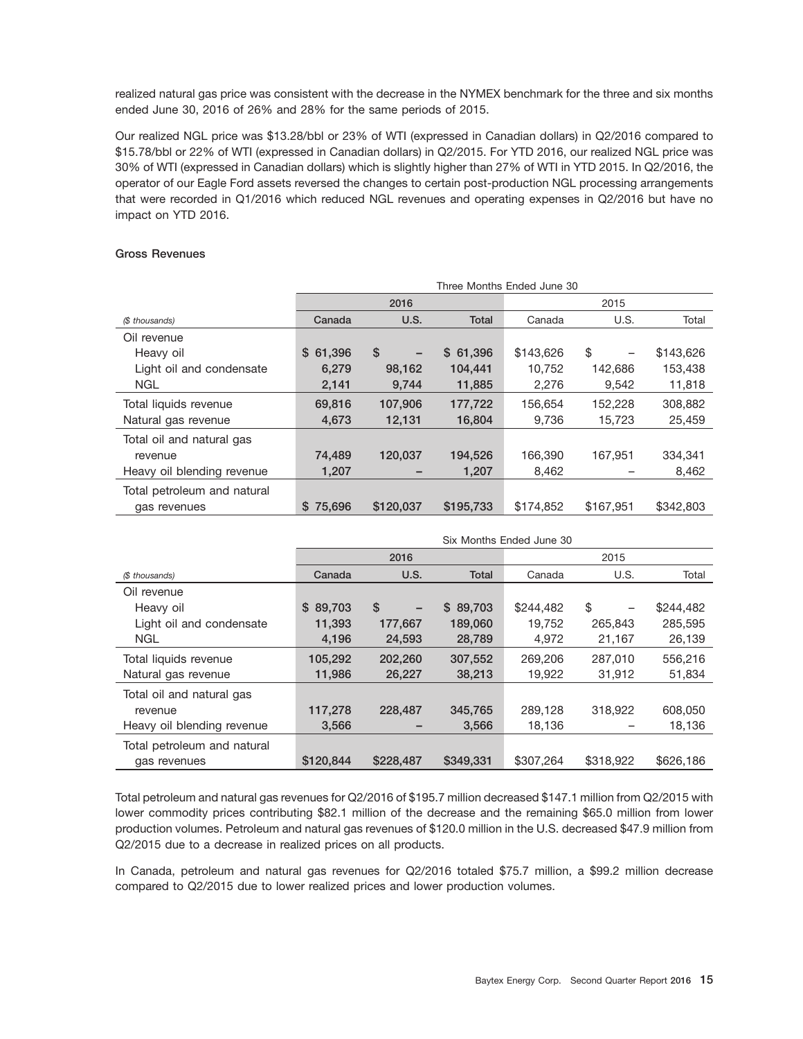realized natural gas price was consistent with the decrease in the NYMEX benchmark for the three and six months ended June 30, 2016 of 26% and 28% for the same periods of 2015.

Our realized NGL price was \$13.28/bbl or 23% of WTI (expressed in Canadian dollars) in Q2/2016 compared to \$15.78/bbl or 22% of WTI (expressed in Canadian dollars) in Q2/2015. For YTD 2016, our realized NGL price was 30% of WTI (expressed in Canadian dollars) which is slightly higher than 27% of WTI in YTD 2015. In Q2/2016, the operator of our Eagle Ford assets reversed the changes to certain post-production NGL processing arrangements that were recorded in Q1/2016 which reduced NGL revenues and operating expenses in Q2/2016 but have no impact on YTD 2016.

#### **Gross Revenues**

|                             | Three Months Ended June 30 |           |           |           |           |           |  |  |  |  |  |  |
|-----------------------------|----------------------------|-----------|-----------|-----------|-----------|-----------|--|--|--|--|--|--|
|                             |                            | 2016      |           |           | 2015      |           |  |  |  |  |  |  |
| (\$ thousands)              | Canada                     | U.S.      | Total     | Canada    | U.S.      | Total     |  |  |  |  |  |  |
| Oil revenue                 |                            |           |           |           |           |           |  |  |  |  |  |  |
| Heavy oil                   | \$61,396                   | \$        | \$61,396  | \$143,626 | \$        | \$143,626 |  |  |  |  |  |  |
| Light oil and condensate    | 6,279                      | 98,162    | 104,441   | 10,752    | 142,686   | 153,438   |  |  |  |  |  |  |
| <b>NGL</b>                  | 2,141                      | 9,744     | 11,885    | 2,276     | 9,542     | 11,818    |  |  |  |  |  |  |
| Total liquids revenue       | 69,816                     | 107,906   | 177,722   | 156,654   | 152,228   | 308,882   |  |  |  |  |  |  |
| Natural gas revenue         | 4,673                      | 12,131    | 16,804    | 9,736     | 15,723    | 25,459    |  |  |  |  |  |  |
| Total oil and natural gas   |                            |           |           |           |           |           |  |  |  |  |  |  |
| revenue                     | 74,489                     | 120,037   | 194,526   | 166,390   | 167.951   | 334,341   |  |  |  |  |  |  |
| Heavy oil blending revenue  | 1,207                      |           | 1,207     | 8,462     |           | 8,462     |  |  |  |  |  |  |
| Total petroleum and natural |                            |           |           |           |           |           |  |  |  |  |  |  |
| gas revenues                | \$75,696                   | \$120,037 | \$195,733 | \$174,852 | \$167.951 | \$342,803 |  |  |  |  |  |  |

|                             |           | Six Months Ended June 30 |           |           |                                |           |  |  |  |  |  |
|-----------------------------|-----------|--------------------------|-----------|-----------|--------------------------------|-----------|--|--|--|--|--|
|                             |           | 2016                     |           | 2015      |                                |           |  |  |  |  |  |
| (\$ thousands)              | Canada    | U.S.                     | Total     | Canada    | U.S.                           | Total     |  |  |  |  |  |
| Oil revenue                 |           |                          |           |           |                                |           |  |  |  |  |  |
| Heavy oil                   | \$89,703  | \$<br>-                  | \$89,703  | \$244,482 | \$<br>$\overline{\phantom{0}}$ | \$244,482 |  |  |  |  |  |
| Light oil and condensate    | 11,393    | 177,667                  | 189,060   | 19.752    | 265,843                        | 285,595   |  |  |  |  |  |
| <b>NGL</b>                  | 4,196     | 24,593                   | 28,789    | 4,972     | 21,167                         | 26,139    |  |  |  |  |  |
| Total liquids revenue       | 105,292   | 202,260                  | 307,552   | 269,206   | 287,010                        | 556,216   |  |  |  |  |  |
| Natural gas revenue         | 11,986    | 26,227                   | 38,213    | 19,922    | 31,912                         | 51,834    |  |  |  |  |  |
| Total oil and natural gas   |           |                          |           |           |                                |           |  |  |  |  |  |
| revenue                     | 117,278   | 228,487                  | 345,765   | 289,128   | 318,922                        | 608,050   |  |  |  |  |  |
| Heavy oil blending revenue  | 3,566     |                          | 3,566     | 18,136    |                                | 18,136    |  |  |  |  |  |
| Total petroleum and natural |           |                          |           |           |                                |           |  |  |  |  |  |
| gas revenues                | \$120,844 | \$228,487                | \$349,331 | \$307,264 | \$318,922                      | \$626,186 |  |  |  |  |  |

Total petroleum and natural gas revenues for Q2/2016 of \$195.7 million decreased \$147.1 million from Q2/2015 with lower commodity prices contributing \$82.1 million of the decrease and the remaining \$65.0 million from lower production volumes. Petroleum and natural gas revenues of \$120.0 million in the U.S. decreased \$47.9 million from Q2/2015 due to a decrease in realized prices on all products.

In Canada, petroleum and natural gas revenues for Q2/2016 totaled \$75.7 million, a \$99.2 million decrease compared to Q2/2015 due to lower realized prices and lower production volumes.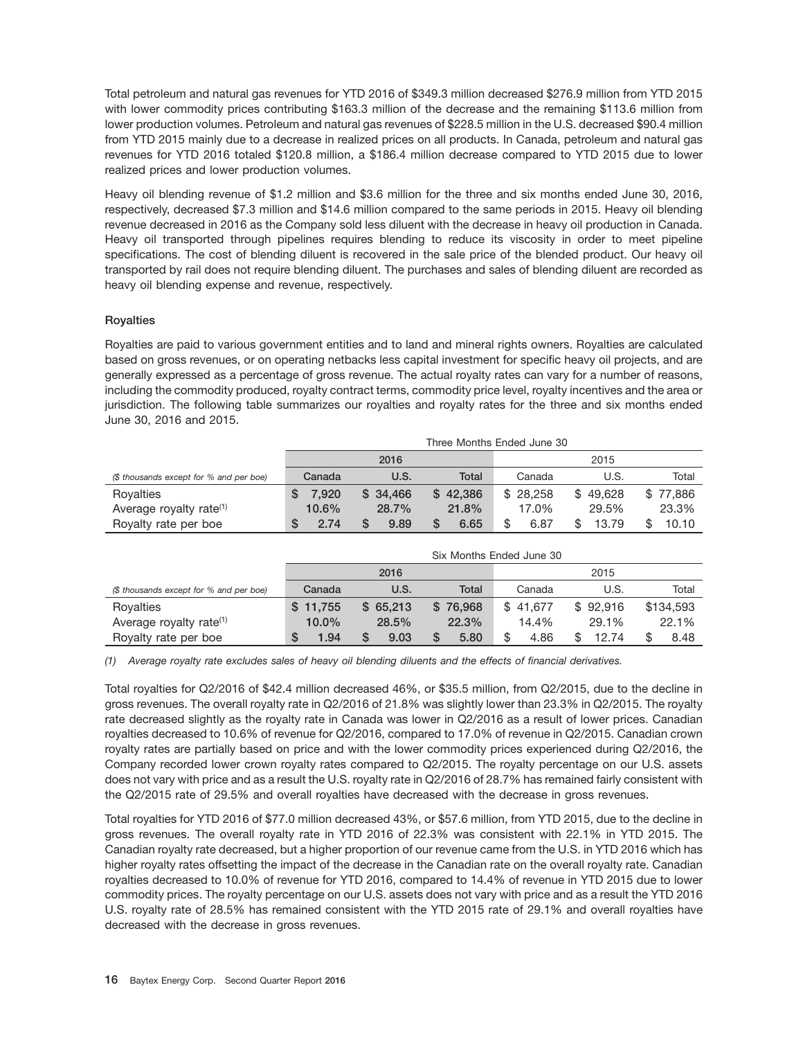Total petroleum and natural gas revenues for YTD 2016 of \$349.3 million decreased \$276.9 million from YTD 2015 with lower commodity prices contributing \$163.3 million of the decrease and the remaining \$113.6 million from lower production volumes. Petroleum and natural gas revenues of \$228.5 million in the U.S. decreased \$90.4 million from YTD 2015 mainly due to a decrease in realized prices on all products. In Canada, petroleum and natural gas revenues for YTD 2016 totaled \$120.8 million, a \$186.4 million decrease compared to YTD 2015 due to lower realized prices and lower production volumes.

Heavy oil blending revenue of \$1.2 million and \$3.6 million for the three and six months ended June 30, 2016, respectively, decreased \$7.3 million and \$14.6 million compared to the same periods in 2015. Heavy oil blending revenue decreased in 2016 as the Company sold less diluent with the decrease in heavy oil production in Canada. Heavy oil transported through pipelines requires blending to reduce its viscosity in order to meet pipeline specifications. The cost of blending diluent is recovered in the sale price of the blended product. Our heavy oil transported by rail does not require blending diluent. The purchases and sales of blending diluent are recorded as heavy oil blending expense and revenue, respectively.

#### **Royalties**

Royalties are paid to various government entities and to land and mineral rights owners. Royalties are calculated based on gross revenues, or on operating netbacks less capital investment for specific heavy oil projects, and are generally expressed as a percentage of gross revenue. The actual royalty rates can vary for a number of reasons, including the commodity produced, royalty contract terms, commodity price level, royalty incentives and the area or jurisdiction. The following table summarizes our royalties and royalty rates for the three and six months ended June 30, 2016 and 2015.

|                                         | Three Months Ended June 30 |          |          |            |          |          |  |  |  |  |
|-----------------------------------------|----------------------------|----------|----------|------------|----------|----------|--|--|--|--|
|                                         |                            | 2016     |          |            | 2015     |          |  |  |  |  |
| (\$ thousands except for % and per boe) | Canada                     | U.S.     | Total    | Canada     | U.S.     | Total    |  |  |  |  |
| Royalties                               | 7.920                      | \$34,466 | \$42,386 | \$28.258   | \$49.628 | \$77,886 |  |  |  |  |
| Average royalty rate <sup>(1)</sup>     | $10.6\%$                   | 28.7%    | 21.8%    | 17.0%      | 29.5%    | 23.3%    |  |  |  |  |
| Royalty rate per boe                    | 2.74                       | 9.89     | 6.65     | \$<br>6.87 | 13.79    | 10.10    |  |  |  |  |

|                                         | Six Months Ended June 30 |              |          |            |          |            |  |  |  |  |  |
|-----------------------------------------|--------------------------|--------------|----------|------------|----------|------------|--|--|--|--|--|
|                                         |                          | 2015<br>2016 |          |            |          |            |  |  |  |  |  |
| (\$ thousands except for % and per boe) | Canada                   | U.S.         | Total    | Canada     | U.S.     | Total      |  |  |  |  |  |
| Royalties                               | \$11.755                 | \$65.213     | \$76,968 | \$41.677   | \$92.916 | \$134,593  |  |  |  |  |  |
| Average royalty rate <sup>(1)</sup>     | $10.0\%$                 | 28.5%        | 22.3%    | 14.4%      | 29.1%    | 22.1%      |  |  |  |  |  |
| Royalty rate per boe                    | 1.94<br>S                | 9.03<br>S    | 5.80     | \$<br>4.86 | 12.74    | 8.48<br>\$ |  |  |  |  |  |

*(1) Average royalty rate excludes sales of heavy oil blending diluents and the effects of financial derivatives.*

Total royalties for Q2/2016 of \$42.4 million decreased 46%, or \$35.5 million, from Q2/2015, due to the decline in gross revenues. The overall royalty rate in Q2/2016 of 21.8% was slightly lower than 23.3% in Q2/2015. The royalty rate decreased slightly as the royalty rate in Canada was lower in Q2/2016 as a result of lower prices. Canadian royalties decreased to 10.6% of revenue for Q2/2016, compared to 17.0% of revenue in Q2/2015. Canadian crown royalty rates are partially based on price and with the lower commodity prices experienced during Q2/2016, the Company recorded lower crown royalty rates compared to Q2/2015. The royalty percentage on our U.S. assets does not vary with price and as a result the U.S. royalty rate in Q2/2016 of 28.7% has remained fairly consistent with the Q2/2015 rate of 29.5% and overall royalties have decreased with the decrease in gross revenues.

Total royalties for YTD 2016 of \$77.0 million decreased 43%, or \$57.6 million, from YTD 2015, due to the decline in gross revenues. The overall royalty rate in YTD 2016 of 22.3% was consistent with 22.1% in YTD 2015. The Canadian royalty rate decreased, but a higher proportion of our revenue came from the U.S. in YTD 2016 which has higher royalty rates offsetting the impact of the decrease in the Canadian rate on the overall royalty rate. Canadian royalties decreased to 10.0% of revenue for YTD 2016, compared to 14.4% of revenue in YTD 2015 due to lower commodity prices. The royalty percentage on our U.S. assets does not vary with price and as a result the YTD 2016 U.S. royalty rate of 28.5% has remained consistent with the YTD 2015 rate of 29.1% and overall royalties have decreased with the decrease in gross revenues.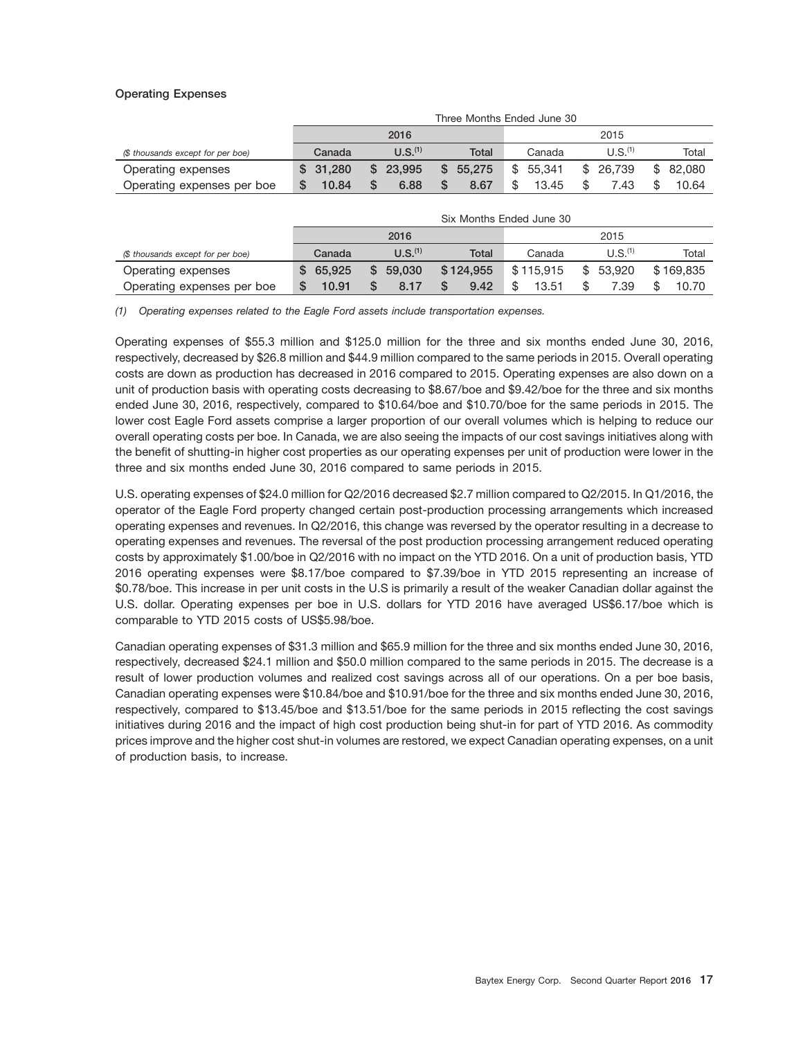#### **Operating Expenses**

|                                   | Three Months Ended June 30 |                     |              |              |                     |               |  |  |  |  |
|-----------------------------------|----------------------------|---------------------|--------------|--------------|---------------------|---------------|--|--|--|--|
|                                   |                            | 2016                |              | 2015         |                     |               |  |  |  |  |
| (\$ thousands except for per boe) | Canada                     | U.S. <sup>(1)</sup> | Total        | Canada       | U.S. <sup>(1)</sup> | Total         |  |  |  |  |
| Operating expenses                | \$31,280                   | 23.995<br>S.        | 55.275<br>S. | 55.341<br>\$ | 26.739<br>\$        | 82.080<br>\$. |  |  |  |  |
| Operating expenses per boe        | 10.84                      | 6.88                | 8.67         | 13.45        | 7.43                | 10.64         |  |  |  |  |

|                                   | Six Months Ended June 30 |                     |           |           |                     |           |  |  |  |  |
|-----------------------------------|--------------------------|---------------------|-----------|-----------|---------------------|-----------|--|--|--|--|
|                                   |                          | 2016<br>2015        |           |           |                     |           |  |  |  |  |
| (\$ thousands except for per boe) | Canada                   | U.S. <sup>(1)</sup> | Total     | Canada    | U.S. <sup>(1)</sup> | Total     |  |  |  |  |
| Operating expenses                | 65.925                   | 59,030<br>S.        | \$124.955 | \$115,915 | \$<br>53.920        | \$169,835 |  |  |  |  |
| Operating expenses per boe        | 10.91                    | 8.17                | 9.42      | 13.51     | 7.39                | 10.70     |  |  |  |  |

*(1) Operating expenses related to the Eagle Ford assets include transportation expenses.*

Operating expenses of \$55.3 million and \$125.0 million for the three and six months ended June 30, 2016, respectively, decreased by \$26.8 million and \$44.9 million compared to the same periods in 2015. Overall operating costs are down as production has decreased in 2016 compared to 2015. Operating expenses are also down on a unit of production basis with operating costs decreasing to \$8.67/boe and \$9.42/boe for the three and six months ended June 30, 2016, respectively, compared to \$10.64/boe and \$10.70/boe for the same periods in 2015. The lower cost Eagle Ford assets comprise a larger proportion of our overall volumes which is helping to reduce our overall operating costs per boe. In Canada, we are also seeing the impacts of our cost savings initiatives along with the benefit of shutting-in higher cost properties as our operating expenses per unit of production were lower in the three and six months ended June 30, 2016 compared to same periods in 2015.

U.S. operating expenses of \$24.0 million for Q2/2016 decreased \$2.7 million compared to Q2/2015. In Q1/2016, the operator of the Eagle Ford property changed certain post-production processing arrangements which increased operating expenses and revenues. In Q2/2016, this change was reversed by the operator resulting in a decrease to operating expenses and revenues. The reversal of the post production processing arrangement reduced operating costs by approximately \$1.00/boe in Q2/2016 with no impact on the YTD 2016. On a unit of production basis, YTD 2016 operating expenses were \$8.17/boe compared to \$7.39/boe in YTD 2015 representing an increase of \$0.78/boe. This increase in per unit costs in the U.S is primarily a result of the weaker Canadian dollar against the U.S. dollar. Operating expenses per boe in U.S. dollars for YTD 2016 have averaged US\$6.17/boe which is comparable to YTD 2015 costs of US\$5.98/boe.

Canadian operating expenses of \$31.3 million and \$65.9 million for the three and six months ended June 30, 2016, respectively, decreased \$24.1 million and \$50.0 million compared to the same periods in 2015. The decrease is a result of lower production volumes and realized cost savings across all of our operations. On a per boe basis, Canadian operating expenses were \$10.84/boe and \$10.91/boe for the three and six months ended June 30, 2016, respectively, compared to \$13.45/boe and \$13.51/boe for the same periods in 2015 reflecting the cost savings initiatives during 2016 and the impact of high cost production being shut-in for part of YTD 2016. As commodity prices improve and the higher cost shut-in volumes are restored, we expect Canadian operating expenses, on a unit of production basis, to increase.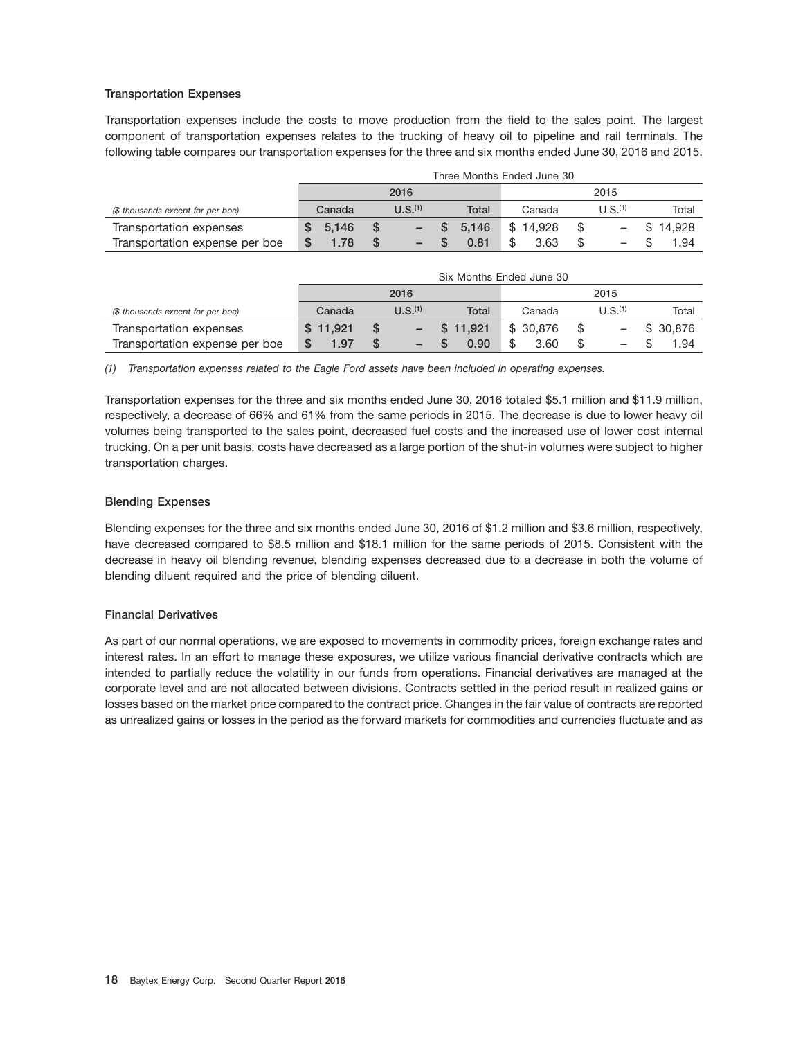#### **Transportation Expenses**

Transportation expenses include the costs to move production from the field to the sales point. The largest component of transportation expenses relates to the trucking of heavy oil to pipeline and rail terminals. The following table compares our transportation expenses for the three and six months ended June 30, 2016 and 2015.

|                                   |   | Three Months Ended June 30 |  |                     |  |       |          |  |                     |  |          |
|-----------------------------------|---|----------------------------|--|---------------------|--|-------|----------|--|---------------------|--|----------|
|                                   |   | 2016                       |  |                     |  |       | 2015     |  |                     |  |          |
| (\$ thousands except for per boe) |   | Canada                     |  | U.S. <sup>(1)</sup> |  | Total | Canada   |  | U.S. <sup>(1)</sup> |  | Total    |
| Transportation expenses           | S | 5.146                      |  |                     |  | 5.146 | \$14.928 |  |                     |  | \$14.928 |
| Transportation expense per boe    |   | 1.78                       |  |                     |  | 0.81  | 3.63     |  | -                   |  | 1.94     |

|                                   | Six Months Ended June 30 |                     |          |           |                     |          |  |  |  |
|-----------------------------------|--------------------------|---------------------|----------|-----------|---------------------|----------|--|--|--|
|                                   |                          | 2016                |          | 2015      |                     |          |  |  |  |
| (\$ thousands except for per boe) | Canada                   | U.S. <sup>(1)</sup> | Total    | Canada    | U.S. <sup>(1)</sup> | Total    |  |  |  |
| Transportation expenses           | \$11.921                 |                     | \$11.921 | \$ 30,876 |                     | \$30.876 |  |  |  |
| Transportation expense per boe    | 1.97                     | -                   | 0.90     | 3.60      |                     | 1.94     |  |  |  |

*(1) Transportation expenses related to the Eagle Ford assets have been included in operating expenses.*

Transportation expenses for the three and six months ended June 30, 2016 totaled \$5.1 million and \$11.9 million, respectively, a decrease of 66% and 61% from the same periods in 2015. The decrease is due to lower heavy oil volumes being transported to the sales point, decreased fuel costs and the increased use of lower cost internal trucking. On a per unit basis, costs have decreased as a large portion of the shut-in volumes were subject to higher transportation charges.

#### **Blending Expenses**

Blending expenses for the three and six months ended June 30, 2016 of \$1.2 million and \$3.6 million, respectively, have decreased compared to \$8.5 million and \$18.1 million for the same periods of 2015. Consistent with the decrease in heavy oil blending revenue, blending expenses decreased due to a decrease in both the volume of blending diluent required and the price of blending diluent.

#### **Financial Derivatives**

As part of our normal operations, we are exposed to movements in commodity prices, foreign exchange rates and interest rates. In an effort to manage these exposures, we utilize various financial derivative contracts which are intended to partially reduce the volatility in our funds from operations. Financial derivatives are managed at the corporate level and are not allocated between divisions. Contracts settled in the period result in realized gains or losses based on the market price compared to the contract price. Changes in the fair value of contracts are reported as unrealized gains or losses in the period as the forward markets for commodities and currencies fluctuate and as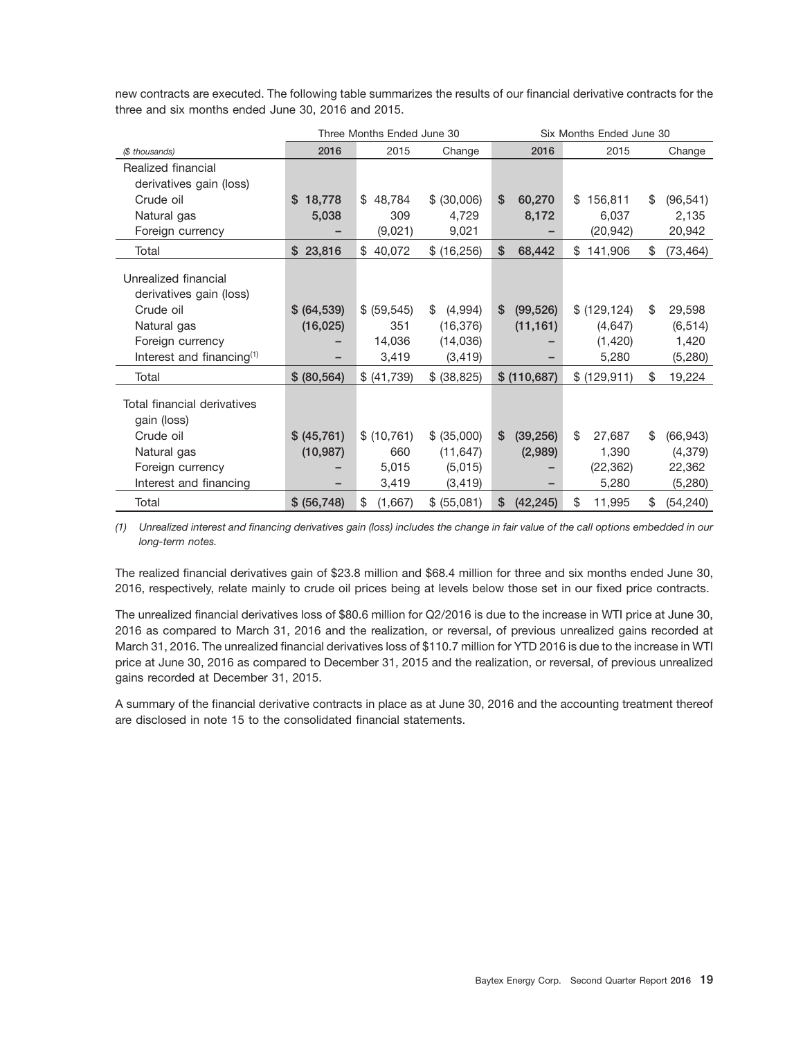|                                                 |              | Three Months Ended June 30 |               |                 | Six Months Ended June 30 |                 |
|-------------------------------------------------|--------------|----------------------------|---------------|-----------------|--------------------------|-----------------|
| (\$ thousands)                                  | 2016         | 2015                       | Change        | 2016            | 2015                     | Change          |
| Realized financial                              |              |                            |               |                 |                          |                 |
| derivatives gain (loss)                         |              |                            |               |                 |                          |                 |
| Crude oil                                       | 18,778<br>S  | 48,784<br>\$               | \$ (30,006)   | \$<br>60,270    | 156,811<br>\$            | \$<br>(96, 541) |
| Natural gas                                     | 5,038        | 309                        | 4,729         | 8,172           | 6,037                    | 2,135           |
| Foreign currency                                |              | (9,021)                    | 9,021         |                 | (20, 942)                | 20,942          |
| Total                                           | \$23,816     | 40,072<br>\$               | \$ (16,256)   | \$<br>68,442    | 141,906<br>\$            | \$<br>(73, 464) |
| Unrealized financial<br>derivatives gain (loss) |              |                            |               |                 |                          |                 |
| Crude oil                                       | \$ (64, 539) | \$ (59, 545)               | \$<br>(4,994) | \$<br>(99, 526) | \$ (129, 124)            | \$<br>29,598    |
| Natural gas                                     | (16, 025)    | 351                        | (16, 376)     | (11, 161)       | (4,647)                  | (6, 514)        |
| Foreign currency                                |              | 14,036                     | (14,036)      |                 | (1,420)                  | 1,420           |
| Interest and financing <sup>(1)</sup>           |              | 3,419                      | (3, 419)      |                 | 5,280                    | (5, 280)        |
| Total                                           | \$ (80, 564) | \$ (41,739)                | \$ (38, 825)  | \$ (110,687)    | \$ (129, 911)            | \$<br>19,224    |
| Total financial derivatives<br>gain (loss)      |              |                            |               |                 |                          |                 |
| Crude oil                                       | \$ (45,761)  | \$(10, 761)                | \$ (35,000)   | \$<br>(39, 256) | \$<br>27,687             | \$<br>(66, 943) |
| Natural gas                                     | (10, 987)    | 660                        | (11, 647)     | (2,989)         | 1,390                    | (4, 379)        |
| Foreign currency                                |              | 5,015                      | (5,015)       |                 | (22, 362)                | 22,362          |
| Interest and financing                          |              | 3,419                      | (3, 419)      |                 | 5,280                    | (5, 280)        |
| Total                                           | \$ (56, 748) | (1,667)<br>\$              | \$ (55,081)   | \$<br>(42, 245) | \$<br>11,995             | \$<br>(54, 240) |

new contracts are executed. The following table summarizes the results of our financial derivative contracts for the three and six months ended June 30, 2016 and 2015.

*(1) Unrealized interest and financing derivatives gain (loss) includes the change in fair value of the call options embedded in our long-term notes.*

The realized financial derivatives gain of \$23.8 million and \$68.4 million for three and six months ended June 30, 2016, respectively, relate mainly to crude oil prices being at levels below those set in our fixed price contracts.

The unrealized financial derivatives loss of \$80.6 million for Q2/2016 is due to the increase in WTI price at June 30, 2016 as compared to March 31, 2016 and the realization, or reversal, of previous unrealized gains recorded at March 31, 2016. The unrealized financial derivatives loss of \$110.7 million for YTD 2016 is due to the increase in WTI price at June 30, 2016 as compared to December 31, 2015 and the realization, or reversal, of previous unrealized gains recorded at December 31, 2015.

A summary of the financial derivative contracts in place as at June 30, 2016 and the accounting treatment thereof are disclosed in note 15 to the consolidated financial statements.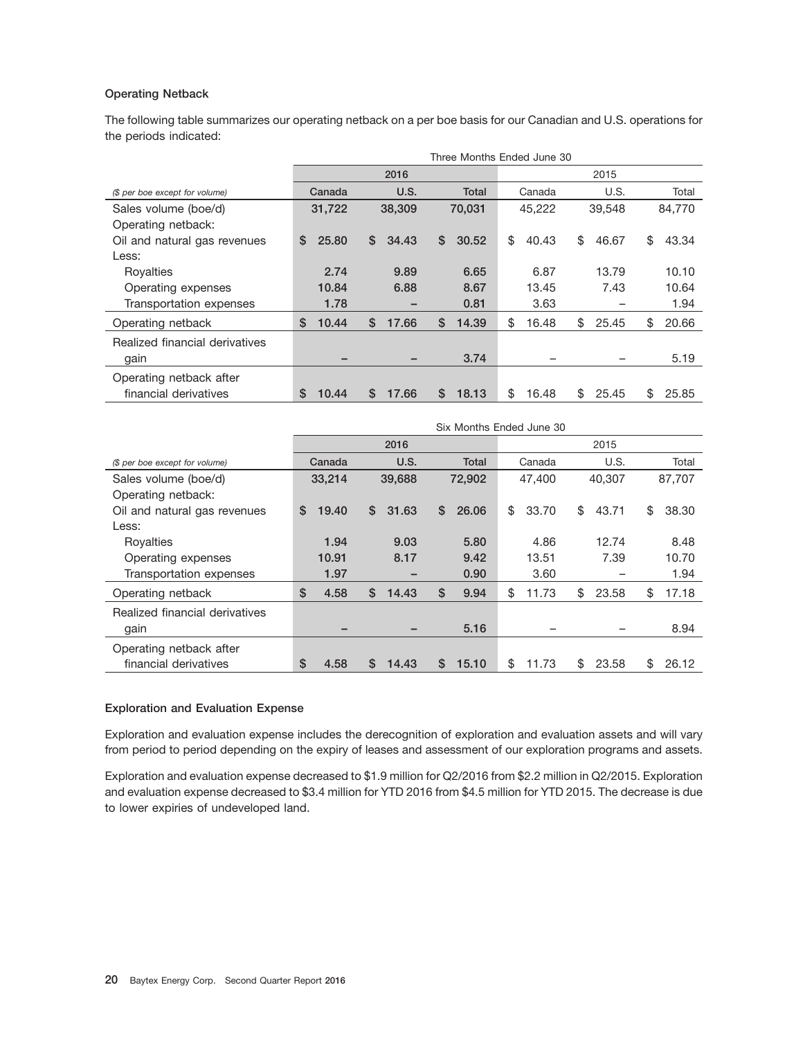#### **Operating Netback**

The following table summarizes our operating netback on a per boe basis for our Canadian and U.S. operations for the periods indicated:

|                                |              | Three Months Ended June 30 |              |             |             |             |  |  |  |  |
|--------------------------------|--------------|----------------------------|--------------|-------------|-------------|-------------|--|--|--|--|
|                                |              | 2016                       |              | 2015        |             |             |  |  |  |  |
| (\$ per boe except for volume) | Canada       | U.S.                       | <b>Total</b> | Canada      | U.S.        | Total       |  |  |  |  |
| Sales volume (boe/d)           | 31,722       | 38,309                     | 70.031       | 45.222      | 39.548      | 84.770      |  |  |  |  |
| Operating netback:             |              |                            |              |             |             |             |  |  |  |  |
| Oil and natural gas revenues   | 25.80<br>\$  | \$<br>34.43                | \$<br>30.52  | \$<br>40.43 | \$<br>46.67 | \$<br>43.34 |  |  |  |  |
| Less:                          |              |                            |              |             |             |             |  |  |  |  |
| Royalties                      | 2.74         | 9.89                       | 6.65         | 6.87        | 13.79       | 10.10       |  |  |  |  |
| Operating expenses             | 10.84        | 6.88                       | 8.67         | 13.45       | 7.43        | 10.64       |  |  |  |  |
| Transportation expenses        | 1.78         |                            | 0.81         | 3.63        |             | 1.94        |  |  |  |  |
| Operating netback              | \$<br>10.44  | \$<br>17.66                | \$<br>14.39  | \$<br>16.48 | \$<br>25.45 | \$<br>20.66 |  |  |  |  |
| Realized financial derivatives |              |                            |              |             |             |             |  |  |  |  |
| gain                           |              |                            | 3.74         |             |             | 5.19        |  |  |  |  |
| Operating netback after        |              |                            |              |             |             |             |  |  |  |  |
| financial derivatives          | \$.<br>10.44 | \$.<br>17.66               | S<br>18.13   | \$<br>16.48 | 25.45<br>\$ | \$<br>25.85 |  |  |  |  |

|                                |            | Six Months Ended June 30 |              |             |             |             |  |  |  |  |
|--------------------------------|------------|--------------------------|--------------|-------------|-------------|-------------|--|--|--|--|
|                                |            | 2016                     |              | 2015        |             |             |  |  |  |  |
| (\$ per boe except for volume) | Canada     | U.S.                     | <b>Total</b> | Canada      | U.S.        | Total       |  |  |  |  |
| Sales volume (boe/d)           | 33,214     | 39,688                   | 72,902       | 47,400      | 40.307      | 87.707      |  |  |  |  |
| Operating netback:             |            |                          |              |             |             |             |  |  |  |  |
| Oil and natural gas revenues   | 19.40<br>S | \$<br>31.63              | S<br>26.06   | \$<br>33.70 | \$<br>43.71 | \$<br>38.30 |  |  |  |  |
| Less:                          |            |                          |              |             |             |             |  |  |  |  |
| Royalties                      | 1.94       | 9.03                     | 5.80         | 4.86        | 12.74       | 8.48        |  |  |  |  |
| Operating expenses             | 10.91      | 8.17                     | 9.42         | 13.51       | 7.39        | 10.70       |  |  |  |  |
| Transportation expenses        | 1.97       |                          | 0.90         | 3.60        |             | 1.94        |  |  |  |  |
| Operating netback              | \$<br>4.58 | \$<br>14.43              | \$<br>9.94   | \$<br>11.73 | \$<br>23.58 | \$<br>17.18 |  |  |  |  |
| Realized financial derivatives |            |                          |              |             |             |             |  |  |  |  |
| gain                           |            |                          | 5.16         |             |             | 8.94        |  |  |  |  |
| Operating netback after        |            |                          |              |             |             |             |  |  |  |  |
| financial derivatives          | \$<br>4.58 | S<br>14.43               | S<br>15.10   | \$<br>11.73 | \$<br>23.58 | \$<br>26.12 |  |  |  |  |

#### **Exploration and Evaluation Expense**

Exploration and evaluation expense includes the derecognition of exploration and evaluation assets and will vary from period to period depending on the expiry of leases and assessment of our exploration programs and assets.

Exploration and evaluation expense decreased to \$1.9 million for Q2/2016 from \$2.2 million in Q2/2015. Exploration and evaluation expense decreased to \$3.4 million for YTD 2016 from \$4.5 million for YTD 2015. The decrease is due to lower expiries of undeveloped land.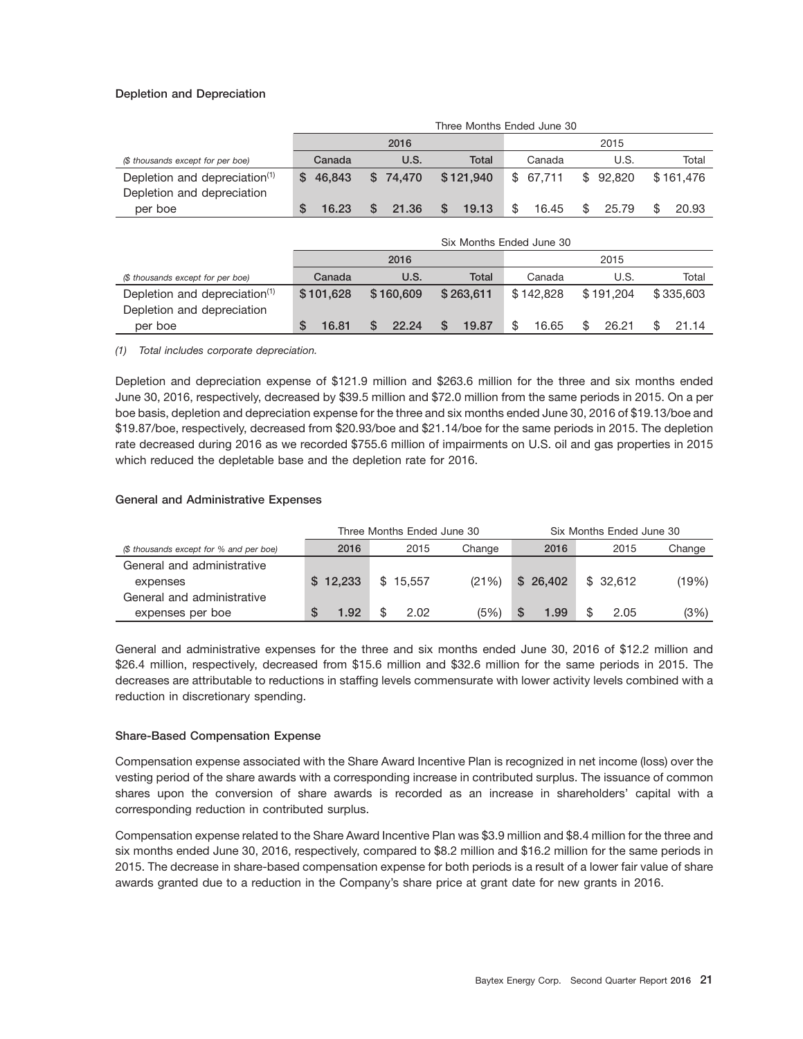#### **Depletion and Depreciation**

|                                           |     | Three Months Ended June 30 |      |          |    |           |  |          |    |          |  |           |
|-------------------------------------------|-----|----------------------------|------|----------|----|-----------|--|----------|----|----------|--|-----------|
|                                           |     |                            | 2016 |          |    |           |  | 2015     |    |          |  |           |
| (\$ thousands except for per boe)         |     | Canada                     |      | U.S.     |    | Total     |  | Canada   |    | U.S.     |  | Total     |
| Depletion and depreciation <sup>(1)</sup> | SS. | 46.843                     |      | \$74.470 |    | \$121,940 |  | \$67.711 |    | \$92.820 |  | \$161.476 |
| Depletion and depreciation                |     |                            |      |          |    |           |  |          |    |          |  |           |
| per boe                                   |     | 16.23                      |      | 21.36    | S. | 19.13     |  | 16.45    | -S | 25.79    |  | 20.93     |

|                                           |           | Six Months Ended June 30 |           |           |           |           |  |  |  |  |  |  |
|-------------------------------------------|-----------|--------------------------|-----------|-----------|-----------|-----------|--|--|--|--|--|--|
|                                           |           | 2016                     |           | 2015      |           |           |  |  |  |  |  |  |
| (\$ thousands except for per boe)         | Canada    | U.S.                     | Total     | Canada    | U.S.      | Total     |  |  |  |  |  |  |
| Depletion and depreciation <sup>(1)</sup> | \$101.628 | \$160,609                | \$263.611 | \$142.828 | \$191.204 | \$335,603 |  |  |  |  |  |  |
| Depletion and depreciation                |           |                          |           |           |           |           |  |  |  |  |  |  |
| per boe                                   | 16.81     | 22.24                    | 19.87     | 16.65     | 26.21     | 21.14     |  |  |  |  |  |  |

*(1) Total includes corporate depreciation.*

Depletion and depreciation expense of \$121.9 million and \$263.6 million for the three and six months ended June 30, 2016, respectively, decreased by \$39.5 million and \$72.0 million from the same periods in 2015. On a per boe basis, depletion and depreciation expense for the three and six months ended June 30, 2016 of \$19.13/boe and \$19.87/boe, respectively, decreased from \$20.93/boe and \$21.14/boe for the same periods in 2015. The depletion rate decreased during 2016 as we recorded \$755.6 million of impairments on U.S. oil and gas properties in 2015 which reduced the depletable base and the depletion rate for 2016.

#### **General and Administrative Expenses**

|                                         |            | Three Months Ended June 30 |        | Six Months Ended June 30 |          |        |  |
|-----------------------------------------|------------|----------------------------|--------|--------------------------|----------|--------|--|
| (\$ thousands except for % and per boe) | 2016       | 2015                       | Change | 2016                     | 2015     | Change |  |
| General and administrative              |            |                            |        |                          |          |        |  |
| expenses                                | \$12.233   | \$15.557                   | (21%)  | \$26.402                 | \$32.612 | (19%)  |  |
| General and administrative              |            |                            |        |                          |          |        |  |
| expenses per boe                        | 1.92<br>S. | 2.02                       | (5%)   | S<br>1.99                | 2.05     | (3%)   |  |

General and administrative expenses for the three and six months ended June 30, 2016 of \$12.2 million and \$26.4 million, respectively, decreased from \$15.6 million and \$32.6 million for the same periods in 2015. The decreases are attributable to reductions in staffing levels commensurate with lower activity levels combined with a reduction in discretionary spending.

#### **Share-Based Compensation Expense**

Compensation expense associated with the Share Award Incentive Plan is recognized in net income (loss) over the vesting period of the share awards with a corresponding increase in contributed surplus. The issuance of common shares upon the conversion of share awards is recorded as an increase in shareholders' capital with a corresponding reduction in contributed surplus.

Compensation expense related to the Share Award Incentive Plan was \$3.9 million and \$8.4 million for the three and six months ended June 30, 2016, respectively, compared to \$8.2 million and \$16.2 million for the same periods in 2015. The decrease in share-based compensation expense for both periods is a result of a lower fair value of share awards granted due to a reduction in the Company's share price at grant date for new grants in 2016.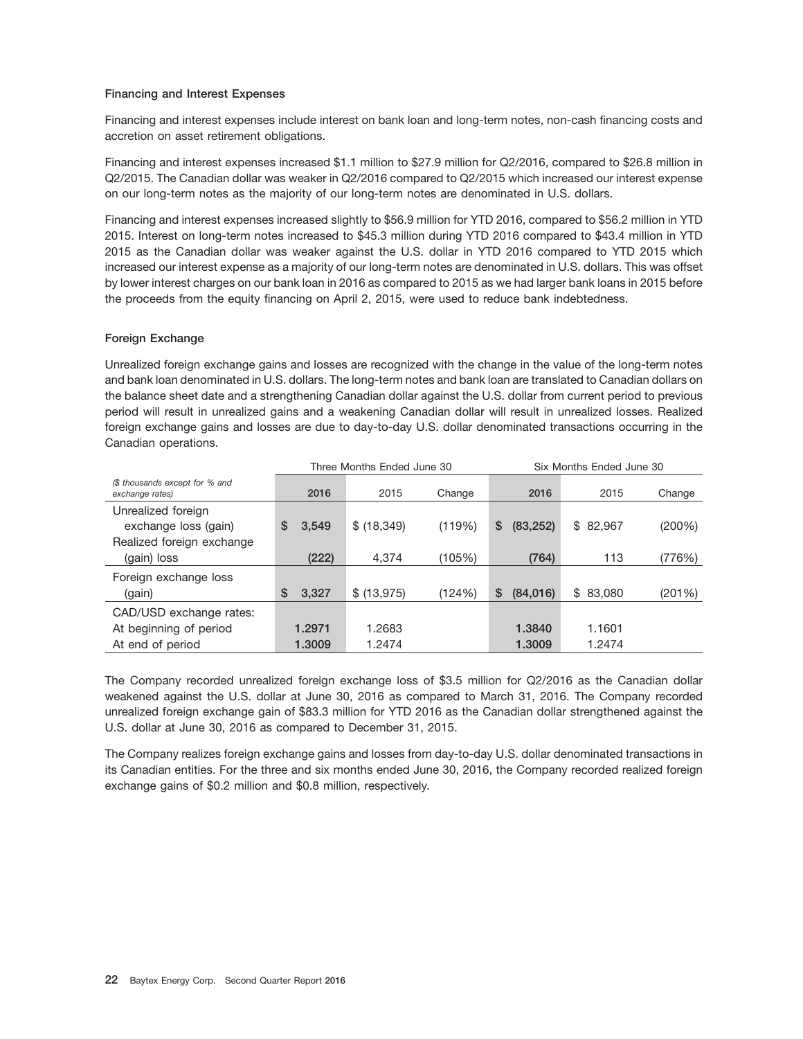#### **Financing and Interest Expenses**

Financing and interest expenses include interest on bank loan and long-term notes, non-cash financing costs and accretion on asset retirement obligations.

Financing and interest expenses increased \$1.1 million to \$27.9 million for Q2/2016, compared to \$26.8 million in Q2/2015. The Canadian dollar was weaker in Q2/2016 compared to Q2/2015 which increased our interest expense on our long-term notes as the majority of our long-term notes are denominated in U.S. dollars.

Financing and interest expenses increased slightly to \$56.9 million for YTD 2016, compared to \$56.2 million in YTD 2015. Interest on long-term notes increased to \$45.3 million during YTD 2016 compared to \$43.4 million in YTD 2015 as the Canadian dollar was weaker against the U.S. dollar in YTD 2016 compared to YTD 2015 which increased our interest expense as a majority of our long-term notes are denominated in U.S. dollars. This was offset by lower interest charges on our bank loan in 2016 as compared to 2015 as we had larger bank loans in 2015 before the proceeds from the equity financing on April 2, 2015, were used to reduce bank indebtedness.

#### **Foreign Exchange**

Unrealized foreign exchange gains and losses are recognized with the change in the value of the long-term notes and bank loan denominated in U.S. dollars. The long-term notes and bank loan are translated to Canadian dollars on the balance sheet date and a strengthening Canadian dollar against the U.S. dollar from current period to previous period will result in unrealized gains and a weakening Canadian dollar will result in unrealized losses. Realized foreign exchange gains and losses are due to day-to-day U.S. dollar denominated transactions occurring in the Canadian operations.

|                                                                         |             | Three Months Ended June 30 |        | Six Months Ended June 30 |          |        |  |
|-------------------------------------------------------------------------|-------------|----------------------------|--------|--------------------------|----------|--------|--|
| (\$ thousands except for % and<br>exchange rates)                       | 2016        | 2015                       | Change | 2016                     | 2015     | Change |  |
| Unrealized foreign<br>exchange loss (gain)<br>Realized foreign exchange | \$<br>3,549 | \$ (18, 349)               | (119%) | (83, 252)<br>\$          | \$82,967 | (200%) |  |
| (gain) loss                                                             | (222)       | 4,374                      | (105%) | (764)                    | 113      | (776%) |  |
| Foreign exchange loss<br>(gain)                                         | \$<br>3,327 | \$ (13, 975)               | (124%) | (84,016)<br>S            | \$83,080 | (201%) |  |
| CAD/USD exchange rates:                                                 |             |                            |        |                          |          |        |  |
| At beginning of period                                                  | 1.2971      | 1.2683                     |        | 1.3840                   | 1.1601   |        |  |
| At end of period                                                        | 1.3009      | 1.2474                     |        | 1.3009                   | 1.2474   |        |  |

The Company recorded unrealized foreign exchange loss of \$3.5 million for Q2/2016 as the Canadian dollar weakened against the U.S. dollar at June 30, 2016 as compared to March 31, 2016. The Company recorded unrealized foreign exchange gain of \$83.3 million for YTD 2016 as the Canadian dollar strengthened against the U.S. dollar at June 30, 2016 as compared to December 31, 2015.

The Company realizes foreign exchange gains and losses from day-to-day U.S. dollar denominated transactions in its Canadian entities. For the three and six months ended June 30, 2016, the Company recorded realized foreign exchange gains of \$0.2 million and \$0.8 million, respectively.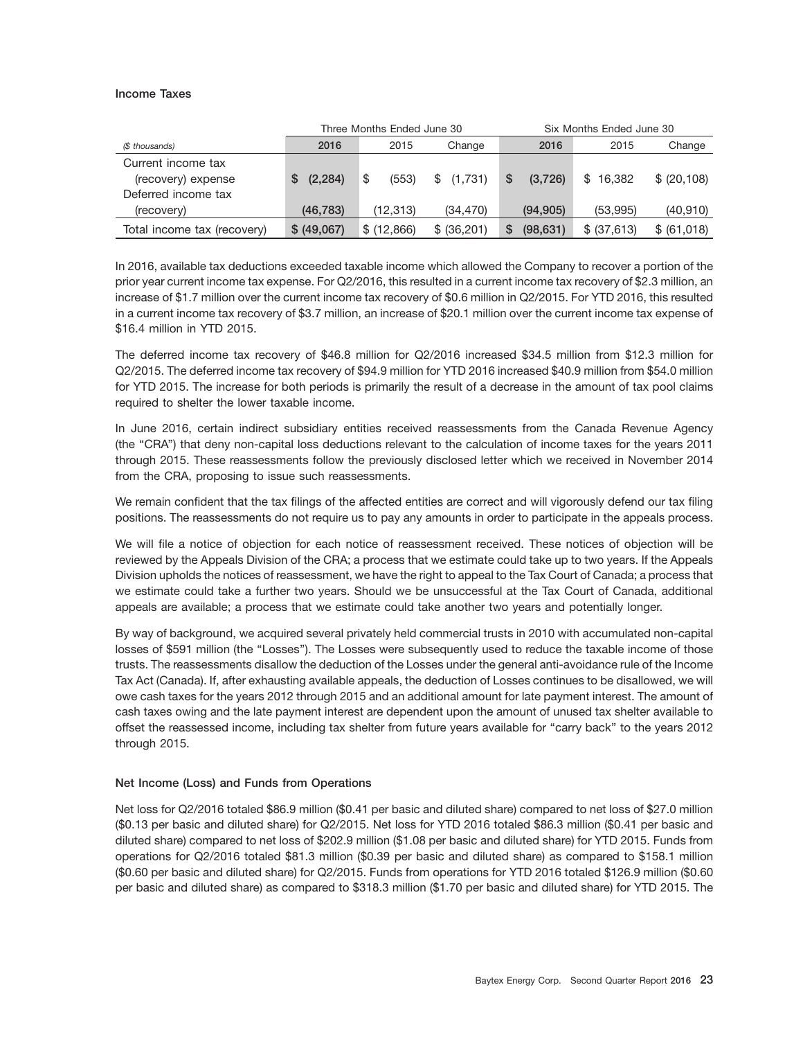#### **Income Taxes**

|                             |               | Three Months Ended June 30 |               | Six Months Ended June 30 |               |              |  |
|-----------------------------|---------------|----------------------------|---------------|--------------------------|---------------|--------------|--|
| (\$ thousands)              | 2016          | 2015                       | Change        | 2016                     | 2015          | Change       |  |
| Current income tax          |               |                            |               |                          |               |              |  |
| (recovery) expense          | (2, 284)<br>S | (553)<br>S                 | \$<br>(1,731) | (3.726)<br>S             | 16.382<br>SS. | \$ (20, 108) |  |
| Deferred income tax         |               |                            |               |                          |               |              |  |
| (recovery)                  | (46, 783)     | (12, 313)                  | (34, 470)     | (94, 905)                | (53,995)      | (40, 910)    |  |
| Total income tax (recovery) | \$ (49,067)   | \$(12,866)                 | \$ (36,201)   | (98, 631)<br>S           | \$ (37,613)   | \$ (61,018)  |  |

In 2016, available tax deductions exceeded taxable income which allowed the Company to recover a portion of the prior year current income tax expense. For Q2/2016, this resulted in a current income tax recovery of \$2.3 million, an increase of \$1.7 million over the current income tax recovery of \$0.6 million in Q2/2015. For YTD 2016, this resulted in a current income tax recovery of \$3.7 million, an increase of \$20.1 million over the current income tax expense of \$16.4 million in YTD 2015.

The deferred income tax recovery of \$46.8 million for Q2/2016 increased \$34.5 million from \$12.3 million for Q2/2015. The deferred income tax recovery of \$94.9 million for YTD 2016 increased \$40.9 million from \$54.0 million for YTD 2015. The increase for both periods is primarily the result of a decrease in the amount of tax pool claims required to shelter the lower taxable income.

In June 2016, certain indirect subsidiary entities received reassessments from the Canada Revenue Agency (the ''CRA'') that deny non-capital loss deductions relevant to the calculation of income taxes for the years 2011 through 2015. These reassessments follow the previously disclosed letter which we received in November 2014 from the CRA, proposing to issue such reassessments.

We remain confident that the tax filings of the affected entities are correct and will vigorously defend our tax filing positions. The reassessments do not require us to pay any amounts in order to participate in the appeals process.

We will file a notice of objection for each notice of reassessment received. These notices of objection will be reviewed by the Appeals Division of the CRA; a process that we estimate could take up to two years. If the Appeals Division upholds the notices of reassessment, we have the right to appeal to the Tax Court of Canada; a process that we estimate could take a further two years. Should we be unsuccessful at the Tax Court of Canada, additional appeals are available; a process that we estimate could take another two years and potentially longer.

By way of background, we acquired several privately held commercial trusts in 2010 with accumulated non-capital losses of \$591 million (the ''Losses''). The Losses were subsequently used to reduce the taxable income of those trusts. The reassessments disallow the deduction of the Losses under the general anti-avoidance rule of the Income Tax Act (Canada). If, after exhausting available appeals, the deduction of Losses continues to be disallowed, we will owe cash taxes for the years 2012 through 2015 and an additional amount for late payment interest. The amount of cash taxes owing and the late payment interest are dependent upon the amount of unused tax shelter available to offset the reassessed income, including tax shelter from future years available for ''carry back'' to the years 2012 through 2015.

#### **Net Income (Loss) and Funds from Operations**

Net loss for Q2/2016 totaled \$86.9 million (\$0.41 per basic and diluted share) compared to net loss of \$27.0 million (\$0.13 per basic and diluted share) for Q2/2015. Net loss for YTD 2016 totaled \$86.3 million (\$0.41 per basic and diluted share) compared to net loss of \$202.9 million (\$1.08 per basic and diluted share) for YTD 2015. Funds from operations for Q2/2016 totaled \$81.3 million (\$0.39 per basic and diluted share) as compared to \$158.1 million (\$0.60 per basic and diluted share) for Q2/2015. Funds from operations for YTD 2016 totaled \$126.9 million (\$0.60 per basic and diluted share) as compared to \$318.3 million (\$1.70 per basic and diluted share) for YTD 2015. The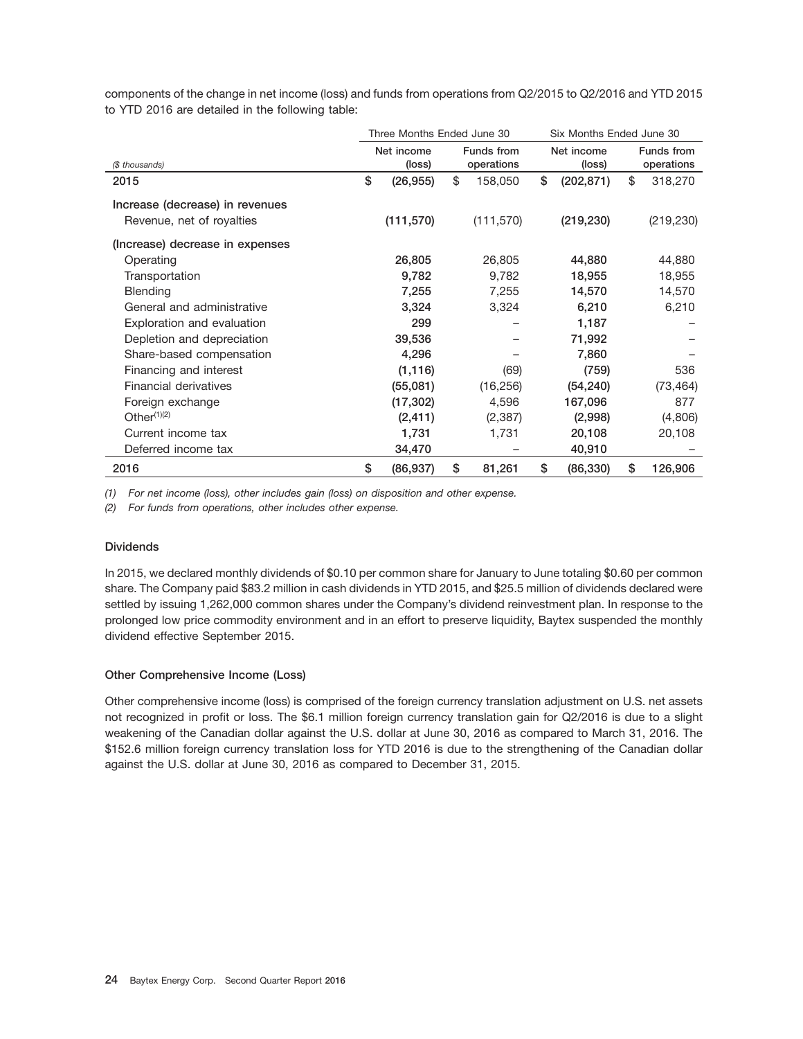components of the change in net income (loss) and funds from operations from Q2/2015 to Q2/2016 and YTD 2015 to YTD 2016 are detailed in the following table:

|                                 | Three Months Ended June 30 |                          |            |            |    | Six Months Ended June 30 |            |            |  |
|---------------------------------|----------------------------|--------------------------|------------|------------|----|--------------------------|------------|------------|--|
|                                 |                            | Net income<br>Funds from |            | Net income |    | Funds from               |            |            |  |
| (\$ thousands)                  |                            | (loss)                   | operations |            |    | (loss)                   | operations |            |  |
| 2015                            | \$                         | (26, 955)                | \$         | 158,050    | \$ | (202, 871)               | \$         | 318,270    |  |
| Increase (decrease) in revenues |                            |                          |            |            |    |                          |            |            |  |
| Revenue, net of royalties       |                            | (111, 570)               |            | (111, 570) |    | (219, 230)               |            | (219, 230) |  |
| (Increase) decrease in expenses |                            |                          |            |            |    |                          |            |            |  |
| Operating                       |                            | 26,805                   |            | 26,805     |    | 44,880                   |            | 44,880     |  |
| Transportation                  |                            | 9,782                    |            | 9,782      |    | 18,955                   |            | 18,955     |  |
| <b>Blending</b>                 |                            | 7,255                    |            | 7,255      |    | 14,570                   |            | 14,570     |  |
| General and administrative      |                            | 3,324                    |            | 3,324      |    | 6,210                    |            | 6,210      |  |
| Exploration and evaluation      |                            | 299                      |            |            |    | 1,187                    |            |            |  |
| Depletion and depreciation      |                            | 39,536                   |            |            |    | 71,992                   |            |            |  |
| Share-based compensation        |                            | 4,296                    |            |            |    | 7,860                    |            |            |  |
| Financing and interest          |                            | (1, 116)                 |            | (69)       |    | (759)                    |            | 536        |  |
| Financial derivatives           |                            | (55,081)                 |            | (16, 256)  |    | (54, 240)                |            | (73, 464)  |  |
| Foreign exchange                |                            | (17, 302)                |            | 4,596      |    | 167,096                  |            | 877        |  |
| Other <sup>(1)(2)</sup>         |                            | (2, 411)                 |            | (2, 387)   |    | (2,998)                  |            | (4,806)    |  |
| Current income tax              |                            | 1,731                    |            | 1,731      |    | 20,108                   |            | 20,108     |  |
| Deferred income tax             |                            | 34,470                   |            |            |    | 40,910                   |            |            |  |
| 2016                            |                            | (86, 937)                | \$         | 81,261     | \$ | (86, 330)                | \$         | 126,906    |  |

*(1) For net income (loss), other includes gain (loss) on disposition and other expense.*

*(2) For funds from operations, other includes other expense.*

#### **Dividends**

In 2015, we declared monthly dividends of \$0.10 per common share for January to June totaling \$0.60 per common share. The Company paid \$83.2 million in cash dividends in YTD 2015, and \$25.5 million of dividends declared were settled by issuing 1,262,000 common shares under the Company's dividend reinvestment plan. In response to the prolonged low price commodity environment and in an effort to preserve liquidity, Baytex suspended the monthly dividend effective September 2015.

#### **Other Comprehensive Income (Loss)**

Other comprehensive income (loss) is comprised of the foreign currency translation adjustment on U.S. net assets not recognized in profit or loss. The \$6.1 million foreign currency translation gain for Q2/2016 is due to a slight weakening of the Canadian dollar against the U.S. dollar at June 30, 2016 as compared to March 31, 2016. The \$152.6 million foreign currency translation loss for YTD 2016 is due to the strengthening of the Canadian dollar against the U.S. dollar at June 30, 2016 as compared to December 31, 2015.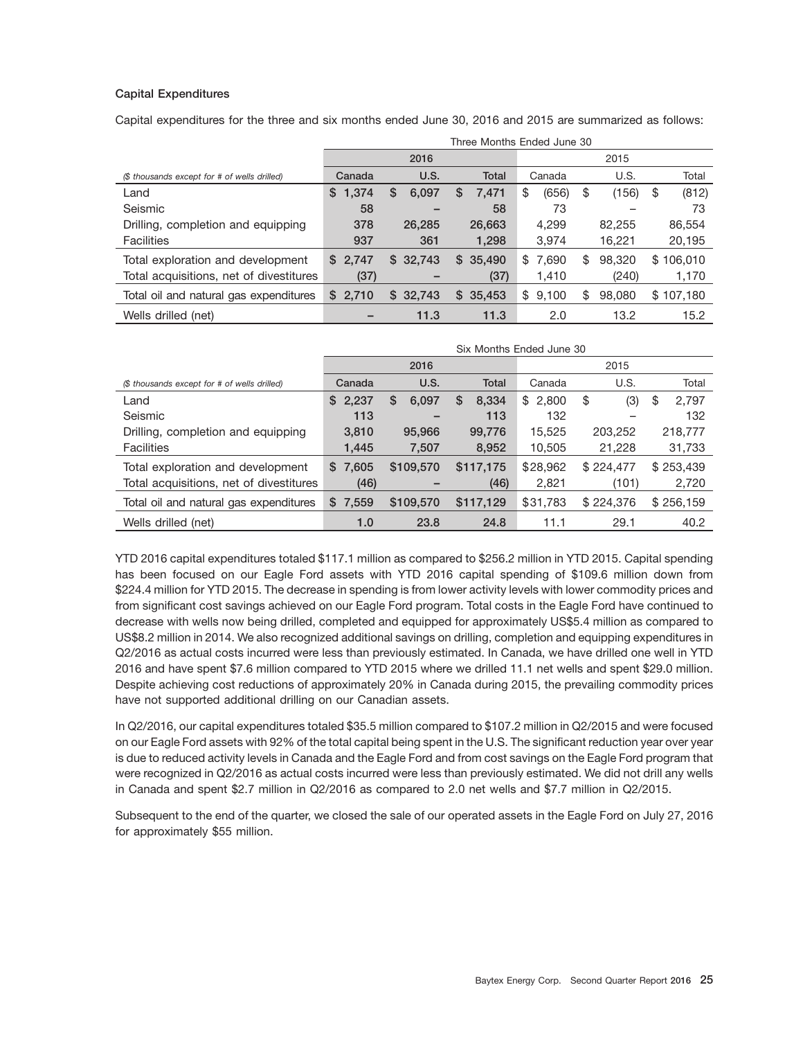#### **Capital Expenditures**

Capital expenditures for the three and six months ended June 30, 2016 and 2015 are summarized as follows:

|                                              | Three Months Ended June 30 |             |              |             |              |               |  |  |
|----------------------------------------------|----------------------------|-------------|--------------|-------------|--------------|---------------|--|--|
|                                              |                            | 2016        |              | 2015        |              |               |  |  |
| (\$ thousands except for # of wells drilled) | Canada                     | U.S.        | <b>Total</b> | Canada      | U.S.         | Total         |  |  |
| Land                                         | S.<br>1,374                | 6,097<br>\$ | 7,471<br>S.  | (656)<br>S  | (156)<br>\$  | (812)<br>\$   |  |  |
| Seismic                                      | 58                         |             | 58           | 73          | -            | 73            |  |  |
| Drilling, completion and equipping           | 378                        | 26,285      | 26,663       | 4,299       | 82.255       | 86,554        |  |  |
| <b>Facilities</b>                            | 937                        | 361         | 1,298        | 3,974       | 16,221       | 20,195        |  |  |
| Total exploration and development            | \$2,747                    | \$32,743    | \$35,490     | \$<br>7,690 | 98,320<br>\$ | 106,010<br>\$ |  |  |
| Total acquisitions, net of divestitures      | (37)                       |             | (37)         | 1,410       | (240)        | 1,170         |  |  |
| Total oil and natural gas expenditures       | 2,710<br>S.                | \$32,743    | \$35,453     | \$<br>9,100 | 98,080<br>\$ | \$107,180     |  |  |
| Wells drilled (net)                          |                            | 11.3        | 11.3         | 2.0         | 13.2         | 15.2          |  |  |

|                                              | Six Months Ended June 30 |             |              |             |           |             |  |  |
|----------------------------------------------|--------------------------|-------------|--------------|-------------|-----------|-------------|--|--|
|                                              |                          | 2016        |              |             | 2015      |             |  |  |
| (\$ thousands except for # of wells drilled) | Canada                   | U.S.        | <b>Total</b> | Canada      | U.S.      | Total       |  |  |
| Land                                         | 2,237<br>\$              | \$<br>6,097 | 8,334<br>\$  | 2,800<br>\$ | \$<br>(3) | 2,797<br>\$ |  |  |
| Seismic                                      | 113                      |             | 113          | 132         | -         | 132         |  |  |
| Drilling, completion and equipping           | 3,810                    | 95,966      | 99,776       | 15,525      | 203,252   | 218,777     |  |  |
| <b>Facilities</b>                            | 1,445                    | 7.507       | 8,952        | 10,505      | 21,228    | 31,733      |  |  |
| Total exploration and development            | \$7,605                  | \$109,570   | \$117,175    | \$28,962    | \$224,477 | \$253,439   |  |  |
| Total acquisitions, net of divestitures      | (46)                     |             | (46)         | 2,821       | (101)     | 2,720       |  |  |
| Total oil and natural gas expenditures       | \$7,559                  | \$109.570   | \$117,129    | \$31,783    | \$224,376 | \$256,159   |  |  |
| Wells drilled (net)                          | 1.0                      | 23.8        | 24.8         | 11.1        | 29.1      | 40.2        |  |  |

YTD 2016 capital expenditures totaled \$117.1 million as compared to \$256.2 million in YTD 2015. Capital spending has been focused on our Eagle Ford assets with YTD 2016 capital spending of \$109.6 million down from \$224.4 million for YTD 2015. The decrease in spending is from lower activity levels with lower commodity prices and from significant cost savings achieved on our Eagle Ford program. Total costs in the Eagle Ford have continued to decrease with wells now being drilled, completed and equipped for approximately US\$5.4 million as compared to US\$8.2 million in 2014. We also recognized additional savings on drilling, completion and equipping expenditures in Q2/2016 as actual costs incurred were less than previously estimated. In Canada, we have drilled one well in YTD 2016 and have spent \$7.6 million compared to YTD 2015 where we drilled 11.1 net wells and spent \$29.0 million. Despite achieving cost reductions of approximately 20% in Canada during 2015, the prevailing commodity prices have not supported additional drilling on our Canadian assets.

In Q2/2016, our capital expenditures totaled \$35.5 million compared to \$107.2 million in Q2/2015 and were focused on our Eagle Ford assets with 92% of the total capital being spent in the U.S. The significant reduction year over year is due to reduced activity levels in Canada and the Eagle Ford and from cost savings on the Eagle Ford program that were recognized in Q2/2016 as actual costs incurred were less than previously estimated. We did not drill any wells in Canada and spent \$2.7 million in Q2/2016 as compared to 2.0 net wells and \$7.7 million in Q2/2015.

Subsequent to the end of the quarter, we closed the sale of our operated assets in the Eagle Ford on July 27, 2016 for approximately \$55 million.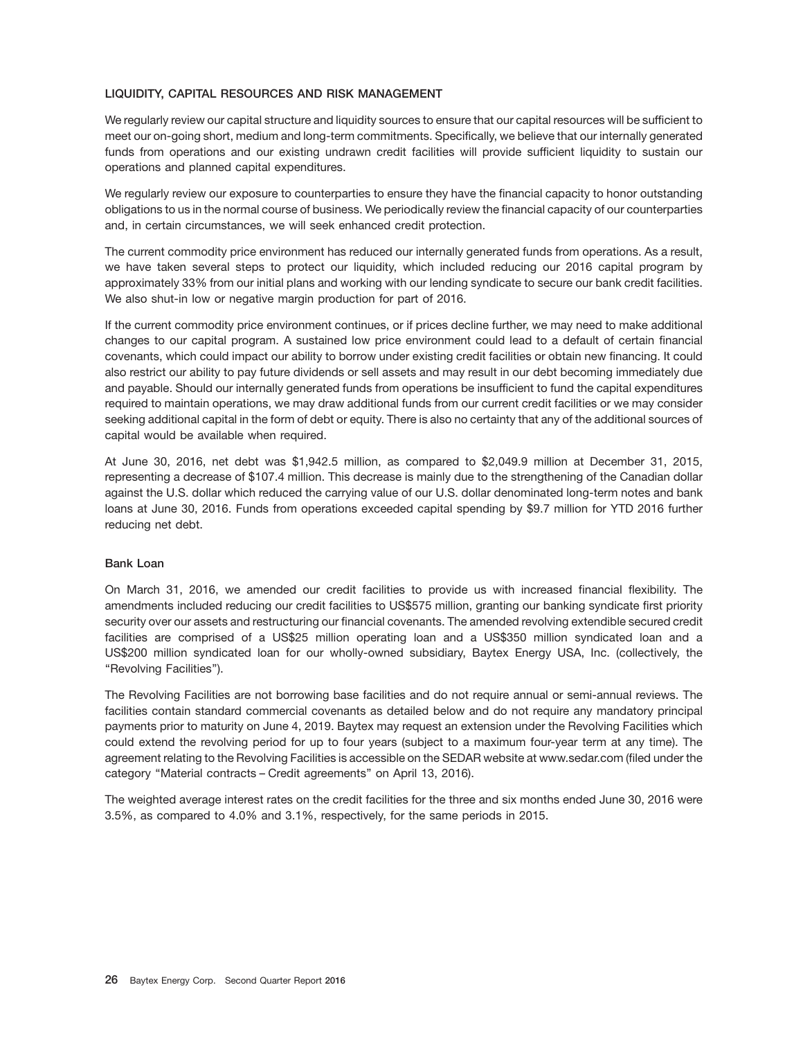#### **LIQUIDITY, CAPITAL RESOURCES AND RISK MANAGEMENT**

We regularly review our capital structure and liquidity sources to ensure that our capital resources will be sufficient to meet our on-going short, medium and long-term commitments. Specifically, we believe that our internally generated funds from operations and our existing undrawn credit facilities will provide sufficient liquidity to sustain our operations and planned capital expenditures.

We regularly review our exposure to counterparties to ensure they have the financial capacity to honor outstanding obligations to us in the normal course of business. We periodically review the financial capacity of our counterparties and, in certain circumstances, we will seek enhanced credit protection.

The current commodity price environment has reduced our internally generated funds from operations. As a result, we have taken several steps to protect our liquidity, which included reducing our 2016 capital program by approximately 33% from our initial plans and working with our lending syndicate to secure our bank credit facilities. We also shut-in low or negative margin production for part of 2016.

If the current commodity price environment continues, or if prices decline further, we may need to make additional changes to our capital program. A sustained low price environment could lead to a default of certain financial covenants, which could impact our ability to borrow under existing credit facilities or obtain new financing. It could also restrict our ability to pay future dividends or sell assets and may result in our debt becoming immediately due and payable. Should our internally generated funds from operations be insufficient to fund the capital expenditures required to maintain operations, we may draw additional funds from our current credit facilities or we may consider seeking additional capital in the form of debt or equity. There is also no certainty that any of the additional sources of capital would be available when required.

At June 30, 2016, net debt was \$1,942.5 million, as compared to \$2,049.9 million at December 31, 2015, representing a decrease of \$107.4 million. This decrease is mainly due to the strengthening of the Canadian dollar against the U.S. dollar which reduced the carrying value of our U.S. dollar denominated long-term notes and bank loans at June 30, 2016. Funds from operations exceeded capital spending by \$9.7 million for YTD 2016 further reducing net debt.

#### **Bank Loan**

On March 31, 2016, we amended our credit facilities to provide us with increased financial flexibility. The amendments included reducing our credit facilities to US\$575 million, granting our banking syndicate first priority security over our assets and restructuring our financial covenants. The amended revolving extendible secured credit facilities are comprised of a US\$25 million operating loan and a US\$350 million syndicated loan and a US\$200 million syndicated loan for our wholly-owned subsidiary, Baytex Energy USA, Inc. (collectively, the ''Revolving Facilities'').

The Revolving Facilities are not borrowing base facilities and do not require annual or semi-annual reviews. The facilities contain standard commercial covenants as detailed below and do not require any mandatory principal payments prior to maturity on June 4, 2019. Baytex may request an extension under the Revolving Facilities which could extend the revolving period for up to four years (subject to a maximum four-year term at any time). The agreement relating to the Revolving Facilities is accessible on the SEDAR website at www.sedar.com (filed under the category ''Material contracts – Credit agreements'' on April 13, 2016).

The weighted average interest rates on the credit facilities for the three and six months ended June 30, 2016 were 3.5%, as compared to 4.0% and 3.1%, respectively, for the same periods in 2015.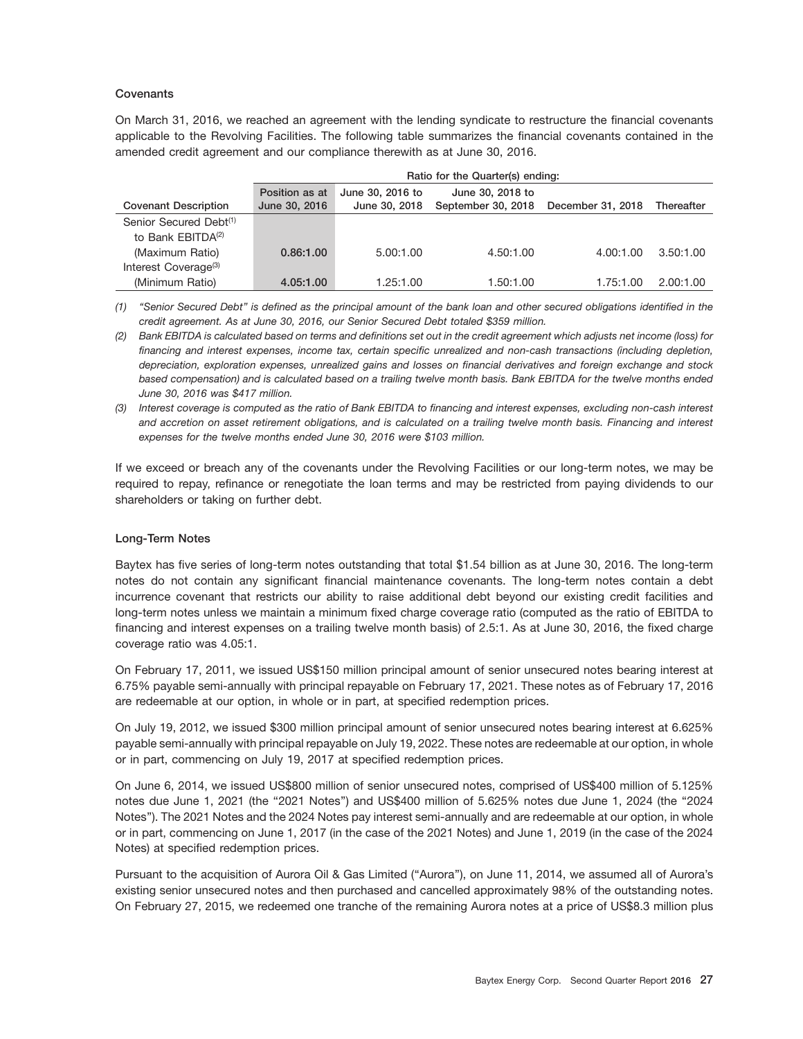#### **Covenants**

On March 31, 2016, we reached an agreement with the lending syndicate to restructure the financial covenants applicable to the Revolving Facilities. The following table summarizes the financial covenants contained in the amended credit agreement and our compliance therewith as at June 30, 2016.

|                                    | Ratio for the Quarter(s) ending: |                  |                    |                   |                   |  |  |  |
|------------------------------------|----------------------------------|------------------|--------------------|-------------------|-------------------|--|--|--|
|                                    | Position as at                   | June 30, 2016 to | June 30, 2018 to   |                   |                   |  |  |  |
| <b>Covenant Description</b>        | June 30, 2016                    | June 30, 2018    | September 30, 2018 | December 31, 2018 | <b>Thereafter</b> |  |  |  |
| Senior Secured Debt <sup>(1)</sup> |                                  |                  |                    |                   |                   |  |  |  |
| to Bank EBITDA <sup>(2)</sup>      |                                  |                  |                    |                   |                   |  |  |  |
| (Maximum Ratio)                    | 0.86:1.00                        | 5.00:1.00        | 4.50:1.00          | 4.00:1.00         | 3.50:1.00         |  |  |  |
| Interest Coverage <sup>(3)</sup>   |                                  |                  |                    |                   |                   |  |  |  |
| (Minimum Ratio)                    | 4.05:1.00                        | 1.25:1.00        | 1.50:1.00          | 1.75:1.00         | 2.00:1.00         |  |  |  |

*(1) ''Senior Secured Debt'' is defined as the principal amount of the bank loan and other secured obligations identified in the credit agreement. As at June 30, 2016, our Senior Secured Debt totaled \$359 million.*

If we exceed or breach any of the covenants under the Revolving Facilities or our long-term notes, we may be required to repay, refinance or renegotiate the loan terms and may be restricted from paying dividends to our shareholders or taking on further debt.

#### **Long-Term Notes**

Baytex has five series of long-term notes outstanding that total \$1.54 billion as at June 30, 2016. The long-term notes do not contain any significant financial maintenance covenants. The long-term notes contain a debt incurrence covenant that restricts our ability to raise additional debt beyond our existing credit facilities and long-term notes unless we maintain a minimum fixed charge coverage ratio (computed as the ratio of EBITDA to financing and interest expenses on a trailing twelve month basis) of 2.5:1. As at June 30, 2016, the fixed charge coverage ratio was 4.05:1.

On February 17, 2011, we issued US\$150 million principal amount of senior unsecured notes bearing interest at 6.75% payable semi-annually with principal repayable on February 17, 2021. These notes as of February 17, 2016 are redeemable at our option, in whole or in part, at specified redemption prices.

On July 19, 2012, we issued \$300 million principal amount of senior unsecured notes bearing interest at 6.625% payable semi-annually with principal repayable on July 19, 2022. These notes are redeemable at our option, in whole or in part, commencing on July 19, 2017 at specified redemption prices.

On June 6, 2014, we issued US\$800 million of senior unsecured notes, comprised of US\$400 million of 5.125% notes due June 1, 2021 (the "2021 Notes") and US\$400 million of 5.625% notes due June 1, 2024 (the "2024 Notes''). The 2021 Notes and the 2024 Notes pay interest semi-annually and are redeemable at our option, in whole or in part, commencing on June 1, 2017 (in the case of the 2021 Notes) and June 1, 2019 (in the case of the 2024 Notes) at specified redemption prices.

Pursuant to the acquisition of Aurora Oil & Gas Limited (''Aurora''), on June 11, 2014, we assumed all of Aurora's existing senior unsecured notes and then purchased and cancelled approximately 98% of the outstanding notes. On February 27, 2015, we redeemed one tranche of the remaining Aurora notes at a price of US\$8.3 million plus

*<sup>(2)</sup> Bank EBITDA is calculated based on terms and definitions set out in the credit agreement which adjusts net income (loss) for financing and interest expenses, income tax, certain specific unrealized and non-cash transactions (including depletion, depreciation, exploration expenses, unrealized gains and losses on financial derivatives and foreign exchange and stock based compensation) and is calculated based on a trailing twelve month basis. Bank EBITDA for the twelve months ended June 30, 2016 was \$417 million.*

*<sup>(3)</sup> Interest coverage is computed as the ratio of Bank EBITDA to financing and interest expenses, excluding non-cash interest and accretion on asset retirement obligations, and is calculated on a trailing twelve month basis. Financing and interest expenses for the twelve months ended June 30, 2016 were \$103 million.*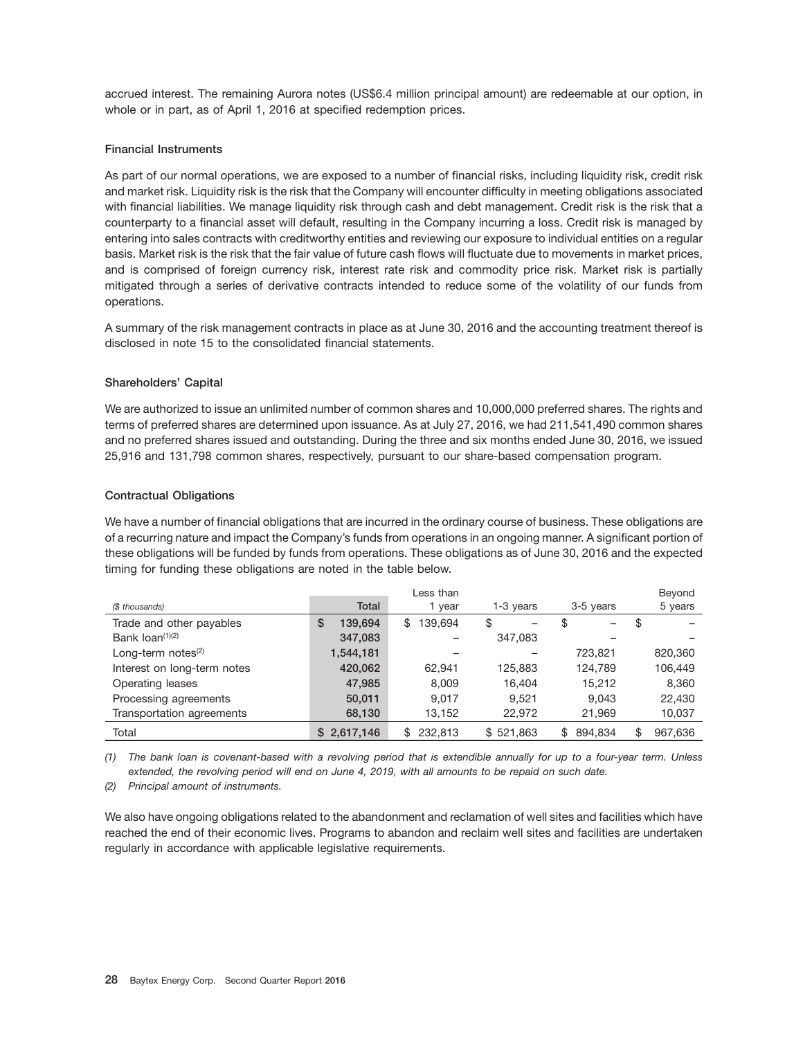accrued interest. The remaining Aurora notes (US\$6.4 million principal amount) are redeemable at our option, in whole or in part, as of April 1, 2016 at specified redemption prices.

#### **Financial Instruments**

As part of our normal operations, we are exposed to a number of financial risks, including liquidity risk, credit risk and market risk. Liquidity risk is the risk that the Company will encounter difficulty in meeting obligations associated with financial liabilities. We manage liquidity risk through cash and debt management. Credit risk is the risk that a counterparty to a financial asset will default, resulting in the Company incurring a loss. Credit risk is managed by entering into sales contracts with creditworthy entities and reviewing our exposure to individual entities on a regular basis. Market risk is the risk that the fair value of future cash flows will fluctuate due to movements in market prices, and is comprised of foreign currency risk, interest rate risk and commodity price risk. Market risk is partially mitigated through a series of derivative contracts intended to reduce some of the volatility of our funds from operations.

A summary of the risk management contracts in place as at June 30, 2016 and the accounting treatment thereof is disclosed in note 15 to the consolidated financial statements.

#### **Shareholders' Capital**

We are authorized to issue an unlimited number of common shares and 10,000,000 preferred shares. The rights and terms of preferred shares are determined upon issuance. As at July 27, 2016, we had 211,541,490 common shares and no preferred shares issued and outstanding. During the three and six months ended June 30, 2016, we issued 25,916 and 131,798 common shares, respectively, pursuant to our share-based compensation program.

#### **Contractual Obligations**

We have a number of financial obligations that are incurred in the ordinary course of business. These obligations are of a recurring nature and impact the Company's funds from operations in an ongoing manner. A significant portion of these obligations will be funded by funds from operations. These obligations as of June 30, 2016 and the expected timing for funding these obligations are noted in the table below.

|                             |              | Less than    |                                |               | Beyond        |
|-----------------------------|--------------|--------------|--------------------------------|---------------|---------------|
| (\$ thousands)              | <b>Total</b> | 1 year       | 1-3 years                      | 3-5 years     | 5 years       |
| Trade and other payables    | 139.694<br>S | 139.694<br>S | \$<br>$\overline{\phantom{0}}$ | \$<br>—       | \$            |
| Bank $\text{Ioan}^{(1)(2)}$ | 347,083      |              | 347,083                        |               |               |
| Long-term notes $(2)$       | 1,544,181    |              |                                | 723.821       | 820,360       |
| Interest on long-term notes | 420,062      | 62.941       | 125.883                        | 124,789       | 106,449       |
| Operating leases            | 47,985       | 8,009        | 16.404                         | 15,212        | 8,360         |
| Processing agreements       | 50,011       | 9.017        | 9.521                          | 9.043         | 22,430        |
| Transportation agreements   | 68,130       | 13,152       | 22,972                         | 21,969        | 10,037        |
| Total                       | \$2,617,146  | 232,813<br>S | \$521,863                      | 894.834<br>\$ | \$<br>967.636 |

*(1) The bank loan is covenant-based with a revolving period that is extendible annually for up to a four-year term. Unless extended, the revolving period will end on June 4, 2019, with all amounts to be repaid on such date.*

*(2) Principal amount of instruments.*

We also have ongoing obligations related to the abandonment and reclamation of well sites and facilities which have reached the end of their economic lives. Programs to abandon and reclaim well sites and facilities are undertaken regularly in accordance with applicable legislative requirements.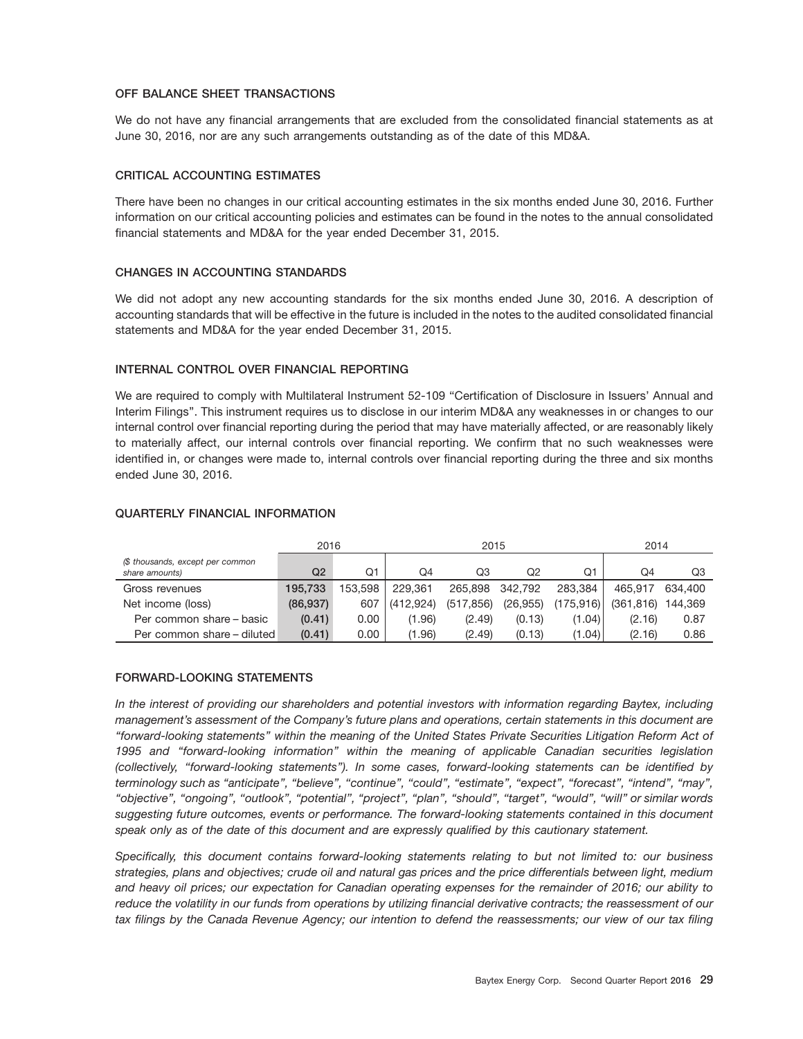#### **OFF BALANCE SHEET TRANSACTIONS**

We do not have any financial arrangements that are excluded from the consolidated financial statements as at June 30, 2016, nor are any such arrangements outstanding as of the date of this MD&A.

#### **CRITICAL ACCOUNTING ESTIMATES**

There have been no changes in our critical accounting estimates in the six months ended June 30, 2016. Further information on our critical accounting policies and estimates can be found in the notes to the annual consolidated financial statements and MD&A for the year ended December 31, 2015.

#### **CHANGES IN ACCOUNTING STANDARDS**

We did not adopt any new accounting standards for the six months ended June 30, 2016. A description of accounting standards that will be effective in the future is included in the notes to the audited consolidated financial statements and MD&A for the year ended December 31, 2015.

#### **INTERNAL CONTROL OVER FINANCIAL REPORTING**

We are required to comply with Multilateral Instrument 52-109 "Certification of Disclosure in Issuers' Annual and Interim Filings''. This instrument requires us to disclose in our interim MD&A any weaknesses in or changes to our internal control over financial reporting during the period that may have materially affected, or are reasonably likely to materially affect, our internal controls over financial reporting. We confirm that no such weaknesses were identified in, or changes were made to, internal controls over financial reporting during the three and six months ended June 30, 2016.

|                                                    | 2016               |      | 2015          |                    |           |            | 2014                 |         |  |
|----------------------------------------------------|--------------------|------|---------------|--------------------|-----------|------------|----------------------|---------|--|
| (\$ thousands, except per common<br>share amounts) | Q2                 | Q1   | Q4            | Q3<br>Q2           |           |            | O4<br>Q1             |         |  |
| Gross revenues                                     | 153.598<br>195.733 |      | 229.361       | 342.792<br>265.898 |           |            | 465.917              | 634.400 |  |
| Net income (loss)                                  | (86, 937)          |      | 607 (412.924) | (517, 856)         | (26, 955) | (175, 916) | $(361, 816)$ 144,369 |         |  |
| Per common share – basic                           | (0.41)             | 0.00 | (1.96)        | (2.49)             | (0.13)    | (1.04)     | (2.16)               | 0.87    |  |
| Per common share - diluted                         | (0.41)             | 0.00 | (1.96)        | (2.49)             | (0.13)    | (1.04)     | (2.16)               | 0.86    |  |

#### **QUARTERLY FINANCIAL INFORMATION**

#### **FORWARD-LOOKING STATEMENTS**

*In the interest of providing our shareholders and potential investors with information regarding Baytex, including management's assessment of the Company's future plans and operations, certain statements in this document are ''forward-looking statements'' within the meaning of the United States Private Securities Litigation Reform Act of 1995 and ''forward-looking information'' within the meaning of applicable Canadian securities legislation (collectively, ''forward-looking statements''). In some cases, forward-looking statements can be identified by terminology such as ''anticipate'', ''believe'', ''continue'', ''could'', ''estimate'', ''expect'', ''forecast'', ''intend'', ''may'', ''objective'', ''ongoing'', ''outlook'', ''potential'', ''project'', ''plan'', ''should'', ''target'', ''would'', ''will'' or similar words suggesting future outcomes, events or performance. The forward-looking statements contained in this document speak only as of the date of this document and are expressly qualified by this cautionary statement.*

*Specifically, this document contains forward-looking statements relating to but not limited to: our business strategies, plans and objectives; crude oil and natural gas prices and the price differentials between light, medium and heavy oil prices; our expectation for Canadian operating expenses for the remainder of 2016; our ability to reduce the volatility in our funds from operations by utilizing financial derivative contracts; the reassessment of our tax filings by the Canada Revenue Agency; our intention to defend the reassessments; our view of our tax filing*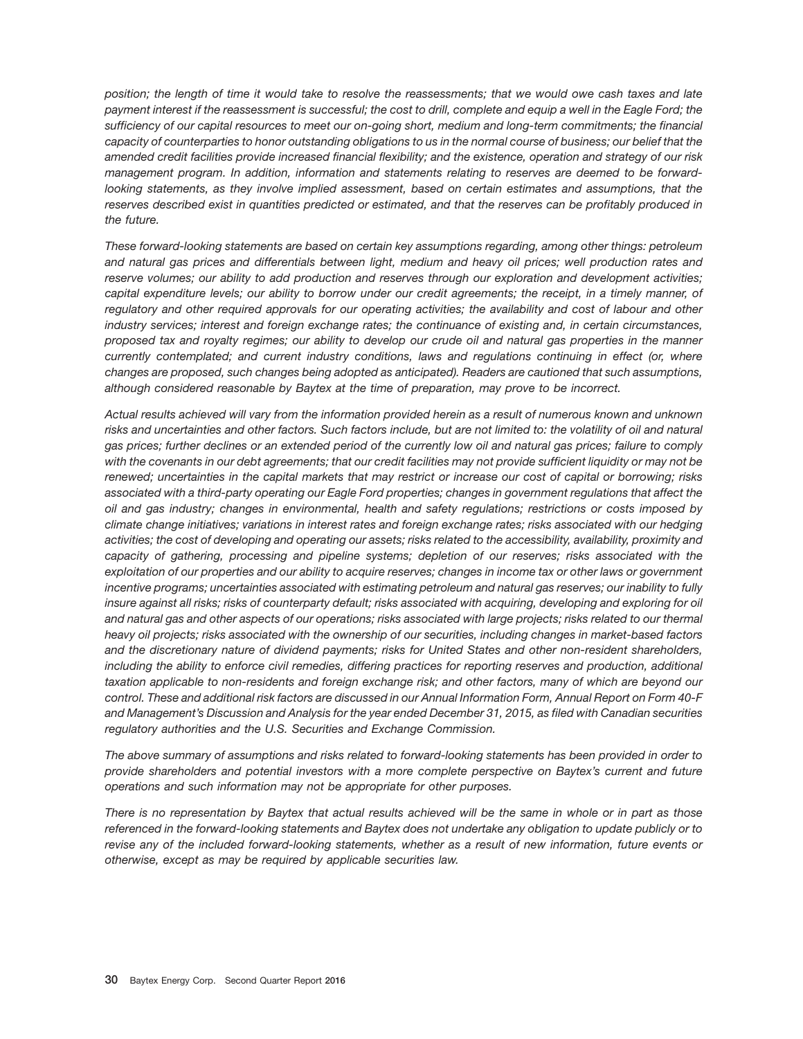*position; the length of time it would take to resolve the reassessments; that we would owe cash taxes and late payment interest if the reassessment is successful; the cost to drill, complete and equip a well in the Eagle Ford; the sufficiency of our capital resources to meet our on-going short, medium and long-term commitments; the financial capacity of counterparties to honor outstanding obligations to us in the normal course of business; our belief that the amended credit facilities provide increased financial flexibility; and the existence, operation and strategy of our risk management program. In addition, information and statements relating to reserves are deemed to be forwardlooking statements, as they involve implied assessment, based on certain estimates and assumptions, that the reserves described exist in quantities predicted or estimated, and that the reserves can be profitably produced in the future.*

*These forward-looking statements are based on certain key assumptions regarding, among other things: petroleum and natural gas prices and differentials between light, medium and heavy oil prices; well production rates and reserve volumes; our ability to add production and reserves through our exploration and development activities; capital expenditure levels; our ability to borrow under our credit agreements; the receipt, in a timely manner, of regulatory and other required approvals for our operating activities; the availability and cost of labour and other industry services; interest and foreign exchange rates; the continuance of existing and, in certain circumstances, proposed tax and royalty regimes; our ability to develop our crude oil and natural gas properties in the manner currently contemplated; and current industry conditions, laws and regulations continuing in effect (or, where changes are proposed, such changes being adopted as anticipated). Readers are cautioned that such assumptions, although considered reasonable by Baytex at the time of preparation, may prove to be incorrect.*

*Actual results achieved will vary from the information provided herein as a result of numerous known and unknown risks and uncertainties and other factors. Such factors include, but are not limited to: the volatility of oil and natural gas prices; further declines or an extended period of the currently low oil and natural gas prices; failure to comply with the covenants in our debt agreements; that our credit facilities may not provide sufficient liquidity or may not be renewed; uncertainties in the capital markets that may restrict or increase our cost of capital or borrowing; risks associated with a third-party operating our Eagle Ford properties; changes in government regulations that affect the oil and gas industry; changes in environmental, health and safety regulations; restrictions or costs imposed by climate change initiatives; variations in interest rates and foreign exchange rates; risks associated with our hedging activities; the cost of developing and operating our assets; risks related to the accessibility, availability, proximity and capacity of gathering, processing and pipeline systems; depletion of our reserves; risks associated with the exploitation of our properties and our ability to acquire reserves; changes in income tax or other laws or government incentive programs; uncertainties associated with estimating petroleum and natural gas reserves; our inability to fully insure against all risks; risks of counterparty default; risks associated with acquiring, developing and exploring for oil and natural gas and other aspects of our operations; risks associated with large projects; risks related to our thermal heavy oil projects; risks associated with the ownership of our securities, including changes in market-based factors and the discretionary nature of dividend payments; risks for United States and other non-resident shareholders, including the ability to enforce civil remedies, differing practices for reporting reserves and production, additional taxation applicable to non-residents and foreign exchange risk; and other factors, many of which are beyond our control. These and additional risk factors are discussed in our Annual Information Form, Annual Report on Form 40-F and Management's Discussion and Analysis for the year ended December 31, 2015, as filed with Canadian securities regulatory authorities and the U.S. Securities and Exchange Commission.*

*The above summary of assumptions and risks related to forward-looking statements has been provided in order to provide shareholders and potential investors with a more complete perspective on Baytex's current and future operations and such information may not be appropriate for other purposes.*

*There is no representation by Baytex that actual results achieved will be the same in whole or in part as those referenced in the forward-looking statements and Baytex does not undertake any obligation to update publicly or to revise any of the included forward-looking statements, whether as a result of new information, future events or otherwise, except as may be required by applicable securities law.*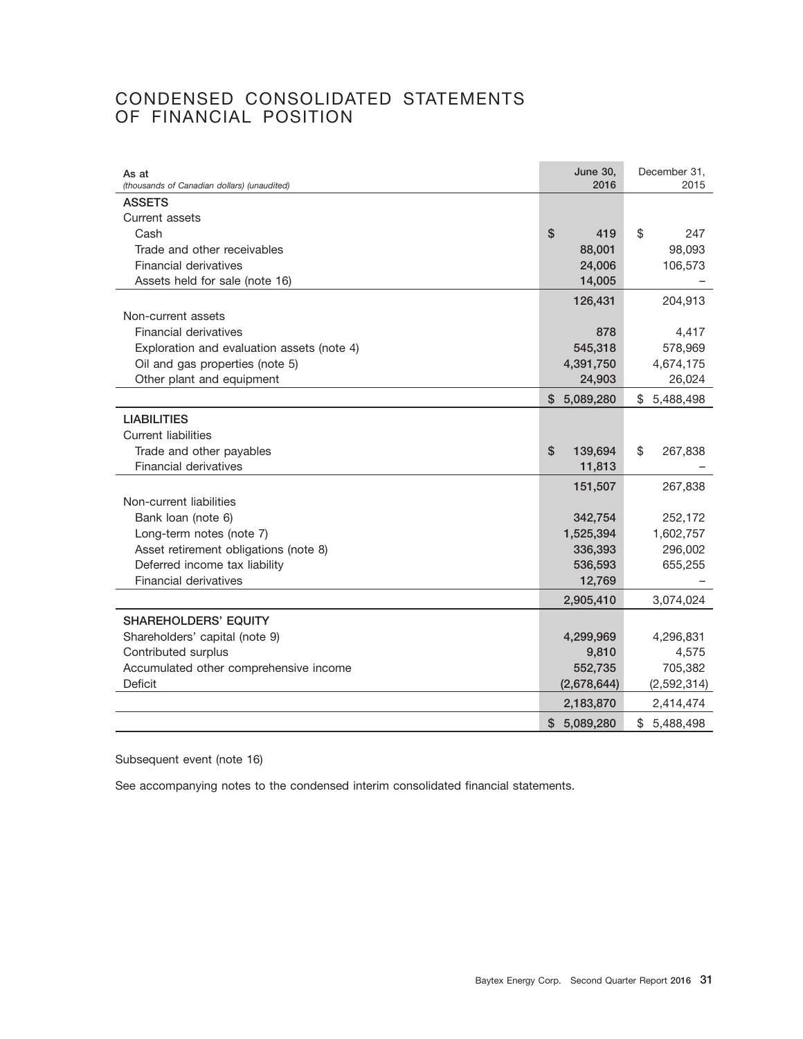# CONDENSED CONSOLIDATED STATEMENTS OF FINANCIAL POSITION

| As at<br>(thousands of Canadian dollars) (unaudited) | <b>June 30,</b><br>2016 | December 31,<br>2015 |
|------------------------------------------------------|-------------------------|----------------------|
| <b>ASSETS</b>                                        |                         |                      |
| Current assets                                       |                         |                      |
| Cash                                                 | \$<br>419               | \$<br>247            |
| Trade and other receivables                          | 88,001                  | 98,093               |
| Financial derivatives                                | 24,006                  | 106,573              |
| Assets held for sale (note 16)                       | 14,005                  |                      |
|                                                      | 126,431                 | 204,913              |
| Non-current assets                                   |                         |                      |
| <b>Financial derivatives</b>                         | 878                     | 4,417                |
| Exploration and evaluation assets (note 4)           | 545,318                 | 578,969              |
| Oil and gas properties (note 5)                      | 4,391,750               | 4,674,175            |
| Other plant and equipment                            | 24,903                  | 26,024               |
|                                                      | \$5,089,280             | \$<br>5,488,498      |
| <b>LIABILITIES</b>                                   |                         |                      |
| <b>Current liabilities</b>                           |                         |                      |
| Trade and other payables                             | \$<br>139,694           | \$<br>267,838        |
| Financial derivatives                                | 11,813                  |                      |
|                                                      | 151,507                 | 267,838              |
| Non-current liabilities                              |                         |                      |
| Bank loan (note 6)                                   | 342,754                 | 252,172              |
| Long-term notes (note 7)                             | 1,525,394               | 1,602,757            |
| Asset retirement obligations (note 8)                | 336,393                 | 296,002              |
| Deferred income tax liability                        | 536,593                 | 655,255              |
| <b>Financial derivatives</b>                         | 12,769                  |                      |
|                                                      | 2,905,410               | 3,074,024            |
| <b>SHAREHOLDERS' EQUITY</b>                          |                         |                      |
| Shareholders' capital (note 9)                       | 4,299,969               | 4,296,831            |
| Contributed surplus                                  | 9,810                   | 4,575                |
| Accumulated other comprehensive income               | 552,735                 | 705,382              |
| Deficit                                              | (2,678,644)             | (2,592,314)          |
|                                                      | 2,183,870               | 2,414,474            |
|                                                      | \$5,089,280             | 5,488,498<br>\$.     |

Subsequent event (note 16)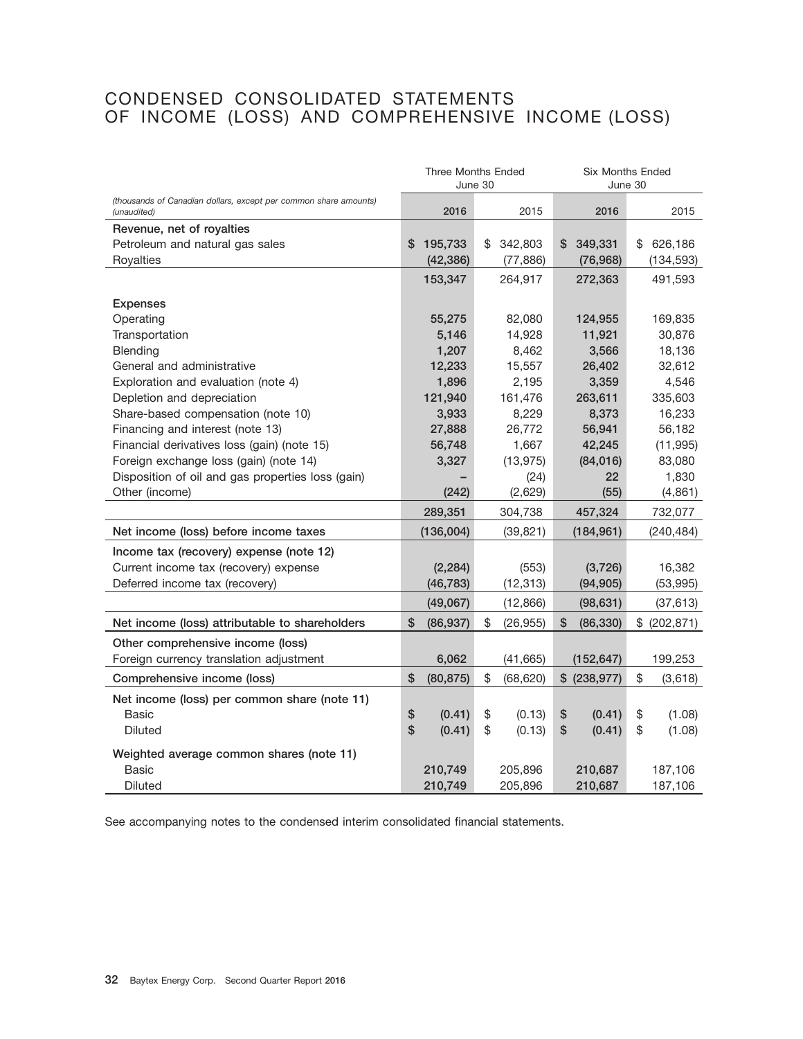# CONDENSED CONSOLIDATED STATEMENTS OF INCOME (LOSS) AND COMPREHENSIVE INCOME (LOSS)

|                                                                                 |                          | <b>Three Months Ended</b><br>June 30 | <b>Six Months Ended</b><br>June 30 |               |  |  |
|---------------------------------------------------------------------------------|--------------------------|--------------------------------------|------------------------------------|---------------|--|--|
| (thousands of Canadian dollars, except per common share amounts)<br>(unaudited) | 2016                     | 2015                                 | 2016                               | 2015          |  |  |
| Revenue, net of royalties                                                       |                          |                                      |                                    |               |  |  |
| Petroleum and natural gas sales                                                 | 195,733<br>\$            | 342,803<br>\$                        | 349,331<br>S                       | \$<br>626,186 |  |  |
| Royalties                                                                       | (42, 386)                | (77, 886)                            | (76, 968)                          | (134, 593)    |  |  |
|                                                                                 | 153,347                  | 264,917                              | 272,363                            | 491,593       |  |  |
| <b>Expenses</b>                                                                 |                          |                                      |                                    |               |  |  |
| Operating                                                                       | 55,275                   | 82,080                               | 124,955                            | 169,835       |  |  |
| Transportation                                                                  | 5,146                    | 14,928                               | 11,921                             | 30,876        |  |  |
| Blending                                                                        | 1,207                    | 8,462                                | 3,566                              | 18,136        |  |  |
| General and administrative                                                      | 12,233                   | 15,557                               | 26,402                             | 32,612        |  |  |
| Exploration and evaluation (note 4)                                             | 1,896                    | 2,195                                | 3,359                              | 4,546         |  |  |
| Depletion and depreciation                                                      | 121,940                  | 161,476                              | 263,611                            | 335,603       |  |  |
| Share-based compensation (note 10)                                              | 3,933                    | 8,229                                | 8,373                              | 16,233        |  |  |
| Financing and interest (note 13)                                                | 27,888                   | 26,772                               | 56,941                             | 56,182        |  |  |
| Financial derivatives loss (gain) (note 15)                                     | 56,748                   | 1,667                                | 42,245                             | (11, 995)     |  |  |
| Foreign exchange loss (gain) (note 14)                                          | 3,327                    | (13, 975)                            | (84,016)                           | 83,080        |  |  |
| Disposition of oil and gas properties loss (gain)                               |                          | (24)                                 | 22                                 | 1,830         |  |  |
| Other (income)                                                                  | (242)                    | (2,629)                              | (55)                               | (4, 861)      |  |  |
|                                                                                 | 289,351                  | 304,738                              | 457,324                            | 732,077       |  |  |
| Net income (loss) before income taxes                                           | (136,004)                | (39, 821)                            | (184, 961)                         | (240, 484)    |  |  |
| Income tax (recovery) expense (note 12)                                         |                          |                                      |                                    |               |  |  |
| Current income tax (recovery) expense                                           | (2, 284)                 | (553)                                | (3,726)                            | 16,382        |  |  |
| Deferred income tax (recovery)                                                  | (46, 783)                | (12, 313)                            | (94, 905)                          | (53, 995)     |  |  |
|                                                                                 | (49,067)                 | (12, 866)                            | (98, 631)                          | (37, 613)     |  |  |
| Net income (loss) attributable to shareholders                                  | \$<br>(86, 937)          | \$<br>(26, 955)                      | (86, 330)<br>\$                    | \$ (202, 871) |  |  |
| Other comprehensive income (loss)                                               |                          |                                      |                                    |               |  |  |
| Foreign currency translation adjustment                                         | 6,062                    | (41,665)                             | (152, 647)                         | 199,253       |  |  |
| Comprehensive income (loss)                                                     | \$<br>(80, 875)          | \$<br>(68, 620)                      | \$ (238, 977)                      | \$<br>(3,618) |  |  |
| Net income (loss) per common share (note 11)                                    |                          |                                      |                                    |               |  |  |
| <b>Basic</b>                                                                    | $$\mathbb{S}$$<br>(0.41) | \$<br>(0.13)                         | \$<br>(0.41)                       | \$<br>(1.08)  |  |  |
| <b>Diluted</b>                                                                  | \$<br>(0.41)             | \$<br>(0.13)                         | \$<br>(0.41)                       | \$<br>(1.08)  |  |  |
| Weighted average common shares (note 11)                                        |                          |                                      |                                    |               |  |  |
| <b>Basic</b>                                                                    | 210,749                  | 205,896                              | 210,687                            | 187,106       |  |  |
| <b>Diluted</b>                                                                  | 210,749                  | 205,896                              | 210,687                            | 187,106       |  |  |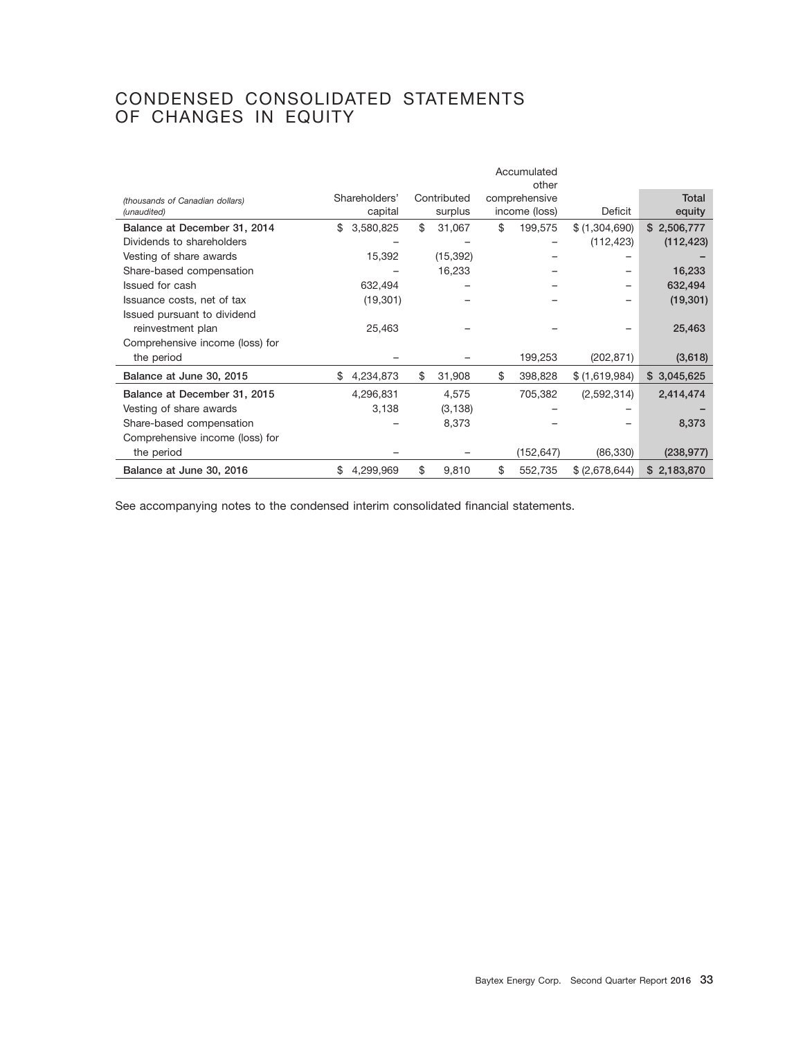# CONDENSED CONSOLIDATED STATEMENTS OF CHANGES IN EQUITY

|                                                |                          |                        | Accumulated<br>other           |                |                        |
|------------------------------------------------|--------------------------|------------------------|--------------------------------|----------------|------------------------|
| (thousands of Canadian dollars)<br>(unaudited) | Shareholders'<br>capital | Contributed<br>surplus | comprehensive<br>income (loss) | Deficit        | <b>Total</b><br>equity |
| Balance at December 31, 2014                   | \$<br>3,580,825          | \$<br>31,067           | \$<br>199,575                  | \$ (1,304,690) | \$2,506,777            |
| Dividends to shareholders                      |                          |                        |                                | (112, 423)     | (112, 423)             |
| Vesting of share awards                        | 15,392                   | (15, 392)              |                                |                |                        |
| Share-based compensation                       |                          | 16,233                 |                                |                | 16,233                 |
| Issued for cash                                | 632,494                  |                        |                                |                | 632,494                |
| Issuance costs, net of tax                     | (19, 301)                |                        |                                |                | (19, 301)              |
| Issued pursuant to dividend                    |                          |                        |                                |                |                        |
| reinvestment plan                              | 25,463                   |                        |                                |                | 25,463                 |
| Comprehensive income (loss) for                |                          |                        |                                |                |                        |
| the period                                     |                          |                        | 199,253                        | (202, 871)     | (3,618)                |
| Balance at June 30, 2015                       | \$<br>4,234,873          | \$<br>31,908           | \$<br>398,828                  | \$(1,619,984)  | \$3,045,625            |
| Balance at December 31, 2015                   | 4,296,831                | 4,575                  | 705,382                        | (2,592,314)    | 2,414,474              |
| Vesting of share awards                        | 3,138                    | (3, 138)               |                                |                |                        |
| Share-based compensation                       |                          | 8,373                  |                                |                | 8,373                  |
| Comprehensive income (loss) for                |                          |                        |                                |                |                        |
| the period                                     |                          |                        | (152, 647)                     | (86, 330)      | (238, 977)             |
| Balance at June 30, 2016                       | \$<br>4,299,969          | \$<br>9,810            | \$<br>552,735                  | \$ (2,678,644) | \$2,183,870            |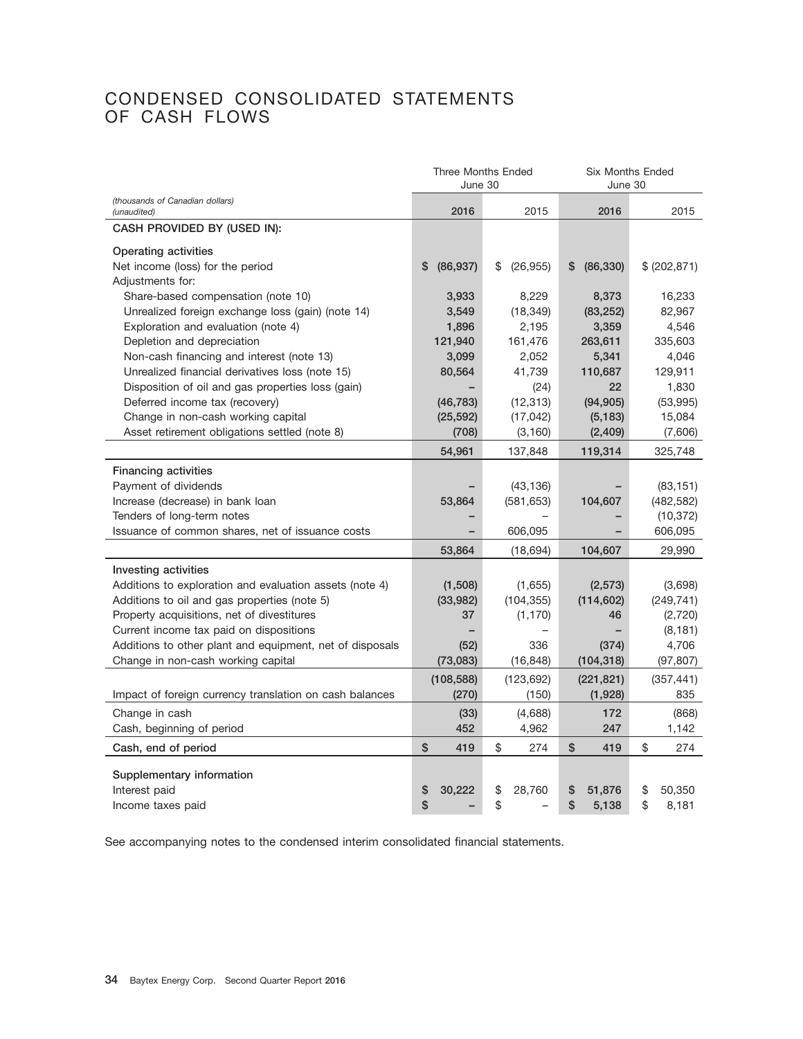# CONDENSED CONSOLIDATED STATEMENTS OF CASH FLOWS

|                                                          | <b>Three Months Ended</b><br>June 30 |                 | <b>Six Months Ended</b><br>June 30 |               |  |
|----------------------------------------------------------|--------------------------------------|-----------------|------------------------------------|---------------|--|
| (thousands of Canadian dollars)<br>(unaudited)           | 2016                                 | 2015            | 2016                               | 2015          |  |
| CASH PROVIDED BY (USED IN):                              |                                      |                 |                                    |               |  |
| Operating activities                                     |                                      |                 |                                    |               |  |
| Net income (loss) for the period                         | \$<br>(86, 937)                      | \$<br>(26, 955) | (86, 330)<br>\$                    | \$ (202, 871) |  |
| Adjustments for:                                         |                                      |                 |                                    |               |  |
| Share-based compensation (note 10)                       | 3.933                                | 8,229           | 8,373                              | 16,233        |  |
| Unrealized foreign exchange loss (gain) (note 14)        | 3,549                                | (18, 349)       | (83, 252)                          | 82,967        |  |
| Exploration and evaluation (note 4)                      | 1,896                                | 2,195           | 3,359                              | 4,546         |  |
| Depletion and depreciation                               | 121,940                              | 161,476         | 263,611                            | 335,603       |  |
| Non-cash financing and interest (note 13)                | 3,099                                | 2,052           | 5,341                              | 4,046         |  |
| Unrealized financial derivatives loss (note 15)          | 80,564                               | 41,739          | 110,687                            | 129,911       |  |
| Disposition of oil and gas properties loss (gain)        |                                      | (24)            | 22                                 | 1,830         |  |
| Deferred income tax (recovery)                           | (46, 783)                            | (12, 313)       | (94, 905)                          | (53,995)      |  |
| Change in non-cash working capital                       | (25, 592)                            | (17, 042)       | (5, 183)                           | 15,084        |  |
| Asset retirement obligations settled (note 8)            | (708)                                | (3, 160)        | (2, 409)                           | (7,606)       |  |
|                                                          | 54,961                               | 137,848         | 119,314                            | 325,748       |  |
| <b>Financing activities</b>                              |                                      |                 |                                    |               |  |
| Payment of dividends                                     |                                      | (43, 136)       |                                    | (83, 151)     |  |
| Increase (decrease) in bank loan                         | 53,864                               | (581, 653)      | 104,607                            | (482, 582)    |  |
| Tenders of long-term notes                               |                                      |                 |                                    | (10, 372)     |  |
| Issuance of common shares, net of issuance costs         |                                      | 606,095         |                                    | 606,095       |  |
|                                                          | 53,864                               | (18, 694)       | 104,607                            | 29,990        |  |
| Investing activities                                     |                                      |                 |                                    |               |  |
| Additions to exploration and evaluation assets (note 4)  | (1,508)                              | (1,655)         | (2,573)                            | (3,698)       |  |
| Additions to oil and gas properties (note 5)             | (33,982)                             | (104, 355)      | (114, 602)                         | (249, 741)    |  |
| Property acquisitions, net of divestitures               | 37                                   | (1, 170)        | 46                                 | (2,720)       |  |
| Current income tax paid on dispositions                  |                                      |                 |                                    | (8, 181)      |  |
| Additions to other plant and equipment, net of disposals | (52)                                 | 336             | (374)                              | 4,706         |  |
| Change in non-cash working capital                       | (73,083)                             | (16, 848)       | (104, 318)                         | (97, 807)     |  |
|                                                          | (108, 588)                           | (123, 692)      | (221, 821)                         | (357, 441)    |  |
| Impact of foreign currency translation on cash balances  | (270)                                | (150)           | (1,928)                            | 835           |  |
| Change in cash                                           | (33)                                 | (4,688)         | 172                                | (868)         |  |
| Cash, beginning of period                                | 452                                  | 4,962           | 247                                | 1,142         |  |
| Cash, end of period                                      | \$<br>419                            | \$<br>274       | \$<br>419                          | \$<br>274     |  |
|                                                          |                                      |                 |                                    |               |  |
| Supplementary information                                |                                      |                 |                                    |               |  |
| Interest paid                                            | \$<br>30,222                         | \$<br>28,760    | \$<br>51,876                       | \$<br>50,350  |  |
| Income taxes paid                                        | \$                                   | \$              | \$<br>5,138                        | \$<br>8,181   |  |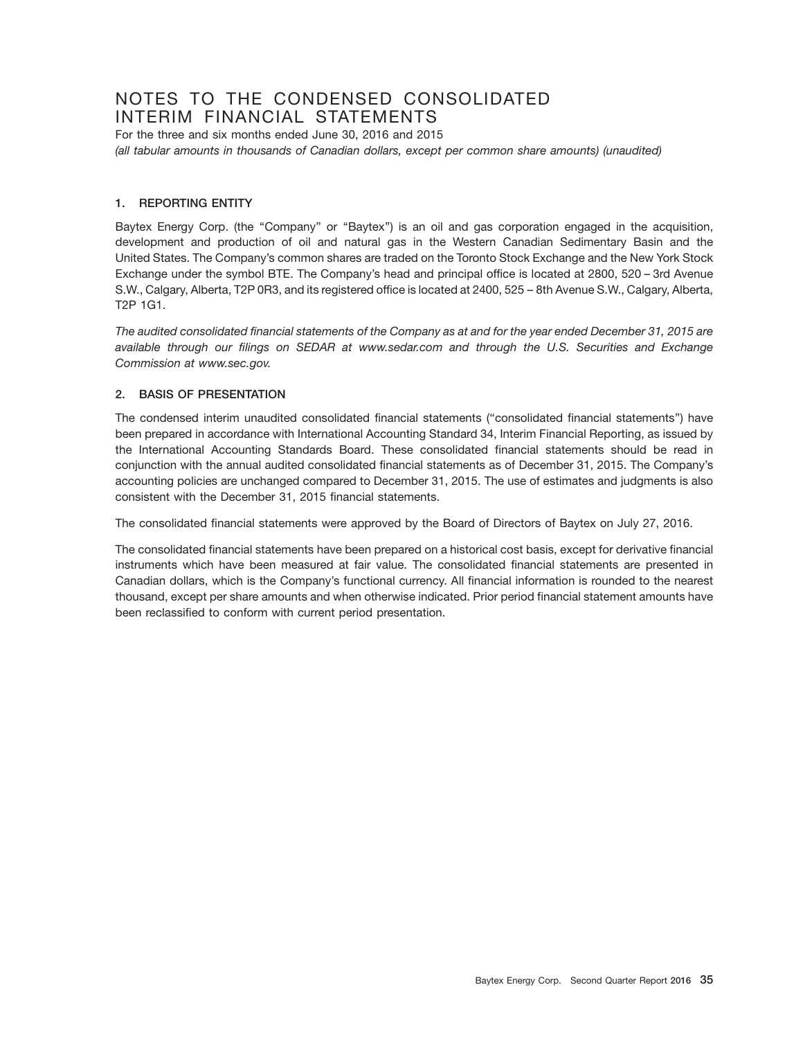# NOTES TO THE CONDENSED CONSOLIDATED INTERIM FINANCIAL STATEMENTS

For the three and six months ended June 30, 2016 and 2015 *(all tabular amounts in thousands of Canadian dollars, except per common share amounts) (unaudited)*

#### **1. REPORTING ENTITY**

Baytex Energy Corp. (the "Company" or "Baytex") is an oil and gas corporation engaged in the acquisition, development and production of oil and natural gas in the Western Canadian Sedimentary Basin and the United States. The Company's common shares are traded on the Toronto Stock Exchange and the New York Stock Exchange under the symbol BTE. The Company's head and principal office is located at 2800, 520 – 3rd Avenue S.W., Calgary, Alberta, T2P 0R3, and its registered office is located at 2400, 525 – 8th Avenue S.W., Calgary, Alberta, T2P 1G1.

*The audited consolidated financial statements of the Company as at and for the year ended December 31, 2015 are available through our filings on SEDAR at www.sedar.com and through the U.S. Securities and Exchange Commission at www.sec.gov.*

#### **2. BASIS OF PRESENTATION**

The condensed interim unaudited consolidated financial statements (''consolidated financial statements'') have been prepared in accordance with International Accounting Standard 34, Interim Financial Reporting, as issued by the International Accounting Standards Board. These consolidated financial statements should be read in conjunction with the annual audited consolidated financial statements as of December 31, 2015. The Company's accounting policies are unchanged compared to December 31, 2015. The use of estimates and judgments is also consistent with the December 31, 2015 financial statements.

The consolidated financial statements were approved by the Board of Directors of Baytex on July 27, 2016.

The consolidated financial statements have been prepared on a historical cost basis, except for derivative financial instruments which have been measured at fair value. The consolidated financial statements are presented in Canadian dollars, which is the Company's functional currency. All financial information is rounded to the nearest thousand, except per share amounts and when otherwise indicated. Prior period financial statement amounts have been reclassified to conform with current period presentation.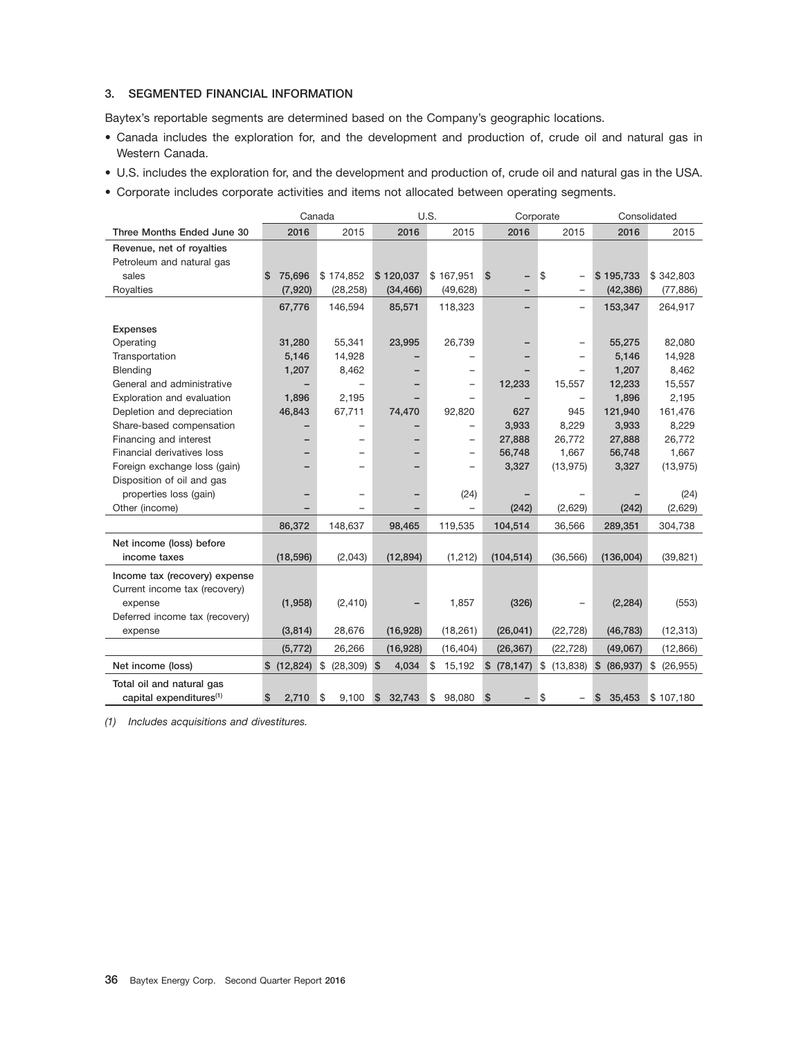#### **3. SEGMENTED FINANCIAL INFORMATION**

Baytex's reportable segments are determined based on the Company's geographic locations.

- Canada includes the exploration for, and the development and production of, crude oil and natural gas in Western Canada.
- U.S. includes the exploration for, and the development and production of, crude oil and natural gas in the USA.
- Corporate includes corporate activities and items not allocated between operating segments.

|                                     |                  | Canada                   |              | U.S.                     | Corporate            |                   |                            | Consolidated    |
|-------------------------------------|------------------|--------------------------|--------------|--------------------------|----------------------|-------------------|----------------------------|-----------------|
| Three Months Ended June 30          | 2016             | 2015                     | 2016         | 2015                     | 2016                 | 2015              | 2016                       | 2015            |
| Revenue, net of royalties           |                  |                          |              |                          |                      |                   |                            |                 |
| Petroleum and natural gas           |                  |                          |              |                          |                      |                   |                            |                 |
| sales                               | 75,696<br>S      | \$174,852                | \$120,037    | \$167,951                | \$                   | \$                | \$195,733                  | \$342,803       |
| Royalties                           | (7,920)          | (28, 258)                | (34, 466)    | (49, 628)                |                      |                   | (42, 386)                  | (77, 886)       |
|                                     | 67,776           | 146.594                  | 85,571       | 118,323                  |                      | $\qquad \qquad -$ | 153,347                    | 264,917         |
| <b>Expenses</b>                     |                  |                          |              |                          |                      |                   |                            |                 |
| Operating                           | 31,280           | 55,341                   | 23,995       | 26,739                   |                      |                   | 55,275                     | 82,080          |
| Transportation                      | 5,146            | 14,928                   |              |                          |                      |                   | 5,146                      | 14,928          |
| Blending                            | 1,207            | 8,462                    |              | $\overline{\phantom{0}}$ |                      |                   | 1,207                      | 8,462           |
| General and administrative          |                  |                          |              | $\overline{\phantom{0}}$ | 12,233               | 15,557            | 12,233                     | 15,557          |
| Exploration and evaluation          | 1,896            | 2,195                    |              |                          |                      | $\qquad \qquad -$ | 1,896                      | 2,195           |
| Depletion and depreciation          | 46,843           | 67,711                   | 74,470       | 92,820                   | 627                  | 945               | 121,940                    | 161,476         |
| Share-based compensation            |                  | $\overline{\phantom{0}}$ |              | $\overline{\phantom{0}}$ | 3,933                | 8,229             | 3,933                      | 8,229           |
| Financing and interest              |                  |                          |              | $\qquad \qquad -$        | 27,888               | 26.772            | 27,888                     | 26.772          |
| Financial derivatives loss          |                  |                          |              | $\qquad \qquad -$        | 56,748               | 1,667             | 56,748                     | 1,667           |
| Foreign exchange loss (gain)        |                  |                          |              |                          | 3,327                | (13, 975)         | 3,327                      | (13, 975)       |
| Disposition of oil and gas          |                  |                          |              |                          |                      |                   |                            |                 |
| properties loss (gain)              |                  |                          |              | (24)                     |                      |                   |                            | (24)            |
| Other (income)                      |                  |                          |              |                          | (242)                | (2,629)           | (242)                      | (2,629)         |
|                                     | 86,372           | 148,637                  | 98,465       | 119,535                  | 104,514              | 36,566            | 289,351                    | 304,738         |
| Net income (loss) before            |                  |                          |              |                          |                      |                   |                            |                 |
| income taxes                        | (18, 596)        | (2,043)                  | (12, 894)    | (1, 212)                 | (104, 514)           | (36, 566)         | (136,004)                  | (39, 821)       |
| Income tax (recovery) expense       |                  |                          |              |                          |                      |                   |                            |                 |
| Current income tax (recovery)       |                  |                          |              |                          |                      |                   |                            |                 |
| expense                             | (1,958)          | (2, 410)                 |              | 1,857                    | (326)                |                   | (2, 284)                   | (553)           |
| Deferred income tax (recovery)      |                  |                          |              |                          |                      |                   |                            |                 |
| expense                             | (3,814)          | 28,676                   | (16, 928)    | (18, 261)                | (26, 041)            | (22, 728)         | (46, 783)                  | (12, 313)       |
|                                     | (5, 772)         | 26,266                   | (16, 928)    | (16, 404)                | (26, 367)            | (22, 728)         | (49,067)                   | (12, 866)       |
| Net income (loss)                   | $$$ (12,824) $$$ | (28, 309)                | \$<br>4,034  | \$<br>15,192             | $(78, 147)$ \$<br>\$ | (13, 838)         | $\frac{3}{2}$<br>(86, 937) | \$<br>(26, 955) |
| Total oil and natural gas           |                  |                          |              |                          |                      |                   |                            |                 |
| capital expenditures <sup>(1)</sup> | \$<br>2,710      | 8<br>9,100               | 32,743<br>\$ | 98,080<br>\$             | \$                   | \$                | \$<br>35,453               | \$107,180       |

*(1) Includes acquisitions and divestitures.*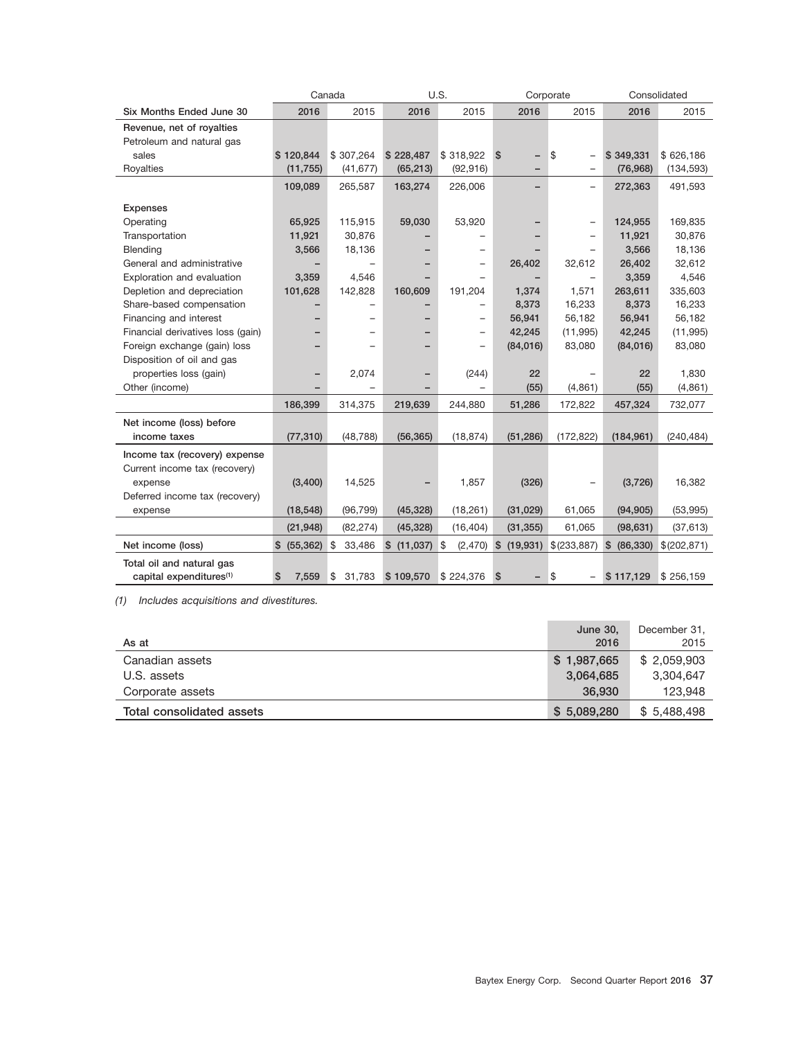|                                     |             | Canada       |                | U.S.                     | Corporate                       |                                |                 | Consolidated |
|-------------------------------------|-------------|--------------|----------------|--------------------------|---------------------------------|--------------------------------|-----------------|--------------|
| Six Months Ended June 30            | 2016        | 2015         | 2016           | 2015                     | 2016                            | 2015                           | 2016            | 2015         |
| Revenue, net of royalties           |             |              |                |                          |                                 |                                |                 |              |
| Petroleum and natural gas           |             |              |                |                          |                                 |                                |                 |              |
| sales                               | \$120,844   | \$307,264    | \$228,487      | \$318,922                | \$S<br>$\overline{\phantom{0}}$ | \$<br>$\overline{a}$           | \$349,331       | \$626,186    |
| Royalties                           | (11, 755)   | (41, 677)    | (65, 213)      | (92, 916)                |                                 | $\overline{\phantom{0}}$       | (76, 968)       | (134, 593)   |
|                                     | 109,089     | 265,587      | 163,274        | 226,006                  |                                 | $\overline{\phantom{0}}$       | 272,363         | 491,593      |
| <b>Expenses</b>                     |             |              |                |                          |                                 |                                |                 |              |
| Operating                           | 65,925      | 115,915      | 59,030         | 53,920                   |                                 | $\overline{\phantom{0}}$       | 124,955         | 169,835      |
| Transportation                      | 11,921      | 30,876       |                |                          |                                 |                                | 11,921          | 30,876       |
| Blending                            | 3,566       | 18,136       |                | $\overline{\phantom{0}}$ |                                 |                                | 3,566           | 18,136       |
| General and administrative          |             |              |                |                          | 26,402                          | 32,612                         | 26,402          | 32,612       |
| Exploration and evaluation          | 3,359       | 4,546        |                |                          |                                 | $\overline{\phantom{0}}$       | 3,359           | 4,546        |
| Depletion and depreciation          | 101,628     | 142,828      | 160,609        | 191,204                  | 1,374                           | 1,571                          | 263,611         | 335,603      |
| Share-based compensation            |             |              |                |                          | 8,373                           | 16,233                         | 8,373           | 16,233       |
| Financing and interest              |             |              |                | $\overline{\phantom{0}}$ | 56,941                          | 56,182                         | 56,941          | 56,182       |
| Financial derivatives loss (gain)   |             |              |                | $\overline{\phantom{0}}$ | 42,245                          | (11, 995)                      | 42,245          | (11, 995)    |
| Foreign exchange (gain) loss        |             |              |                |                          | (84,016)                        | 83,080                         | (84,016)        | 83,080       |
| Disposition of oil and gas          |             |              |                |                          |                                 |                                |                 |              |
| properties loss (gain)              |             | 2,074        |                | (244)                    | 22                              |                                | 22              | 1,830        |
| Other (income)                      |             |              |                |                          | (55)                            | (4,861)                        | (55)            | (4, 861)     |
|                                     | 186,399     | 314,375      | 219,639        | 244,880                  | 51,286                          | 172,822                        | 457,324         | 732,077      |
| Net income (loss) before            |             |              |                |                          |                                 |                                |                 |              |
| income taxes                        | (77, 310)   | (48, 788)    | (56, 365)      | (18, 874)                | (51, 286)                       | (172, 822)                     | (184, 961)      | (240, 484)   |
| Income tax (recovery) expense       |             |              |                |                          |                                 |                                |                 |              |
| Current income tax (recovery)       |             |              |                |                          |                                 |                                |                 |              |
| expense                             | (3,400)     | 14,525       |                | 1,857                    | (326)                           |                                | (3,726)         | 16,382       |
| Deferred income tax (recovery)      |             |              |                |                          |                                 |                                |                 |              |
| expense                             | (18, 548)   | (96, 799)    | (45, 328)      | (18, 261)                | (31, 029)                       | 61,065                         | (94, 905)       | (53,995)     |
|                                     | (21, 948)   | (82, 274)    | (45, 328)      | (16, 404)                | (31, 355)                       | 61,065                         | (98, 631)       | (37, 613)    |
| Net income (loss)                   | \$ (55,362) | \$<br>33,486 | $$(11,037)$ \$ |                          | $(2,470)$ \$ $(19,931)$         | \$ (233, 887)                  | \$<br>(86, 330) | \$(202, 871) |
| Total oil and natural gas           |             |              |                |                          |                                 |                                |                 |              |
| capital expenditures <sup>(1)</sup> | \$<br>7,559 | \$<br>31,783 | \$109,570      | \$224,376                | $\mathfrak{s}$                  | \$<br>$\overline{\phantom{0}}$ | \$117,129       | \$256,159    |

*(1) Includes acquisitions and divestitures.*

| As at                     | <b>June 30.</b><br>2016 | December 31,<br>2015 |
|---------------------------|-------------------------|----------------------|
| Canadian assets           | \$1,987,665             | \$2,059,903          |
| U.S. assets               | 3,064,685               | 3.304.647            |
| Corporate assets          | 36,930                  | 123,948              |
| Total consolidated assets | \$5,089,280             | \$5,488,498          |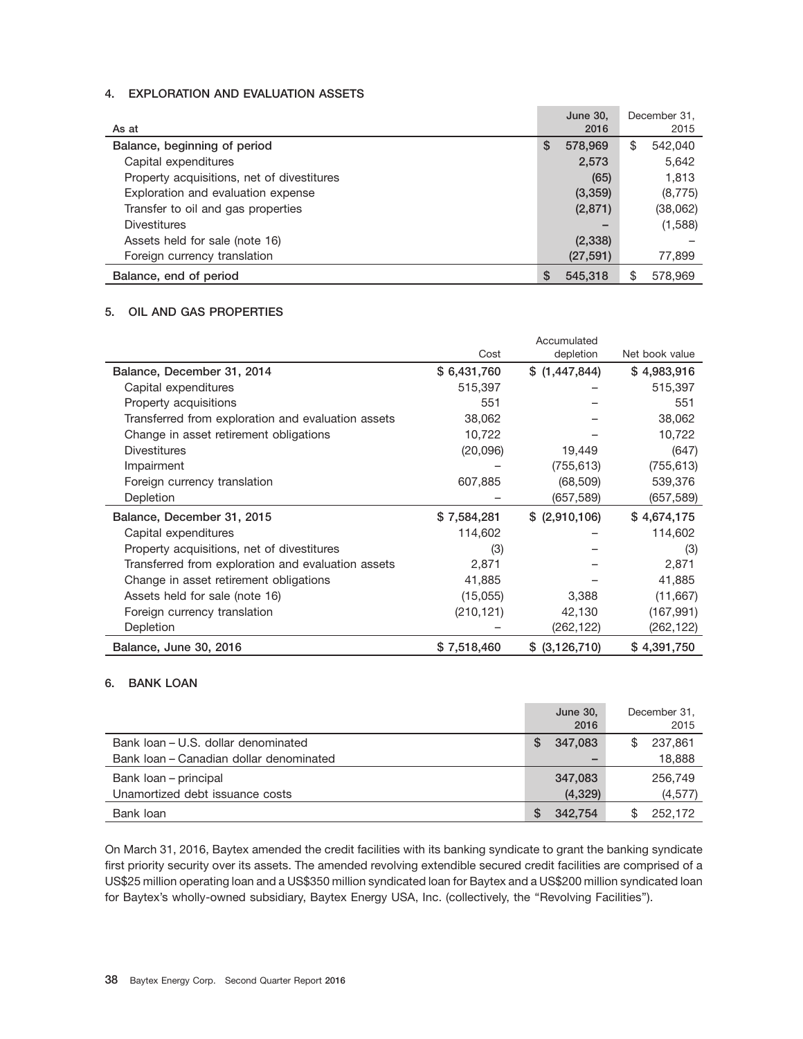#### **4. EXPLORATION AND EVALUATION ASSETS**

| As at                                      |   | <b>June 30.</b><br>2016 | December 31,<br>2015 |
|--------------------------------------------|---|-------------------------|----------------------|
| Balance, beginning of period               | S | 578,969                 | \$<br>542,040        |
| Capital expenditures                       |   | 2,573                   | 5,642                |
| Property acquisitions, net of divestitures |   | (65)                    | 1,813                |
| Exploration and evaluation expense         |   | (3,359)                 | (8, 775)             |
| Transfer to oil and gas properties         |   | (2,871)                 | (38,062)             |
| Divestitures                               |   |                         | (1,588)              |
| Assets held for sale (note 16)             |   | (2,338)                 |                      |
| Foreign currency translation               |   | (27, 591)               | 77,899               |
| Balance, end of period                     |   | 545,318                 | \$<br>578,969        |

#### **5. OIL AND GAS PROPERTIES**

|                                                    |             | Accumulated     |                |
|----------------------------------------------------|-------------|-----------------|----------------|
|                                                    | Cost        | depletion       | Net book value |
| Balance, December 31, 2014                         | \$6,431,760 | \$(1,447,844)   | \$4,983,916    |
| Capital expenditures                               | 515,397     |                 | 515,397        |
| Property acquisitions                              | 551         |                 | 551            |
| Transferred from exploration and evaluation assets | 38,062      |                 | 38,062         |
| Change in asset retirement obligations             | 10,722      |                 | 10,722         |
| <b>Divestitures</b>                                | (20,096)    | 19,449          | (647)          |
| Impairment                                         |             | (755, 613)      | (755, 613)     |
| Foreign currency translation                       | 607,885     | (68, 509)       | 539,376        |
| Depletion                                          |             | (657,589)       | (657,589)      |
| Balance, December 31, 2015                         | \$7,584,281 | $$$ (2,910,106) | \$4,674,175    |
| Capital expenditures                               | 114,602     |                 | 114,602        |
| Property acquisitions, net of divestitures         | (3)         |                 | (3)            |
| Transferred from exploration and evaluation assets | 2,871       |                 | 2,871          |
| Change in asset retirement obligations             | 41,885      |                 | 41,885         |
| Assets held for sale (note 16)                     | (15,055)    | 3,388           | (11,667)       |
| Foreign currency translation                       | (210, 121)  | 42,130          | (167, 991)     |
| Depletion                                          |             | (262, 122)      | (262,122)      |
| Balance, June 30, 2016                             | \$7,518,460 | \$ (3,126,710)  | \$4,391,750    |

#### **6. BANK LOAN**

|                                         |          | June 30,<br>2016 |     | December 31,<br>2015 |
|-----------------------------------------|----------|------------------|-----|----------------------|
| Bank Joan – U.S. dollar denominated     | <b>S</b> | 347.083          | \$. | 237,861              |
| Bank Joan - Canadian dollar denominated |          |                  |     | 18,888               |
| Bank loan – principal                   |          | 347.083          |     | 256,749              |
| Unamortized debt issuance costs         |          | (4,329)          |     | (4, 577)             |
| Bank loan                               |          | 342.754          | \$  | 252.172              |

On March 31, 2016, Baytex amended the credit facilities with its banking syndicate to grant the banking syndicate first priority security over its assets. The amended revolving extendible secured credit facilities are comprised of a US\$25 million operating loan and a US\$350 million syndicated loan for Baytex and a US\$200 million syndicated loan for Baytex's wholly-owned subsidiary, Baytex Energy USA, Inc. (collectively, the ''Revolving Facilities'').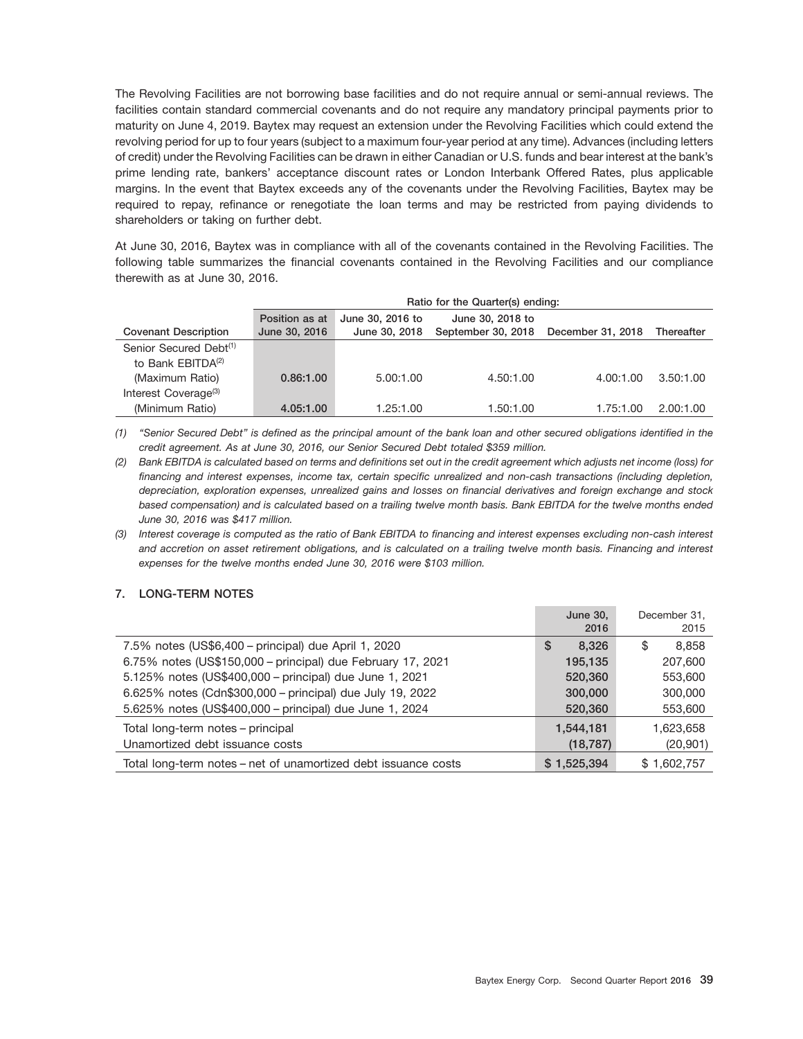The Revolving Facilities are not borrowing base facilities and do not require annual or semi-annual reviews. The facilities contain standard commercial covenants and do not require any mandatory principal payments prior to maturity on June 4, 2019. Baytex may request an extension under the Revolving Facilities which could extend the revolving period for up to four years (subject to a maximum four-year period at any time). Advances (including letters of credit) under the Revolving Facilities can be drawn in either Canadian or U.S. funds and bear interest at the bank's prime lending rate, bankers' acceptance discount rates or London Interbank Offered Rates, plus applicable margins. In the event that Baytex exceeds any of the covenants under the Revolving Facilities, Baytex may be required to repay, refinance or renegotiate the loan terms and may be restricted from paying dividends to shareholders or taking on further debt.

At June 30, 2016, Baytex was in compliance with all of the covenants contained in the Revolving Facilities. The following table summarizes the financial covenants contained in the Revolving Facilities and our compliance therewith as at June 30, 2016.

|                                    | Ratio for the Quarter(s) ending: |                  |                                      |           |            |  |  |  |
|------------------------------------|----------------------------------|------------------|--------------------------------------|-----------|------------|--|--|--|
|                                    | Position as at                   | June 30, 2016 to | June 30, 2018 to                     |           |            |  |  |  |
| <b>Covenant Description</b>        | June 30, 2016                    | June 30, 2018    | September 30, 2018 December 31, 2018 |           | Thereafter |  |  |  |
| Senior Secured Debt <sup>(1)</sup> |                                  |                  |                                      |           |            |  |  |  |
| to Bank EBITDA <sup>(2)</sup>      |                                  |                  |                                      |           |            |  |  |  |
| (Maximum Ratio)                    | 0.86:1.00                        | 5.00:1.00        | 4.50:1.00                            | 4.00:1.00 | 3.50:1.00  |  |  |  |
| Interest Coverage <sup>(3)</sup>   |                                  |                  |                                      |           |            |  |  |  |
| (Minimum Ratio)                    | 4.05:1.00                        | 1.25:1.00        | 1.50:1.00                            | 1.75:1.00 | 2.00:1.00  |  |  |  |

*(1) ''Senior Secured Debt'' is defined as the principal amount of the bank loan and other secured obligations identified in the credit agreement. As at June 30, 2016, our Senior Secured Debt totaled \$359 million.*

*(2) Bank EBITDA is calculated based on terms and definitions set out in the credit agreement which adjusts net income (loss) for financing and interest expenses, income tax, certain specific unrealized and non-cash transactions (including depletion, depreciation, exploration expenses, unrealized gains and losses on financial derivatives and foreign exchange and stock based compensation) and is calculated based on a trailing twelve month basis. Bank EBITDA for the twelve months ended June 30, 2016 was \$417 million.*

*(3) Interest coverage is computed as the ratio of Bank EBITDA to financing and interest expenses excluding non-cash interest and accretion on asset retirement obligations, and is calculated on a trailing twelve month basis. Financing and interest expenses for the twelve months ended June 30, 2016 were \$103 million.*

## **7. LONG-TERM NOTES**

|                                                                | <b>June 30,</b><br>2016 | December 31,<br>2015 |
|----------------------------------------------------------------|-------------------------|----------------------|
| 7.5% notes (US\$6,400 – principal) due April 1, 2020           | 8.326<br><b>S</b>       | 8.858<br>S           |
| 6.75% notes (US\$150,000 - principal) due February 17, 2021    | 195,135                 | 207,600              |
| 5.125% notes (US\$400,000 - principal) due June 1, 2021        | 520,360                 | 553,600              |
| 6.625% notes (Cdn\$300,000 - principal) due July 19, 2022      | 300,000                 | 300,000              |
| 5.625% notes (US\$400,000 - principal) due June 1, 2024        | 520,360                 | 553,600              |
| Total long-term notes - principal                              | 1,544,181               | 1,623,658            |
| Unamortized debt issuance costs                                | (18, 787)               | (20, 901)            |
| Total long-term notes – net of unamortized debt issuance costs | \$1,525,394             | \$1,602,757          |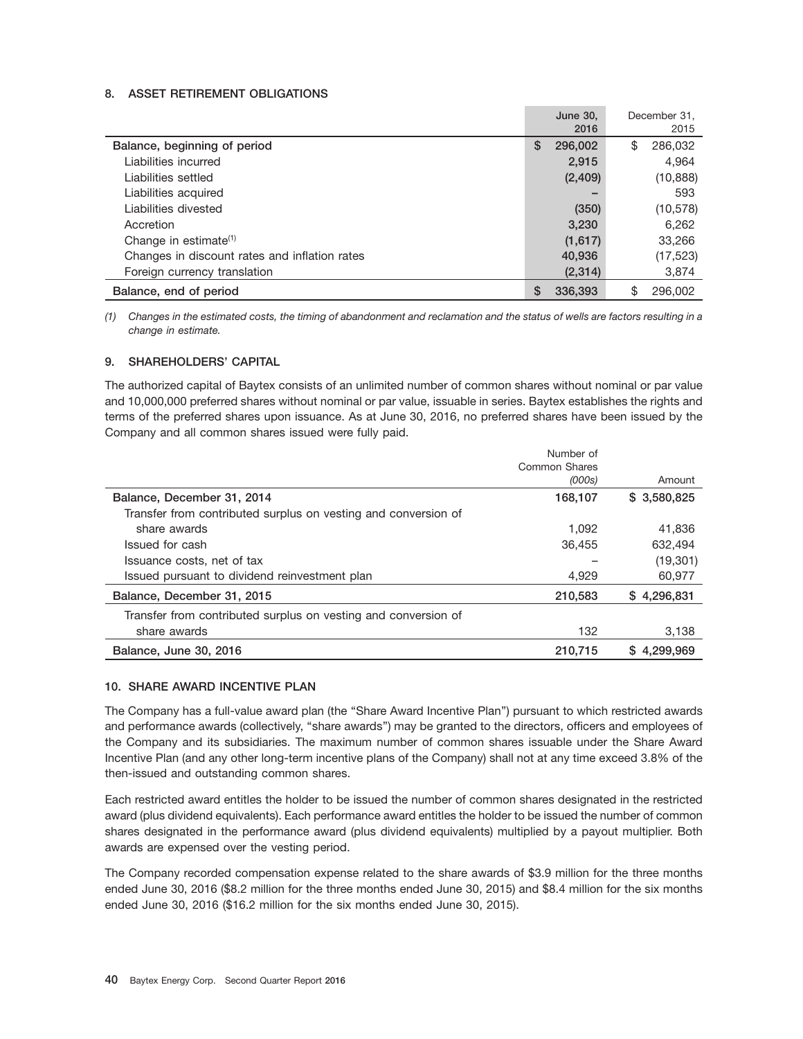#### **8. ASSET RETIREMENT OBLIGATIONS**

|                                               |    | June 30,<br>2016 | December 31.<br>2015 |
|-----------------------------------------------|----|------------------|----------------------|
| Balance, beginning of period                  | S  | 296,002          | \$<br>286,032        |
| Liabilities incurred                          |    | 2,915            | 4,964                |
| Liabilities settled                           |    | (2,409)          | (10, 888)            |
| Liabilities acquired                          |    |                  | 593                  |
| Liabilities divested                          |    | (350)            | (10, 578)            |
| Accretion                                     |    | 3,230            | 6,262                |
| Change in estimate $(1)$                      |    | (1,617)          | 33,266               |
| Changes in discount rates and inflation rates |    | 40,936           | (17, 523)            |
| Foreign currency translation                  |    | (2,314)          | 3,874                |
| Balance, end of period                        | \$ | 336,393          | \$<br>296,002        |

*(1) Changes in the estimated costs, the timing of abandonment and reclamation and the status of wells are factors resulting in a change in estimate.*

#### **9. SHAREHOLDERS' CAPITAL**

The authorized capital of Baytex consists of an unlimited number of common shares without nominal or par value and 10,000,000 preferred shares without nominal or par value, issuable in series. Baytex establishes the rights and terms of the preferred shares upon issuance. As at June 30, 2016, no preferred shares have been issued by the Company and all common shares issued were fully paid.

|                                                                | Number of     |              |
|----------------------------------------------------------------|---------------|--------------|
|                                                                | Common Shares |              |
|                                                                | (000s)        | Amount       |
| Balance, December 31, 2014                                     | 168,107       | \$ 3,580,825 |
| Transfer from contributed surplus on vesting and conversion of |               |              |
| share awards                                                   | 1.092         | 41,836       |
| Issued for cash                                                | 36,455        | 632.494      |
| Issuance costs, net of tax                                     |               | (19, 301)    |
| Issued pursuant to dividend reinvestment plan                  | 4.929         | 60.977       |
| Balance, December 31, 2015                                     | 210,583       | \$4.296.831  |
| Transfer from contributed surplus on vesting and conversion of |               |              |
| share awards                                                   | 132           | 3,138        |
| Balance, June 30, 2016                                         | 210.715       | \$4.299,969  |

#### **10. SHARE AWARD INCENTIVE PLAN**

The Company has a full-value award plan (the ''Share Award Incentive Plan'') pursuant to which restricted awards and performance awards (collectively, ''share awards'') may be granted to the directors, officers and employees of the Company and its subsidiaries. The maximum number of common shares issuable under the Share Award Incentive Plan (and any other long-term incentive plans of the Company) shall not at any time exceed 3.8% of the then-issued and outstanding common shares.

Each restricted award entitles the holder to be issued the number of common shares designated in the restricted award (plus dividend equivalents). Each performance award entitles the holder to be issued the number of common shares designated in the performance award (plus dividend equivalents) multiplied by a payout multiplier. Both awards are expensed over the vesting period.

The Company recorded compensation expense related to the share awards of \$3.9 million for the three months ended June 30, 2016 (\$8.2 million for the three months ended June 30, 2015) and \$8.4 million for the six months ended June 30, 2016 (\$16.2 million for the six months ended June 30, 2015).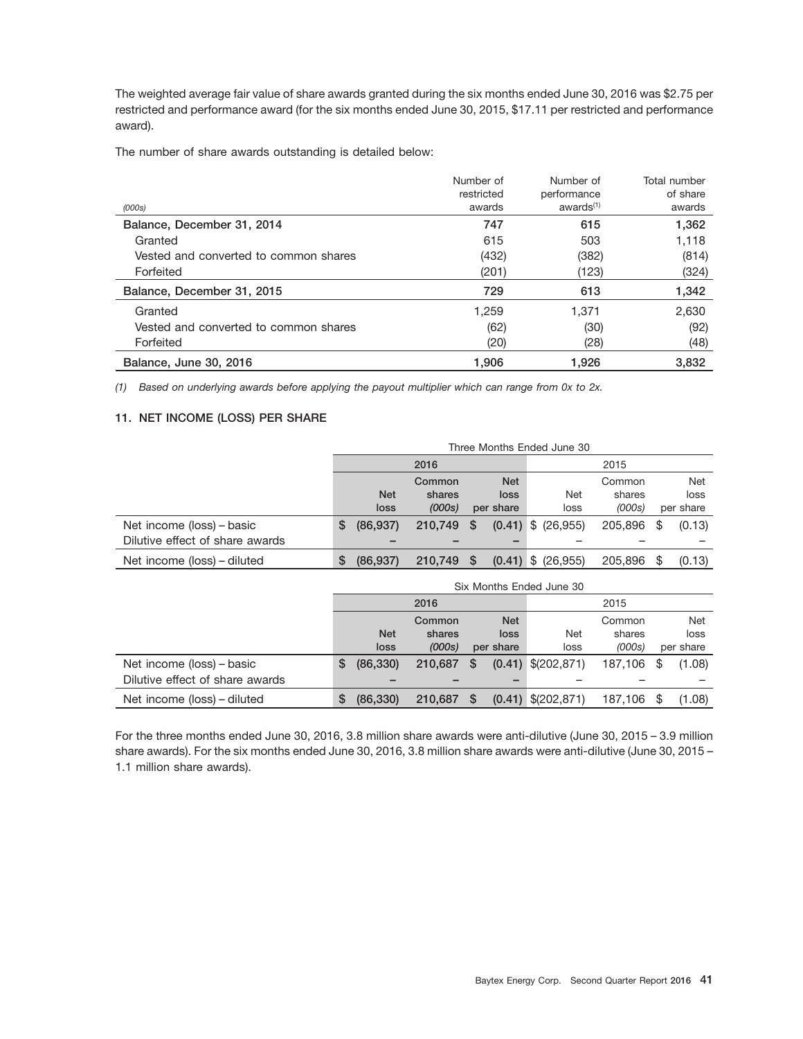The weighted average fair value of share awards granted during the six months ended June 30, 2016 was \$2.75 per restricted and performance award (for the six months ended June 30, 2015, \$17.11 per restricted and performance award).

The number of share awards outstanding is detailed below:

| (000s)                                | Number of<br>restricted<br>awards | Number of<br>performance<br>awards <sup>(1)</sup> | Total number<br>of share<br>awards |
|---------------------------------------|-----------------------------------|---------------------------------------------------|------------------------------------|
| Balance, December 31, 2014            | 747                               | 615                                               | 1,362                              |
| Granted                               | 615                               | 503                                               | 1,118                              |
| Vested and converted to common shares | (432)                             | (382)                                             | (814)                              |
| Forfeited                             | (201)                             | (123)                                             | (324)                              |
| Balance, December 31, 2015            | 729                               | 613                                               | 1,342                              |
| Granted                               | 1,259                             | 1.371                                             | 2,630                              |
| Vested and converted to common shares | (62)                              | (30)                                              | (92)                               |
| Forfeited                             | (20)                              | (28)                                              | (48)                               |
| Balance, June 30, 2016                | 1.906                             | 1.926                                             | 3.832                              |

*(1) Based on underlying awards before applying the payout multiplier which can range from 0x to 2x.*

## **11. NET INCOME (LOSS) PER SHARE**

|                                 | Three Months Ended June 30 |            |         |      |            |                        |         |    |            |
|---------------------------------|----------------------------|------------|---------|------|------------|------------------------|---------|----|------------|
|                                 | 2016                       |            |         | 2015 |            |                        |         |    |            |
|                                 |                            |            | Common  |      | <b>Net</b> |                        | Common  |    | <b>Net</b> |
|                                 |                            | <b>Net</b> | shares  |      | loss       | <b>Net</b>             | shares  |    | loss       |
|                                 |                            | loss       | (000s)  |      | per share  | loss                   | (000s)  |    | per share  |
| Net income (loss) – basic       | S                          | (86, 937)  | 210,749 | -S   |            | $(0.41)$ \$ $(26.955)$ | 205.896 | \$ | (0.13)     |
| Dilutive effect of share awards |                            |            |         |      |            |                        |         |    |            |
| Net income (loss) – diluted     | S                          | (86.937)   | 210.749 | - \$ |            | $(0.41)$ \$ $(26,955)$ | 205,896 |    | (0.13)     |

|                                 | Six Months Ended June 30 |            |         |          |            |                      |         |      |           |
|---------------------------------|--------------------------|------------|---------|----------|------------|----------------------|---------|------|-----------|
|                                 | 2016                     |            |         | 2015     |            |                      |         |      |           |
|                                 |                          |            | Common  |          | <b>Net</b> |                      | Common  |      | Net       |
|                                 |                          | <b>Net</b> | shares  |          | loss       | Net                  | shares  |      | loss      |
|                                 |                          | loss       | (000s)  |          | per share  | loss                 | (000s)  |      | per share |
| Net income (loss) – basic       | \$                       | (86, 330)  | 210,687 | <b>S</b> |            | $(0.41)$ \$(202,871) | 187,106 | - \$ | (1.08)    |
| Dilutive effect of share awards |                          |            |         |          |            |                      |         |      |           |
| Net income (loss) – diluted     | S                        | (86, 330)  | 210.687 | S        |            | $(0.41)$ \$(202,871) | 187.106 |      | (1.08)    |

For the three months ended June 30, 2016, 3.8 million share awards were anti-dilutive (June 30, 2015 – 3.9 million share awards). For the six months ended June 30, 2016, 3.8 million share awards were anti-dilutive (June 30, 2015 – 1.1 million share awards).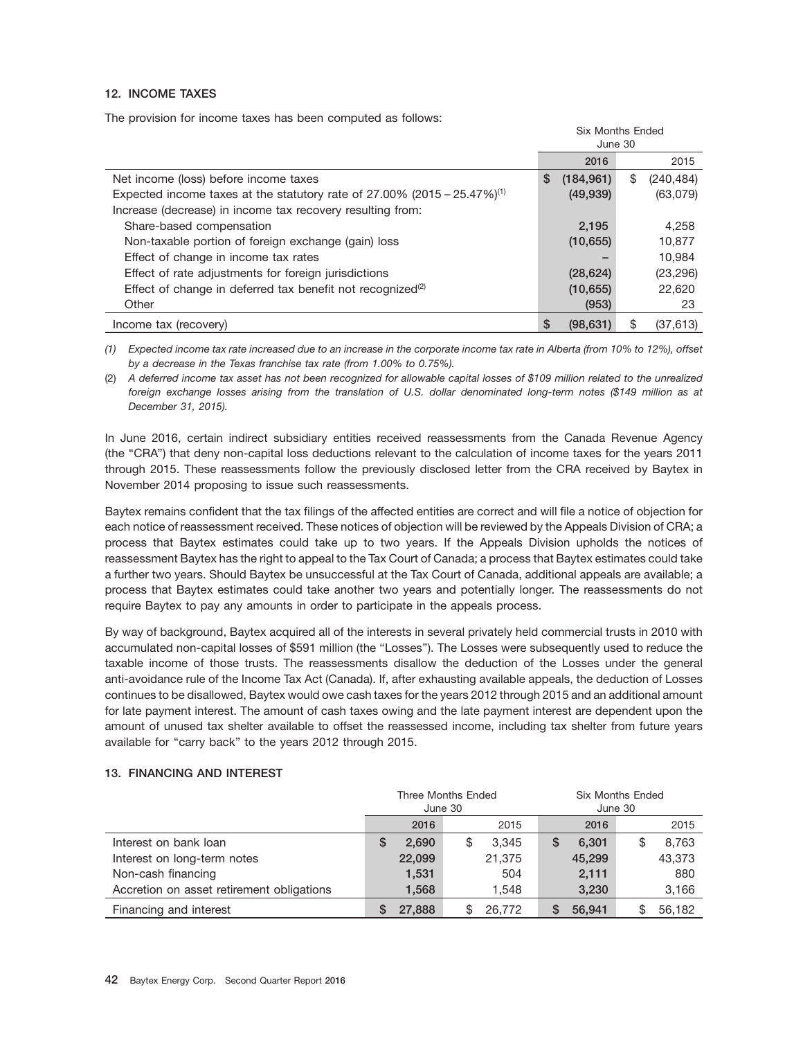#### **12. INCOME TAXES**

The provision for income taxes has been computed as follows:

|                                                                                         | <b>Six Months Ended</b><br>June 30 |            |    |            |
|-----------------------------------------------------------------------------------------|------------------------------------|------------|----|------------|
|                                                                                         |                                    | 2016       |    | 2015       |
| Net income (loss) before income taxes                                                   | \$                                 | (184, 961) | \$ | (240, 484) |
| Expected income taxes at the statutory rate of $27.00\%$ (2015 – 25.47%) <sup>(1)</sup> |                                    | (49, 939)  |    | (63,079)   |
| Increase (decrease) in income tax recovery resulting from:                              |                                    |            |    |            |
| Share-based compensation                                                                |                                    | 2.195      |    | 4,258      |
| Non-taxable portion of foreign exchange (gain) loss                                     |                                    | (10, 655)  |    | 10.877     |
| Effect of change in income tax rates                                                    |                                    |            |    | 10.984     |
| Effect of rate adjustments for foreign jurisdictions                                    |                                    | (28, 624)  |    | (23, 296)  |
| Effect of change in deferred tax benefit not recognized <sup>(2)</sup>                  |                                    | (10, 655)  |    | 22,620     |
| Other                                                                                   |                                    | (953)      |    | 23         |
| Income tax (recovery)                                                                   | S                                  | (98, 631)  | \$ | (37, 613)  |

*(1) Expected income tax rate increased due to an increase in the corporate income tax rate in Alberta (from 10% to 12%), offset by a decrease in the Texas franchise tax rate (from 1.00% to 0.75%).*

(2) *A deferred income tax asset has not been recognized for allowable capital losses of \$109 million related to the unrealized foreign exchange losses arising from the translation of U.S. dollar denominated long-term notes (\$149 million as at December 31, 2015).*

In June 2016, certain indirect subsidiary entities received reassessments from the Canada Revenue Agency (the ''CRA'') that deny non-capital loss deductions relevant to the calculation of income taxes for the years 2011 through 2015. These reassessments follow the previously disclosed letter from the CRA received by Baytex in November 2014 proposing to issue such reassessments.

Baytex remains confident that the tax filings of the affected entities are correct and will file a notice of objection for each notice of reassessment received. These notices of objection will be reviewed by the Appeals Division of CRA; a process that Baytex estimates could take up to two years. If the Appeals Division upholds the notices of reassessment Baytex has the right to appeal to the Tax Court of Canada; a process that Baytex estimates could take a further two years. Should Baytex be unsuccessful at the Tax Court of Canada, additional appeals are available; a process that Baytex estimates could take another two years and potentially longer. The reassessments do not require Baytex to pay any amounts in order to participate in the appeals process.

By way of background, Baytex acquired all of the interests in several privately held commercial trusts in 2010 with accumulated non-capital losses of \$591 million (the ''Losses''). The Losses were subsequently used to reduce the taxable income of those trusts. The reassessments disallow the deduction of the Losses under the general anti-avoidance rule of the Income Tax Act (Canada). If, after exhausting available appeals, the deduction of Losses continues to be disallowed, Baytex would owe cash taxes for the years 2012 through 2015 and an additional amount for late payment interest. The amount of cash taxes owing and the late payment interest are dependent upon the amount of unused tax shelter available to offset the reassessed income, including tax shelter from future years available for "carry back" to the years 2012 through 2015.

#### **13. FINANCING AND INTEREST**

|                                           |            | <b>Three Months Ended</b> | <b>Six Months Ended</b> |             |  |
|-------------------------------------------|------------|---------------------------|-------------------------|-------------|--|
|                                           |            | June 30                   | June 30                 |             |  |
|                                           | 2016       | 2015                      | 2016                    | 2015        |  |
| Interest on bank loan                     | 2.690<br>S | 3.345                     | 6.301<br>S              | 8,763<br>ა  |  |
| Interest on long-term notes               | 22,099     | 21.375                    | 45,299                  | 43,373      |  |
| Non-cash financing                        | 1,531      | 504                       | 2,111                   | 880         |  |
| Accretion on asset retirement obligations | 1,568      | 1.548                     | 3,230                   | 3,166       |  |
| Financing and interest                    | 27,888     | 26,772                    | 56.941<br>S             | 56.182<br>S |  |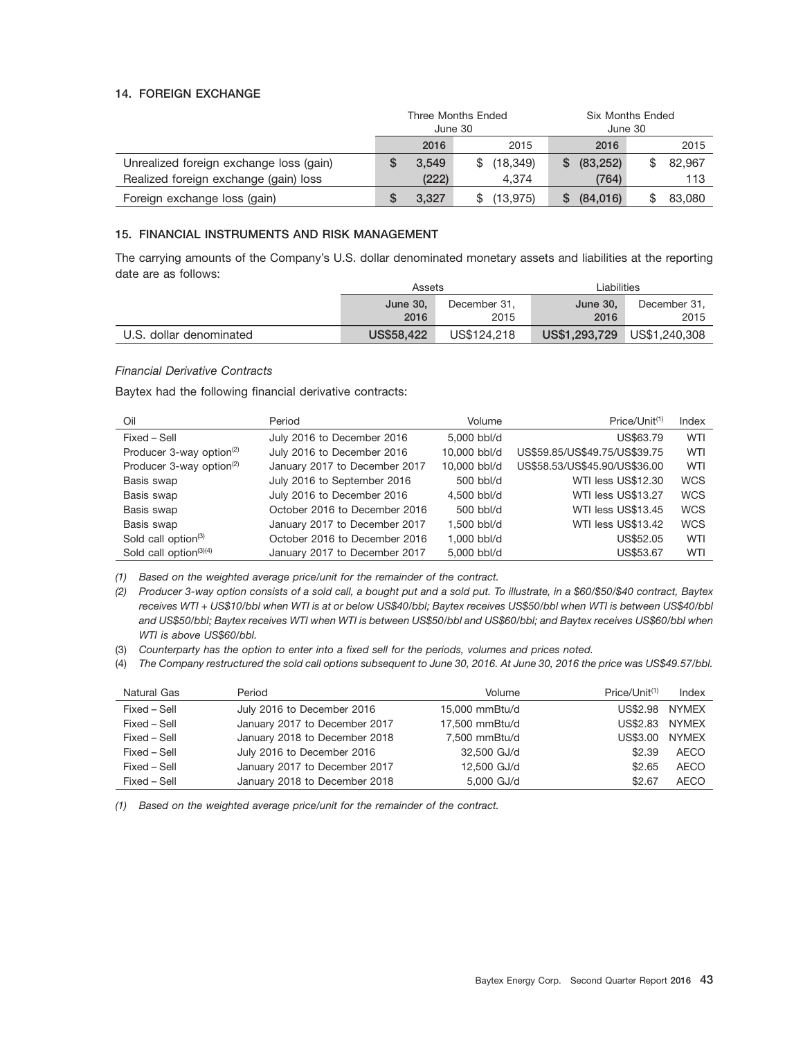#### **14. FOREIGN EXCHANGE**

|                                         | <b>Three Months Ended</b><br>June 30 |       |                 | Six Months Ended<br>June 30 |        |  |
|-----------------------------------------|--------------------------------------|-------|-----------------|-----------------------------|--------|--|
|                                         |                                      | 2016  | 2015            | 2016                        | 2015   |  |
| Unrealized foreign exchange loss (gain) |                                      | 3.549 | (18, 349)<br>\$ | (83, 252)<br>S.             | 82,967 |  |
| Realized foreign exchange (gain) loss   |                                      | (222) | 4.374           | (764)                       | 113    |  |
| Foreign exchange loss (gain)            | G                                    | 3.327 | (13, 975)       | (84,016)<br>S               | 83,080 |  |

#### **15. FINANCIAL INSTRUMENTS AND RISK MANAGEMENT**

The carrying amounts of the Company's U.S. dollar denominated monetary assets and liabilities at the reporting date are as follows:

|                         | Assets            |              | ∟iabilities   |               |  |
|-------------------------|-------------------|--------------|---------------|---------------|--|
|                         | June 30.          | December 31. | June $30$ ,   | December 31.  |  |
|                         | 2016              | 2015         | 2016          | 2015          |  |
| U.S. dollar denominated | <b>US\$58,422</b> | US\$124.218  | US\$1,293,729 | US\$1,240,308 |  |

#### *Financial Derivative Contracts*

Baytex had the following financial derivative contracts:

| Oil                                  | Period                        | Volume       | Price/Unit <sup>(1)</sup>     | Index      |
|--------------------------------------|-------------------------------|--------------|-------------------------------|------------|
| Fixed – Sell                         | July 2016 to December 2016    | 5,000 bbl/d  | US\$63.79                     | <b>WTI</b> |
| Producer 3-way option <sup>(2)</sup> | July 2016 to December 2016    | 10.000 bbl/d | US\$59.85/US\$49.75/US\$39.75 | WTI        |
| Producer 3-way option <sup>(2)</sup> | January 2017 to December 2017 | 10.000 bbl/d | US\$58.53/US\$45.90/US\$36.00 | WTI        |
| Basis swap                           | July 2016 to September 2016   | $500$ bbl/d  | WTI less US\$12.30            | <b>WCS</b> |
| Basis swap                           | July 2016 to December 2016    | 4.500 bbl/d  | WTI less US\$13.27            | <b>WCS</b> |
| Basis swap                           | October 2016 to December 2016 | $500$ bbl/d  | WTI less US\$13.45            | <b>WCS</b> |
| Basis swap                           | January 2017 to December 2017 | 1.500 bbl/d  | WTI less US\$13.42            | <b>WCS</b> |
| Sold call option <sup>(3)</sup>      | October 2016 to December 2016 | 1.000 bbl/d  | US\$52.05                     | WTI        |
| Sold call option $(3)(4)$            | January 2017 to December 2017 | 5,000 bbl/d  | US\$53.67                     | WTI        |

*(1) Based on the weighted average price/unit for the remainder of the contract.*

*(2) Producer 3-way option consists of a sold call, a bought put and a sold put. To illustrate, in a \$60/\$50/\$40 contract, Baytex receives WTI + US\$10/bbl when WTI is at or below US\$40/bbl; Baytex receives US\$50/bbl when WTI is between US\$40/bbl and US\$50/bbl; Baytex receives WTI when WTI is between US\$50/bbl and US\$60/bbl; and Baytex receives US\$60/bbl when WTI is above US\$60/bbl.*

(3) *Counterparty has the option to enter into a fixed sell for the periods, volumes and prices noted.*

(4) *The Company restructured the sold call options subsequent to June 30, 2016. At June 30, 2016 the price was US\$49.57/bbl.*

| Natural Gas  | Period                        | Volume         | $Price/Unit^{(1)}$ | Index        |
|--------------|-------------------------------|----------------|--------------------|--------------|
| Fixed - Sell | July 2016 to December 2016    | 15,000 mmBtu/d | US\$2.98 NYMEX     |              |
| Fixed – Sell | January 2017 to December 2017 | 17,500 mmBtu/d | US\$2.83           | <b>NYMEX</b> |
| Fixed – Sell | January 2018 to December 2018 | 7.500 mmBtu/d  | US\$3.00           | <b>NYMEX</b> |
| Fixed – Sell | July 2016 to December 2016    | 32,500 GJ/d    | \$2.39             | <b>AECO</b>  |
| Fixed - Sell | January 2017 to December 2017 | 12,500 GJ/d    | \$2.65             | <b>AECO</b>  |
| Fixed – Sell | January 2018 to December 2018 | 5,000 GJ/d     | \$2.67             | <b>AECO</b>  |

*(1) Based on the weighted average price/unit for the remainder of the contract.*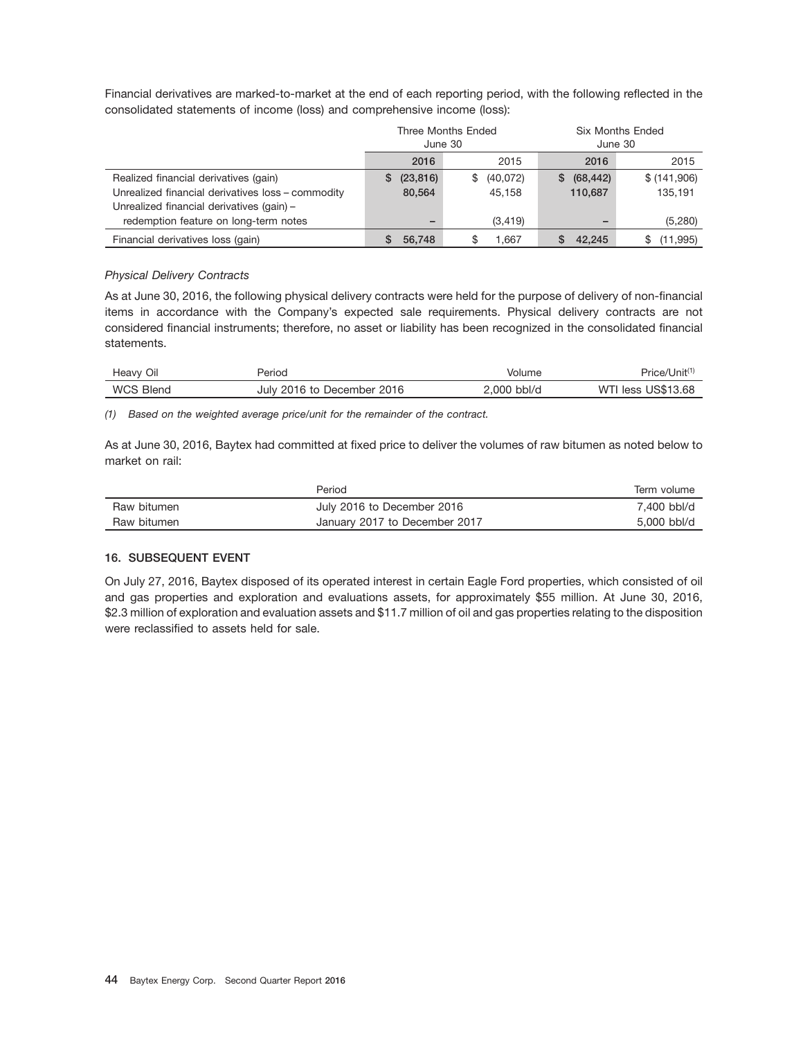Financial derivatives are marked-to-market at the end of each reporting period, with the following reflected in the consolidated statements of income (loss) and comprehensive income (loss):

|                                                   | June 30        | Three Months Ended | <b>Six Months Ended</b><br>June 30 |             |  |
|---------------------------------------------------|----------------|--------------------|------------------------------------|-------------|--|
|                                                   | 2016           | 2015               | 2016                               | 2015        |  |
| Realized financial derivatives (gain)             | (23, 816)<br>S | (40,072)<br>S.     | (68, 442)<br>S.                    | \$(141,906) |  |
| Unrealized financial derivatives loss - commodity | 80.564         | 45.158             | 110,687                            | 135.191     |  |
| Unrealized financial derivatives (gain) -         |                |                    |                                    |             |  |
| redemption feature on long-term notes             |                | (3, 419)           | -                                  | (5,280)     |  |
| Financial derivatives loss (gain)                 | 56.748         | 1.667              | 42.245                             | (11, 995)   |  |

#### *Physical Delivery Contracts*

As at June 30, 2016, the following physical delivery contracts were held for the purpose of delivery of non-financial items in accordance with the Company's expected sale requirements. Physical delivery contracts are not considered financial instruments; therefore, no asset or liability has been recognized in the consolidated financial statements.

| Oil<br>Heavy     | Perioa                     | Volume          | Price/Unit <sup>(1)</sup> |
|------------------|----------------------------|-----------------|---------------------------|
| <b>WCS Blend</b> | July 2016 to December 2016 | bbl/d<br>2.000' | US\$13.68<br>WTI<br>'less |

*(1) Based on the weighted average price/unit for the remainder of the contract.*

As at June 30, 2016, Baytex had committed at fixed price to deliver the volumes of raw bitumen as noted below to market on rail:

|             | Period                        | Term volume |
|-------------|-------------------------------|-------------|
| Raw bitumen | July 2016 to December 2016    | 7.400 bbl/d |
| Raw bitumen | January 2017 to December 2017 | 5,000 bbl/d |

## **16. SUBSEQUENT EVENT**

On July 27, 2016, Baytex disposed of its operated interest in certain Eagle Ford properties, which consisted of oil and gas properties and exploration and evaluations assets, for approximately \$55 million. At June 30, 2016, \$2.3 million of exploration and evaluation assets and \$11.7 million of oil and gas properties relating to the disposition were reclassified to assets held for sale.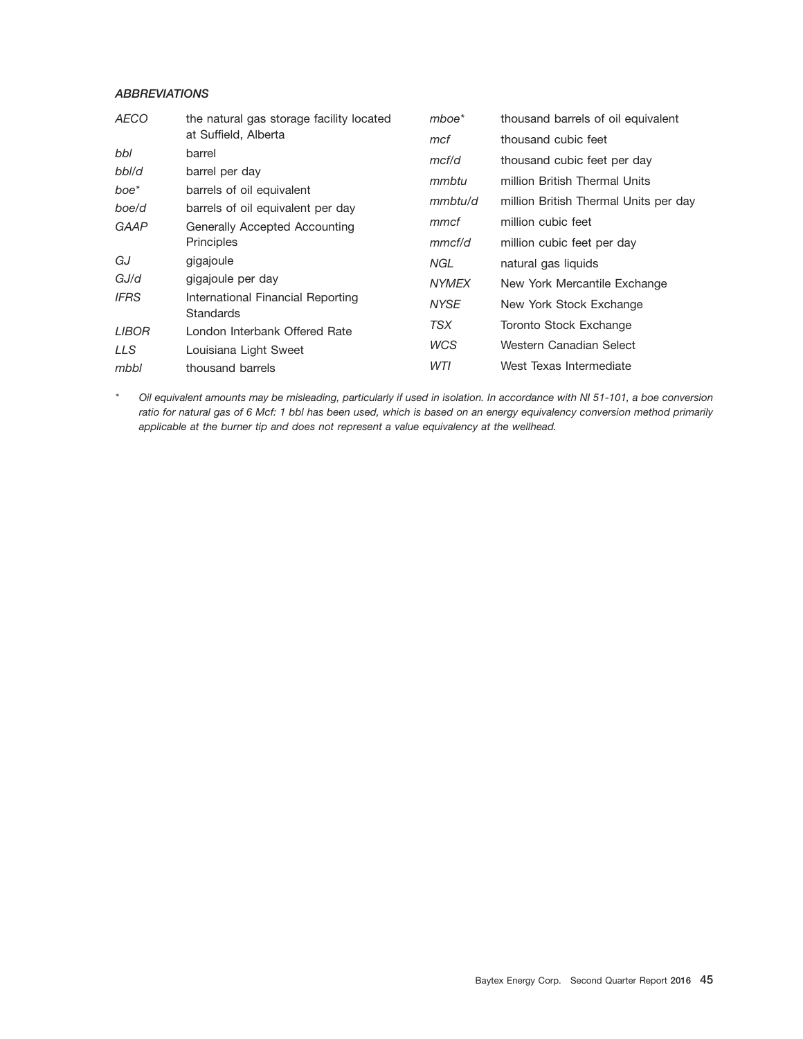## *ABBREVIATIONS*

| <b>AECO</b>  | the natural gas storage facility located              | $m$ boe $*$  | thousand barrels of oil equivalent    |
|--------------|-------------------------------------------------------|--------------|---------------------------------------|
|              | at Suffield, Alberta                                  | mcf          | thousand cubic feet                   |
| bbl          | barrel                                                | mcf/d        | thousand cubic feet per day           |
| bbl/d        | barrel per day                                        | mmbtu        | million British Thermal Units         |
| boe*         | barrels of oil equivalent                             |              |                                       |
| boe/d        | barrels of oil equivalent per day                     | mmbtu/d      | million British Thermal Units per day |
| GAAP         | Generally Accepted Accounting                         | mmcf         | million cubic feet                    |
|              | <b>Principles</b>                                     | mmcf/d       | million cubic feet per day            |
| GJ           | gigajoule                                             | NGL          | natural gas liquids                   |
| GJ/d         | gigajoule per day                                     | <b>NYMEX</b> | New York Mercantile Exchange          |
| <b>IFRS</b>  | International Financial Reporting<br><b>Standards</b> | <b>NYSE</b>  | New York Stock Exchange               |
| <b>LIBOR</b> | London Interbank Offered Rate                         | TSX          | Toronto Stock Exchange                |
| <b>LLS</b>   | Louisiana Light Sweet                                 | <b>WCS</b>   | Western Canadian Select               |
|              |                                                       | WTI          | West Texas Intermediate               |
| mbbl         | thousand barrels                                      |              |                                       |

*\* Oil equivalent amounts may be misleading, particularly if used in isolation. In accordance with NI 51-101, a boe conversion ratio for natural gas of 6 Mcf: 1 bbl has been used, which is based on an energy equivalency conversion method primarily applicable at the burner tip and does not represent a value equivalency at the wellhead.*